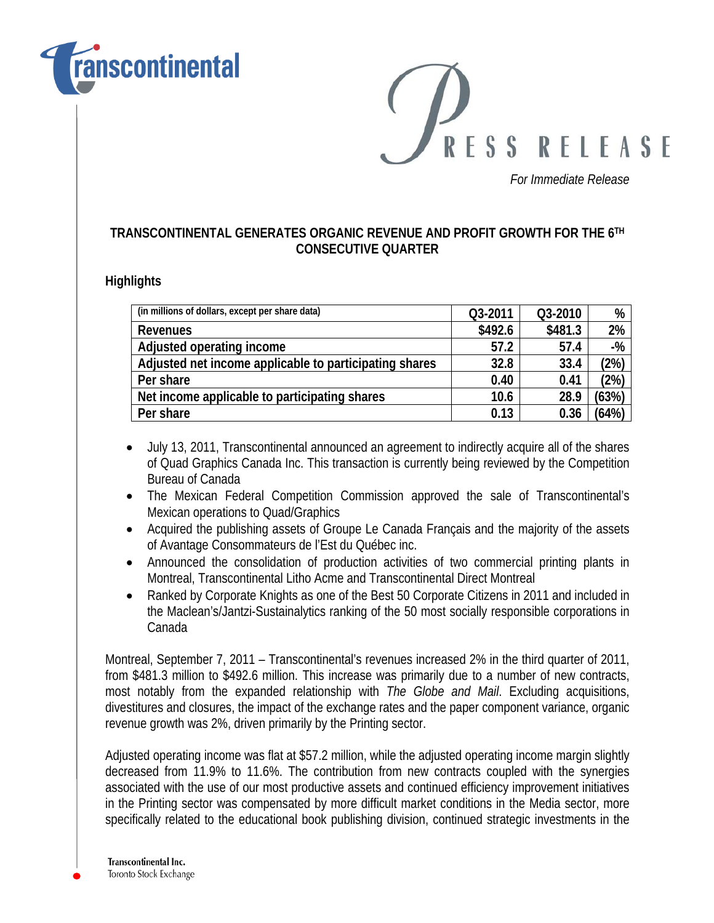

RESS RELEASE

*For Immediate Release* 

### **TRANSCONTINENTAL GENERATES ORGANIC REVENUE AND PROFIT GROWTH FOR THE 6TH CONSECUTIVE QUARTER**

#### **Highlights**

| (in millions of dollars, except per share data)        | Q3-2011 | Q3-2010 | %              |
|--------------------------------------------------------|---------|---------|----------------|
| Revenues                                               | \$492.6 | \$481.3 | 2%             |
| Adjusted operating income                              | 57.2    | 57.4    | $-%$           |
| Adjusted net income applicable to participating shares | 32.8    | 33.4    | $2\%)$         |
| Per share                                              | 0.40    | 0.41    | $^{\prime}2\%$ |
| Net income applicable to participating shares          | 10.6    | 28.9    | (63%)          |
| Per share                                              | 0.13    | 0.36    | (64%           |

- July 13, 2011, Transcontinental announced an agreement to indirectly acquire all of the shares of Quad Graphics Canada Inc. This transaction is currently being reviewed by the Competition Bureau of Canada
- The Mexican Federal Competition Commission approved the sale of Transcontinental's Mexican operations to Quad/Graphics
- Acquired the publishing assets of Groupe Le Canada Français and the majority of the assets of Avantage Consommateurs de l'Est du Québec inc.
- Announced the consolidation of production activities of two commercial printing plants in Montreal, Transcontinental Litho Acme and Transcontinental Direct Montreal
- Ranked by Corporate Knights as one of the Best 50 Corporate Citizens in 2011 and included in the Maclean's/Jantzi-Sustainalytics ranking of the 50 most socially responsible corporations in Canada

Montreal, September 7, 2011 – Transcontinental's revenues increased 2% in the third quarter of 2011, from \$481.3 million to \$492.6 million. This increase was primarily due to a number of new contracts, most notably from the expanded relationship with *The Globe and Mail*. Excluding acquisitions, divestitures and closures, the impact of the exchange rates and the paper component variance, organic revenue growth was 2%, driven primarily by the Printing sector.

Adjusted operating income was flat at \$57.2 million, while the adjusted operating income margin slightly decreased from 11.9% to 11.6%. The contribution from new contracts coupled with the synergies associated with the use of our most productive assets and continued efficiency improvement initiatives in the Printing sector was compensated by more difficult market conditions in the Media sector, more specifically related to the educational book publishing division, continued strategic investments in the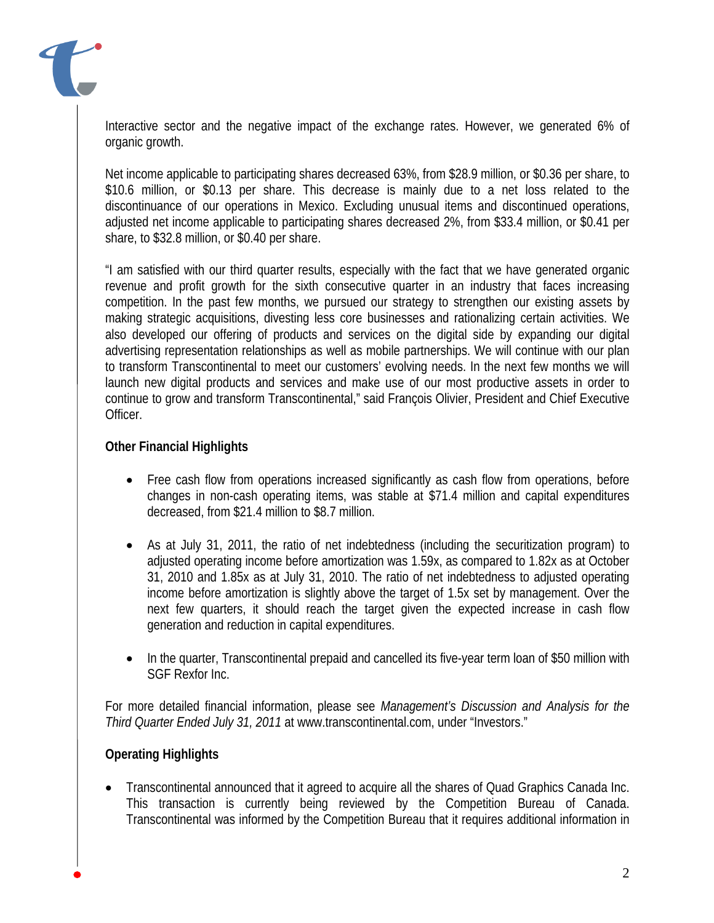Interactive sector and the negative impact of the exchange rates. However, we generated 6% of organic growth.

Net income applicable to participating shares decreased 63%, from \$28.9 million, or \$0.36 per share, to \$10.6 million, or \$0.13 per share. This decrease is mainly due to a net loss related to the discontinuance of our operations in Mexico. Excluding unusual items and discontinued operations, adjusted net income applicable to participating shares decreased 2%, from \$33.4 million, or \$0.41 per share, to \$32.8 million, or \$0.40 per share.

"I am satisfied with our third quarter results, especially with the fact that we have generated organic revenue and profit growth for the sixth consecutive quarter in an industry that faces increasing competition. In the past few months, we pursued our strategy to strengthen our existing assets by making strategic acquisitions, divesting less core businesses and rationalizing certain activities. We also developed our offering of products and services on the digital side by expanding our digital advertising representation relationships as well as mobile partnerships. We will continue with our plan to transform Transcontinental to meet our customers' evolving needs. In the next few months we will launch new digital products and services and make use of our most productive assets in order to continue to grow and transform Transcontinental," said François Olivier, President and Chief Executive Officer.

### **Other Financial Highlights**

- Free cash flow from operations increased significantly as cash flow from operations, before changes in non-cash operating items, was stable at \$71.4 million and capital expenditures decreased, from \$21.4 million to \$8.7 million.
- As at July 31, 2011, the ratio of net indebtedness (including the securitization program) to adjusted operating income before amortization was 1.59x, as compared to 1.82x as at October 31, 2010 and 1.85x as at July 31, 2010. The ratio of net indebtedness to adjusted operating income before amortization is slightly above the target of 1.5x set by management. Over the next few quarters, it should reach the target given the expected increase in cash flow generation and reduction in capital expenditures.
- In the quarter, Transcontinental prepaid and cancelled its five-year term loan of \$50 million with SGF Rexfor Inc.

For more detailed financial information, please see *Management's Discussion and Analysis for the Third Quarter Ended July 31, 2011* at www.transcontinental.com, under "Investors."

### **Operating Highlights**

 Transcontinental announced that it agreed to acquire all the shares of Quad Graphics Canada Inc. This transaction is currently being reviewed by the Competition Bureau of Canada. Transcontinental was informed by the Competition Bureau that it requires additional information in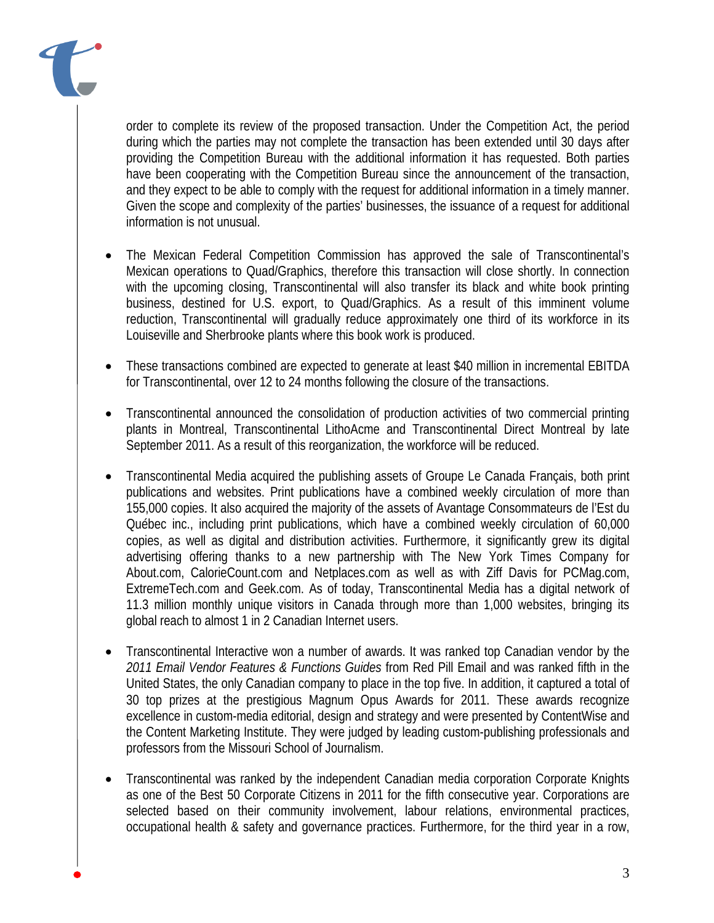order to complete its review of the proposed transaction. Under the Competition Act, the period during which the parties may not complete the transaction has been extended until 30 days after providing the Competition Bureau with the additional information it has requested. Both parties have been cooperating with the Competition Bureau since the announcement of the transaction, and they expect to be able to comply with the request for additional information in a timely manner. Given the scope and complexity of the parties' businesses, the issuance of a request for additional information is not unusual.

- The Mexican Federal Competition Commission has approved the sale of Transcontinental's Mexican operations to Quad/Graphics, therefore this transaction will close shortly. In connection with the upcoming closing, Transcontinental will also transfer its black and white book printing business, destined for U.S. export, to Quad/Graphics. As a result of this imminent volume reduction, Transcontinental will gradually reduce approximately one third of its workforce in its Louiseville and Sherbrooke plants where this book work is produced.
- These transactions combined are expected to generate at least \$40 million in incremental EBITDA for Transcontinental, over 12 to 24 months following the closure of the transactions.
- Transcontinental announced the consolidation of production activities of two commercial printing plants in Montreal, Transcontinental LithoAcme and Transcontinental Direct Montreal by late September 2011. As a result of this reorganization, the workforce will be reduced.
- Transcontinental Media acquired the publishing assets of Groupe Le Canada Français, both print publications and websites. Print publications have a combined weekly circulation of more than 155,000 copies. It also acquired the majority of the assets of Avantage Consommateurs de l'Est du Québec inc., including print publications, which have a combined weekly circulation of 60,000 copies, as well as digital and distribution activities. Furthermore, it significantly grew its digital advertising offering thanks to a new partnership with The New York Times Company for About.com, CalorieCount.com and Netplaces.com as well as with Ziff Davis for PCMag.com, ExtremeTech.com and Geek.com. As of today, Transcontinental Media has a digital network of 11.3 million monthly unique visitors in Canada through more than 1,000 websites, bringing its global reach to almost 1 in 2 Canadian Internet users.
- Transcontinental Interactive won a number of awards. It was ranked top Canadian vendor by the *2011 Email Vendor Features & Functions Guides* from Red Pill Email and was ranked fifth in the United States, the only Canadian company to place in the top five. In addition, it captured a total of 30 top prizes at the prestigious Magnum Opus Awards for 2011. These awards recognize excellence in custom-media editorial, design and strategy and were presented by ContentWise and the Content Marketing Institute. They were judged by leading custom-publishing professionals and professors from the Missouri School of Journalism.
- Transcontinental was ranked by the independent Canadian media corporation Corporate Knights as one of the Best 50 Corporate Citizens in 2011 for the fifth consecutive year. Corporations are selected based on their community involvement, labour relations, environmental practices, occupational health & safety and governance practices. Furthermore, for the third year in a row,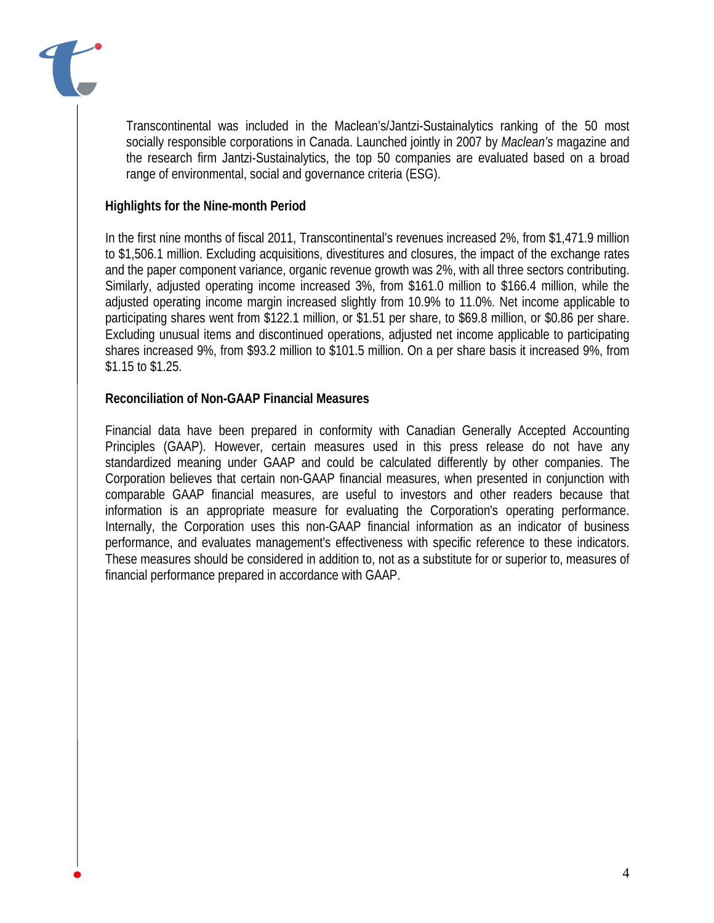

Transcontinental was included in the Maclean's/Jantzi-Sustainalytics ranking of the 50 most socially responsible corporations in Canada. Launched jointly in 2007 by *Maclean's* magazine and the research firm Jantzi-Sustainalytics, the top 50 companies are evaluated based on a broad range of environmental, social and governance criteria (ESG).

### **Highlights for the Nine-month Period**

In the first nine months of fiscal 2011, Transcontinental's revenues increased 2%, from \$1,471.9 million to \$1,506.1 million. Excluding acquisitions, divestitures and closures, the impact of the exchange rates and the paper component variance, organic revenue growth was 2%, with all three sectors contributing. Similarly, adjusted operating income increased 3%, from \$161.0 million to \$166.4 million, while the adjusted operating income margin increased slightly from 10.9% to 11.0%. Net income applicable to participating shares went from \$122.1 million, or \$1.51 per share, to \$69.8 million, or \$0.86 per share. Excluding unusual items and discontinued operations, adjusted net income applicable to participating shares increased 9%, from \$93.2 million to \$101.5 million. On a per share basis it increased 9%, from \$1.15 to \$1.25.

### **Reconciliation of Non-GAAP Financial Measures**

Financial data have been prepared in conformity with Canadian Generally Accepted Accounting Principles (GAAP). However, certain measures used in this press release do not have any standardized meaning under GAAP and could be calculated differently by other companies. The Corporation believes that certain non-GAAP financial measures, when presented in conjunction with comparable GAAP financial measures, are useful to investors and other readers because that information is an appropriate measure for evaluating the Corporation's operating performance. Internally, the Corporation uses this non-GAAP financial information as an indicator of business performance, and evaluates management's effectiveness with specific reference to these indicators. These measures should be considered in addition to, not as a substitute for or superior to, measures of financial performance prepared in accordance with GAAP.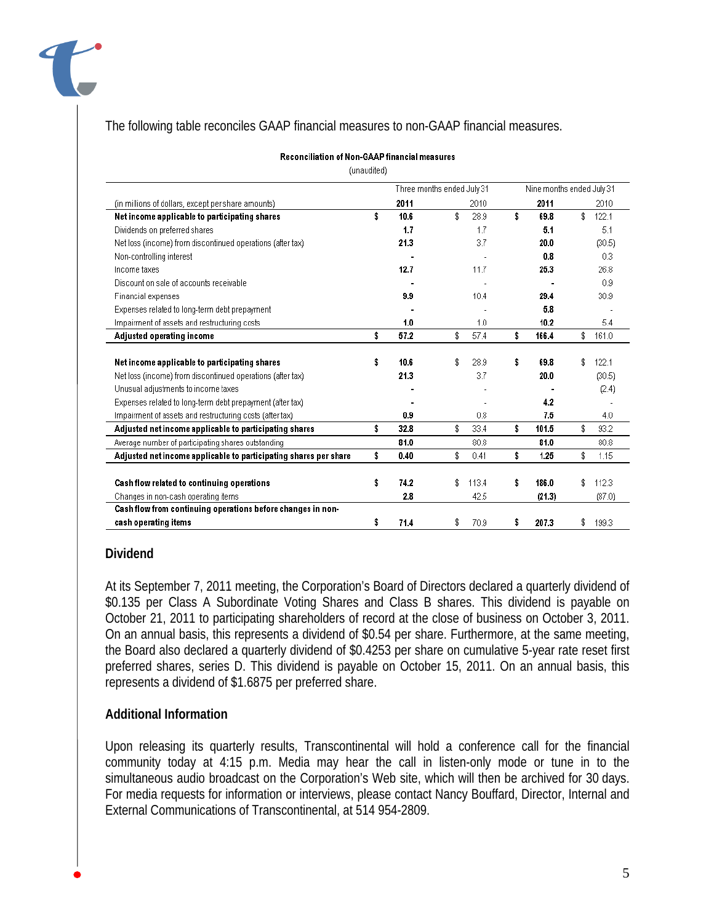

### The following table reconciles GAAP financial measures to non-GAAP financial measures.

#### **Reconciliation of Non-GAAP financial measures**

(unaudited)

|                                                                  | Three months ended July 31 |      | Nine months ended July 31 |    |        |    |        |  |  |
|------------------------------------------------------------------|----------------------------|------|---------------------------|----|--------|----|--------|--|--|
| (in millions of dollars, except per share amounts)               | 2011                       | 2010 |                           |    | 2011   |    | 2010   |  |  |
| Net income applicable to participating shares                    | \$<br>10.6                 | \$   | 28.9                      | \$ | 69.8   | \$ | 122.1  |  |  |
| Dividends on preferred shares                                    | 1.7                        |      | 1.7                       |    | 5.1    |    | 5.1    |  |  |
| Net loss (income) from discontinued operations (after tax)       | 21.3                       |      | 3.7                       |    | 20.0   |    | (30.5) |  |  |
| Non-controlling interest                                         |                            |      |                           |    | 0.8    |    | 0.3    |  |  |
| Income taxes                                                     | 12.7                       |      | 11.7                      |    | 25.3   |    | 26.8   |  |  |
| Discount on sale of accounts receivable                          |                            |      |                           |    |        |    | 0.9    |  |  |
| <b>Financial expenses</b>                                        | 9.9                        |      | 10.4                      |    | 29.4   |    | 30.9   |  |  |
| Expenses related to long-term debt prepayment                    |                            |      |                           |    | 5.8    |    |        |  |  |
| Impairment of assets and restructuring costs                     | 1.0                        |      | 1.0                       |    | 10.2   |    | 5.4    |  |  |
| <b>Adjusted operating income</b>                                 | \$<br>57.2                 | \$   | 57.4                      | \$ | 166.4  | \$ | 161.0  |  |  |
|                                                                  |                            |      |                           |    |        |    |        |  |  |
| Net income applicable to participating shares                    | \$<br>10.6                 | \$   | 28.9                      | \$ | 69.8   |    | 122.1  |  |  |
| Net loss (income) from discontinued operations (after tax)       | 21.3                       |      | 3.7                       |    | 20.0   |    | (30.5) |  |  |
| Unusual adjustments to income taxes                              |                            |      |                           |    |        |    | (2.4)  |  |  |
| Expenses related to long-term debt prepayment (after tax)        |                            |      |                           |    | 4.2    |    |        |  |  |
| Impairment of assets and restructuring costs (after tax)         | 0.9                        |      | 0.8                       |    | 7.5    |    | 4.0    |  |  |
| Adjusted net income applicable to participating shares           | \$<br>32.8                 | \$   | 33.4                      | \$ | 101.5  | \$ | 93.2   |  |  |
| Average number of participating shares outstanding               | 81.0                       |      | 80.8                      |    | 81.0   |    | 80.8   |  |  |
| Adjusted net income applicable to participating shares per share | \$<br>0.40                 | \$   | 0.41                      | \$ | 1.25   | \$ | 1.15   |  |  |
|                                                                  |                            |      |                           |    |        |    |        |  |  |
| Cash flow related to continuing operations                       | \$<br>74.2                 | \$   | 113.4                     | \$ | 186.0  | \$ | 112.3  |  |  |
| Changes in non-cash operating items                              | 2.8                        |      | 42.5                      |    | (21.3) |    | (87.0) |  |  |
| Cash flow from continuing operations before changes in non-      |                            |      |                           |    |        |    |        |  |  |
| cash operating items                                             | \$<br>71.4                 | \$   | 70.9                      | \$ | 207.3  | \$ | 199.3  |  |  |

#### **Dividend**

At its September 7, 2011 meeting, the Corporation's Board of Directors declared a quarterly dividend of \$0.135 per Class A Subordinate Voting Shares and Class B shares. This dividend is payable on October 21, 2011 to participating shareholders of record at the close of business on October 3, 2011. On an annual basis, this represents a dividend of \$0.54 per share. Furthermore, at the same meeting, the Board also declared a quarterly dividend of \$0.4253 per share on cumulative 5-year rate reset first preferred shares, series D. This dividend is payable on October 15, 2011. On an annual basis, this represents a dividend of \$1.6875 per preferred share.

#### **Additional Information**

Upon releasing its quarterly results, Transcontinental will hold a conference call for the financial community today at 4:15 p.m. Media may hear the call in listen-only mode or tune in to the simultaneous audio broadcast on the Corporation's Web site, which will then be archived for 30 days. For media requests for information or interviews, please contact Nancy Bouffard, Director, Internal and External Communications of Transcontinental, at 514 954-2809.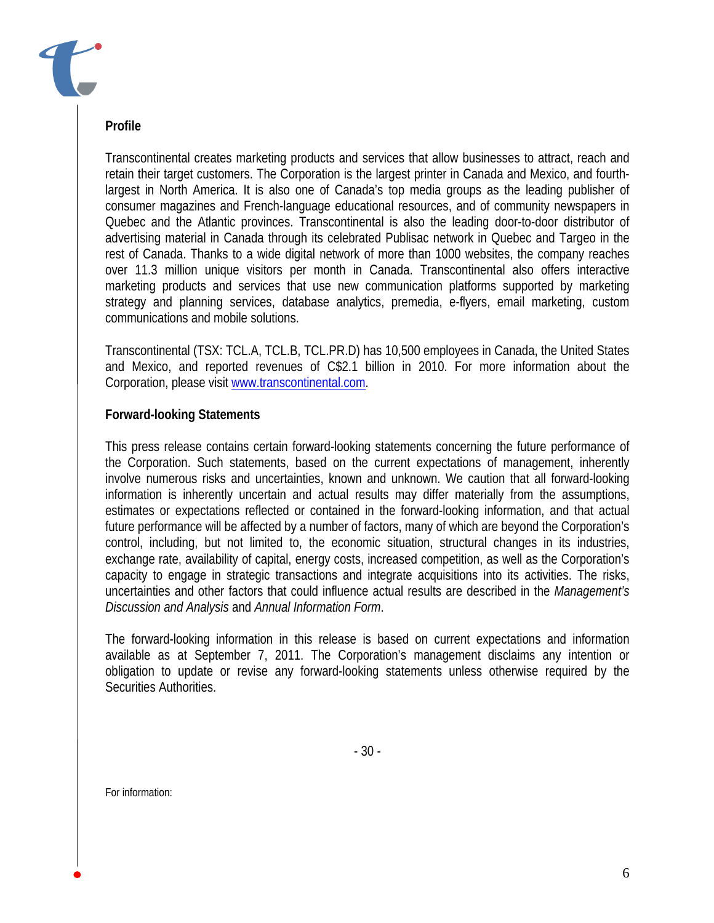### **Profile**

Transcontinental creates marketing products and services that allow businesses to attract, reach and retain their target customers. The Corporation is the largest printer in Canada and Mexico, and fourthlargest in North America. It is also one of Canada's top media groups as the leading publisher of consumer magazines and French-language educational resources, and of community newspapers in Quebec and the Atlantic provinces. Transcontinental is also the leading door-to-door distributor of advertising material in Canada through its celebrated Publisac network in Quebec and Targeo in the rest of Canada. Thanks to a wide digital network of more than 1000 websites, the company reaches over 11.3 million unique visitors per month in Canada. Transcontinental also offers interactive marketing products and services that use new communication platforms supported by marketing strategy and planning services, database analytics, premedia, e-flyers, email marketing, custom communications and mobile solutions.

Transcontinental (TSX: TCL.A, TCL.B, TCL.PR.D) has 10,500 employees in Canada, the United States and Mexico, and reported revenues of C\$2.1 billion in 2010. For more information about the Corporation, please visit www.transcontinental.com.

### **Forward-looking Statements**

This press release contains certain forward-looking statements concerning the future performance of the Corporation. Such statements, based on the current expectations of management, inherently involve numerous risks and uncertainties, known and unknown. We caution that all forward-looking information is inherently uncertain and actual results may differ materially from the assumptions, estimates or expectations reflected or contained in the forward-looking information, and that actual future performance will be affected by a number of factors, many of which are beyond the Corporation's control, including, but not limited to, the economic situation, structural changes in its industries, exchange rate, availability of capital, energy costs, increased competition, as well as the Corporation's capacity to engage in strategic transactions and integrate acquisitions into its activities. The risks, uncertainties and other factors that could influence actual results are described in the *Management's Discussion and Analysis* and *Annual Information Form*.

The forward-looking information in this release is based on current expectations and information available as at September 7, 2011. The Corporation's management disclaims any intention or obligation to update or revise any forward-looking statements unless otherwise required by the Securities Authorities.

For information: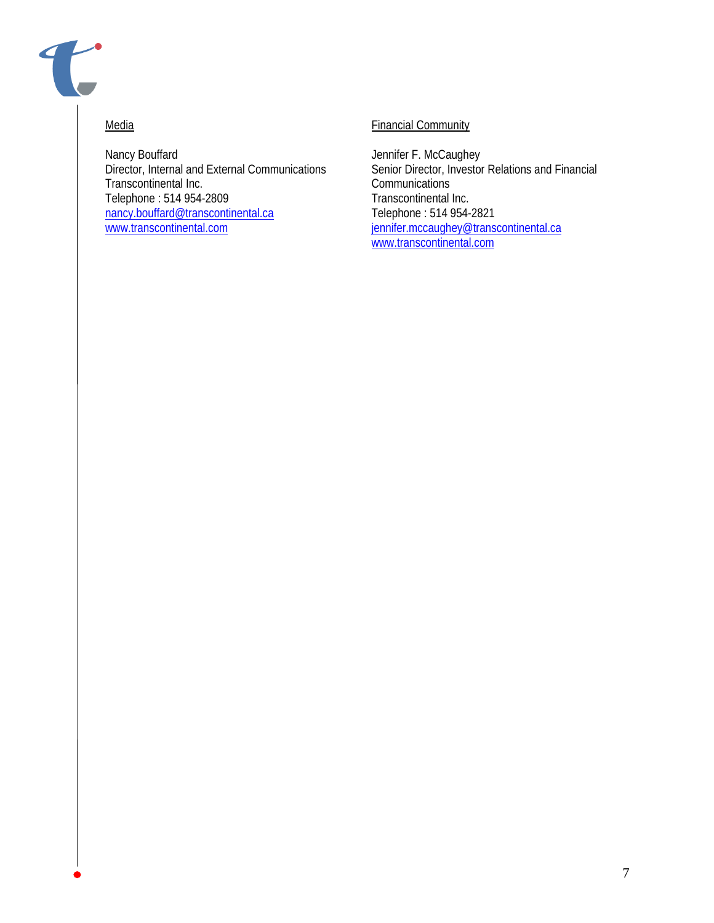

#### **Media**

Nancy Bouffard Director, Internal and External Communications Transcontinental Inc. Telephone : 514 954-2809 nancy.bouffard@transcontinental.ca www.transcontinental.com

### Financial Community

Jennifer F. McCaughey Senior Director, Investor Relations and Financial **Communications** Transcontinental Inc. Telephone : 514 954-2821 jennifer.mccaughey@transcontinental.ca www.transcontinental.com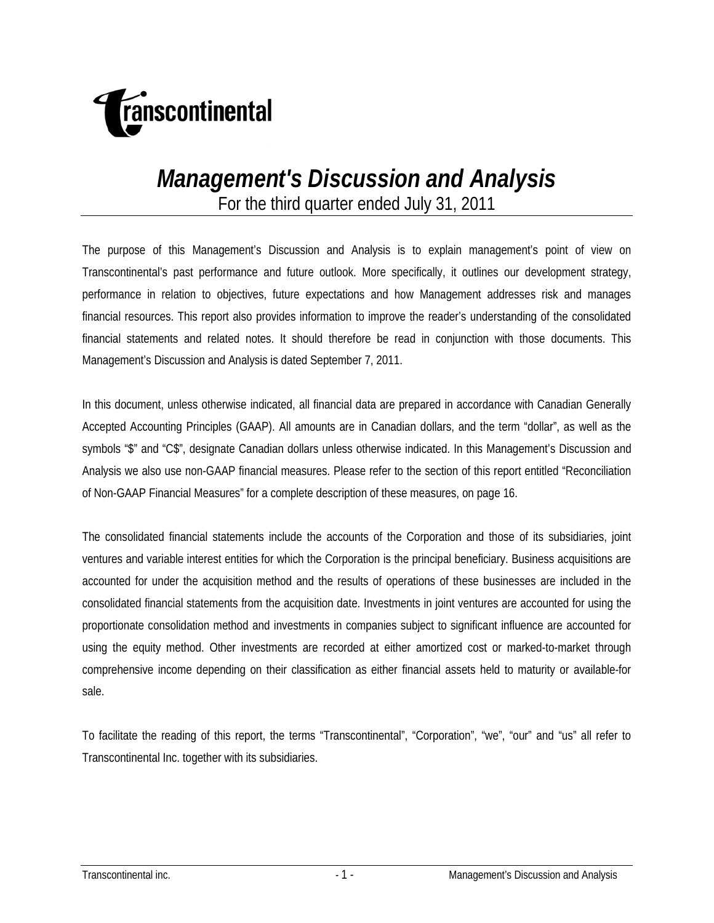

# *Management's Discussion and Analysis*

For the third quarter ended July 31, 2011

The purpose of this Management's Discussion and Analysis is to explain management's point of view on Transcontinental's past performance and future outlook. More specifically, it outlines our development strategy, performance in relation to objectives, future expectations and how Management addresses risk and manages financial resources. This report also provides information to improve the reader's understanding of the consolidated financial statements and related notes. It should therefore be read in conjunction with those documents. This Management's Discussion and Analysis is dated September 7, 2011.

In this document, unless otherwise indicated, all financial data are prepared in accordance with Canadian Generally Accepted Accounting Principles (GAAP). All amounts are in Canadian dollars, and the term "dollar", as well as the symbols "\$" and "C\$", designate Canadian dollars unless otherwise indicated. In this Management's Discussion and Analysis we also use non-GAAP financial measures. Please refer to the section of this report entitled "Reconciliation of Non-GAAP Financial Measures" for a complete description of these measures, on page 16.

The consolidated financial statements include the accounts of the Corporation and those of its subsidiaries, joint ventures and variable interest entities for which the Corporation is the principal beneficiary. Business acquisitions are accounted for under the acquisition method and the results of operations of these businesses are included in the consolidated financial statements from the acquisition date. Investments in joint ventures are accounted for using the proportionate consolidation method and investments in companies subject to significant influence are accounted for using the equity method. Other investments are recorded at either amortized cost or marked-to-market through comprehensive income depending on their classification as either financial assets held to maturity or available-for sale.

To facilitate the reading of this report, the terms "Transcontinental", "Corporation", "we", "our" and "us" all refer to Transcontinental Inc. together with its subsidiaries.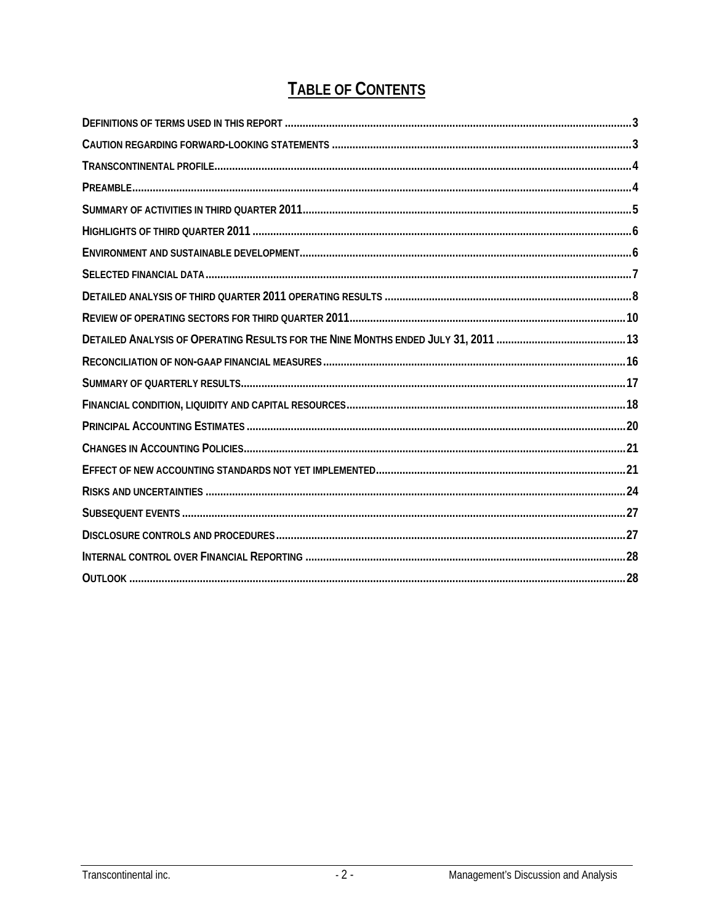## **TABLE OF CONTENTS**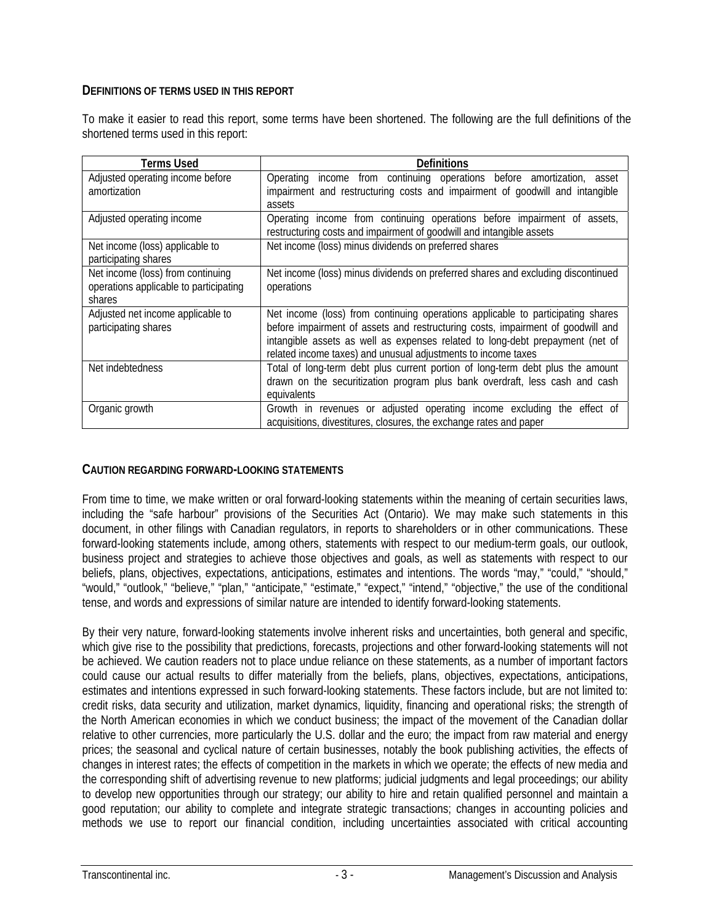### **DEFINITIONS OF TERMS USED IN THIS REPORT**

To make it easier to read this report, some terms have been shortened. The following are the full definitions of the shortened terms used in this report:

| Terms Used                                                | Definitions                                                                                                                                                        |
|-----------------------------------------------------------|--------------------------------------------------------------------------------------------------------------------------------------------------------------------|
| Adjusted operating income before<br>amortization          | Operating income from continuing operations before amortization, asset<br>impairment and restructuring costs and impairment of goodwill and intangible             |
|                                                           | assets                                                                                                                                                             |
| Adjusted operating income                                 | Operating income from continuing operations before impairment of assets,<br>restructuring costs and impairment of goodwill and intangible assets                   |
| Net income (loss) applicable to<br>participating shares   | Net income (loss) minus dividends on preferred shares                                                                                                              |
| Net income (loss) from continuing                         | Net income (loss) minus dividends on preferred shares and excluding discontinued                                                                                   |
| operations applicable to participating<br>shares          | operations                                                                                                                                                         |
| Adjusted net income applicable to<br>participating shares | Net income (loss) from continuing operations applicable to participating shares<br>before impairment of assets and restructuring costs, impairment of goodwill and |
|                                                           | intangible assets as well as expenses related to long-debt prepayment (net of<br>related income taxes) and unusual adjustments to income taxes                     |
| Net indebtedness                                          | Total of long-term debt plus current portion of long-term debt plus the amount                                                                                     |
|                                                           | drawn on the securitization program plus bank overdraft, less cash and cash<br>equivalents                                                                         |
| Organic growth                                            | Growth in revenues or adjusted operating income excluding the effect of<br>acquisitions, divestitures, closures, the exchange rates and paper                      |

### **CAUTION REGARDING FORWARD-LOOKING STATEMENTS**

From time to time, we make written or oral forward-looking statements within the meaning of certain securities laws, including the "safe harbour" provisions of the Securities Act (Ontario). We may make such statements in this document, in other filings with Canadian regulators, in reports to shareholders or in other communications. These forward-looking statements include, among others, statements with respect to our medium-term goals, our outlook, business project and strategies to achieve those objectives and goals, as well as statements with respect to our beliefs, plans, objectives, expectations, anticipations, estimates and intentions. The words "may," "could," "should," "would," "outlook," "believe," "plan," "anticipate," "estimate," "expect," "intend," "objective," the use of the conditional tense, and words and expressions of similar nature are intended to identify forward-looking statements.

By their very nature, forward-looking statements involve inherent risks and uncertainties, both general and specific, which give rise to the possibility that predictions, forecasts, projections and other forward-looking statements will not be achieved. We caution readers not to place undue reliance on these statements, as a number of important factors could cause our actual results to differ materially from the beliefs, plans, objectives, expectations, anticipations, estimates and intentions expressed in such forward-looking statements. These factors include, but are not limited to: credit risks, data security and utilization, market dynamics, liquidity, financing and operational risks; the strength of the North American economies in which we conduct business; the impact of the movement of the Canadian dollar relative to other currencies, more particularly the U.S. dollar and the euro; the impact from raw material and energy prices; the seasonal and cyclical nature of certain businesses, notably the book publishing activities, the effects of changes in interest rates; the effects of competition in the markets in which we operate; the effects of new media and the corresponding shift of advertising revenue to new platforms; judicial judgments and legal proceedings; our ability to develop new opportunities through our strategy; our ability to hire and retain qualified personnel and maintain a good reputation; our ability to complete and integrate strategic transactions; changes in accounting policies and methods we use to report our financial condition, including uncertainties associated with critical accounting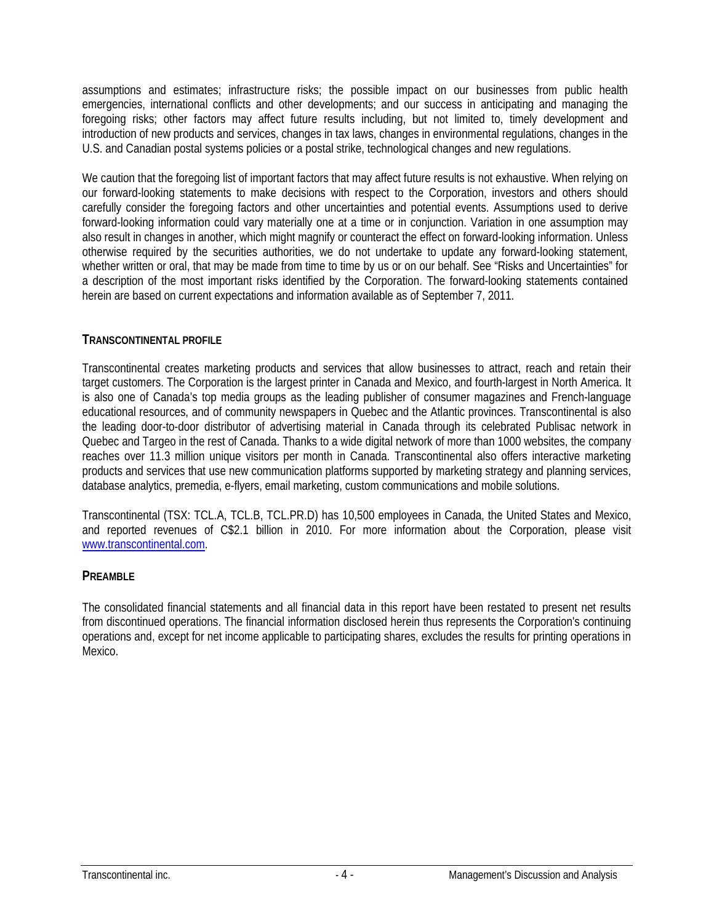assumptions and estimates; infrastructure risks; the possible impact on our businesses from public health emergencies, international conflicts and other developments; and our success in anticipating and managing the foregoing risks; other factors may affect future results including, but not limited to, timely development and introduction of new products and services, changes in tax laws, changes in environmental regulations, changes in the U.S. and Canadian postal systems policies or a postal strike, technological changes and new regulations.

We caution that the foregoing list of important factors that may affect future results is not exhaustive. When relying on our forward-looking statements to make decisions with respect to the Corporation, investors and others should carefully consider the foregoing factors and other uncertainties and potential events. Assumptions used to derive forward-looking information could vary materially one at a time or in conjunction. Variation in one assumption may also result in changes in another, which might magnify or counteract the effect on forward-looking information. Unless otherwise required by the securities authorities, we do not undertake to update any forward-looking statement, whether written or oral, that may be made from time to time by us or on our behalf. See "Risks and Uncertainties" for a description of the most important risks identified by the Corporation. The forward-looking statements contained herein are based on current expectations and information available as of September 7, 2011.

### **TRANSCONTINENTAL PROFILE**

Transcontinental creates marketing products and services that allow businesses to attract, reach and retain their target customers. The Corporation is the largest printer in Canada and Mexico, and fourth-largest in North America. It is also one of Canada's top media groups as the leading publisher of consumer magazines and French-language educational resources, and of community newspapers in Quebec and the Atlantic provinces. Transcontinental is also the leading door-to-door distributor of advertising material in Canada through its celebrated Publisac network in Quebec and Targeo in the rest of Canada. Thanks to a wide digital network of more than 1000 websites, the company reaches over 11.3 million unique visitors per month in Canada. Transcontinental also offers interactive marketing products and services that use new communication platforms supported by marketing strategy and planning services, database analytics, premedia, e-flyers, email marketing, custom communications and mobile solutions.

Transcontinental (TSX: TCL.A, TCL.B, TCL.PR.D) has 10,500 employees in Canada, the United States and Mexico, and reported revenues of C\$2.1 billion in 2010. For more information about the Corporation, please visit www.transcontinental.com.

#### **PREAMBLE**

The consolidated financial statements and all financial data in this report have been restated to present net results from discontinued operations. The financial information disclosed herein thus represents the Corporation's continuing operations and, except for net income applicable to participating shares, excludes the results for printing operations in Mexico.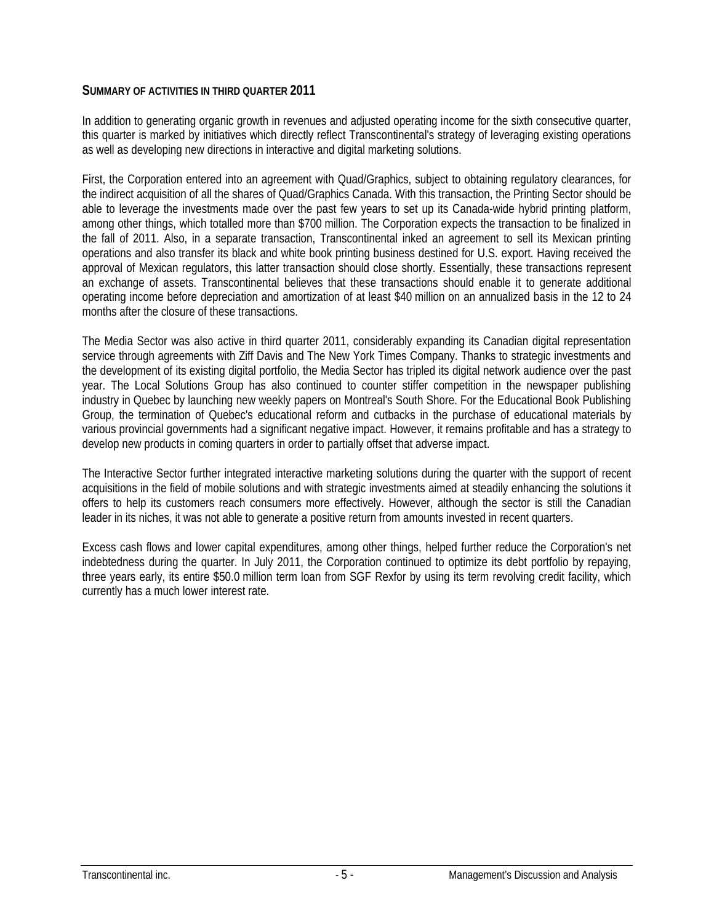### **SUMMARY OF ACTIVITIES IN THIRD QUARTER 2011**

In addition to generating organic growth in revenues and adjusted operating income for the sixth consecutive quarter, this quarter is marked by initiatives which directly reflect Transcontinental's strategy of leveraging existing operations as well as developing new directions in interactive and digital marketing solutions.

First, the Corporation entered into an agreement with Quad/Graphics, subject to obtaining regulatory clearances, for the indirect acquisition of all the shares of Quad/Graphics Canada. With this transaction, the Printing Sector should be able to leverage the investments made over the past few years to set up its Canada-wide hybrid printing platform, among other things, which totalled more than \$700 million. The Corporation expects the transaction to be finalized in the fall of 2011. Also, in a separate transaction, Transcontinental inked an agreement to sell its Mexican printing operations and also transfer its black and white book printing business destined for U.S. export. Having received the approval of Mexican regulators, this latter transaction should close shortly. Essentially, these transactions represent an exchange of assets. Transcontinental believes that these transactions should enable it to generate additional operating income before depreciation and amortization of at least \$40 million on an annualized basis in the 12 to 24 months after the closure of these transactions.

The Media Sector was also active in third quarter 2011, considerably expanding its Canadian digital representation service through agreements with Ziff Davis and The New York Times Company. Thanks to strategic investments and the development of its existing digital portfolio, the Media Sector has tripled its digital network audience over the past year. The Local Solutions Group has also continued to counter stiffer competition in the newspaper publishing industry in Quebec by launching new weekly papers on Montreal's South Shore. For the Educational Book Publishing Group, the termination of Quebec's educational reform and cutbacks in the purchase of educational materials by various provincial governments had a significant negative impact. However, it remains profitable and has a strategy to develop new products in coming quarters in order to partially offset that adverse impact.

The Interactive Sector further integrated interactive marketing solutions during the quarter with the support of recent acquisitions in the field of mobile solutions and with strategic investments aimed at steadily enhancing the solutions it offers to help its customers reach consumers more effectively. However, although the sector is still the Canadian leader in its niches, it was not able to generate a positive return from amounts invested in recent quarters.

Excess cash flows and lower capital expenditures, among other things, helped further reduce the Corporation's net indebtedness during the quarter. In July 2011, the Corporation continued to optimize its debt portfolio by repaying, three years early, its entire \$50.0 million term loan from SGF Rexfor by using its term revolving credit facility, which currently has a much lower interest rate.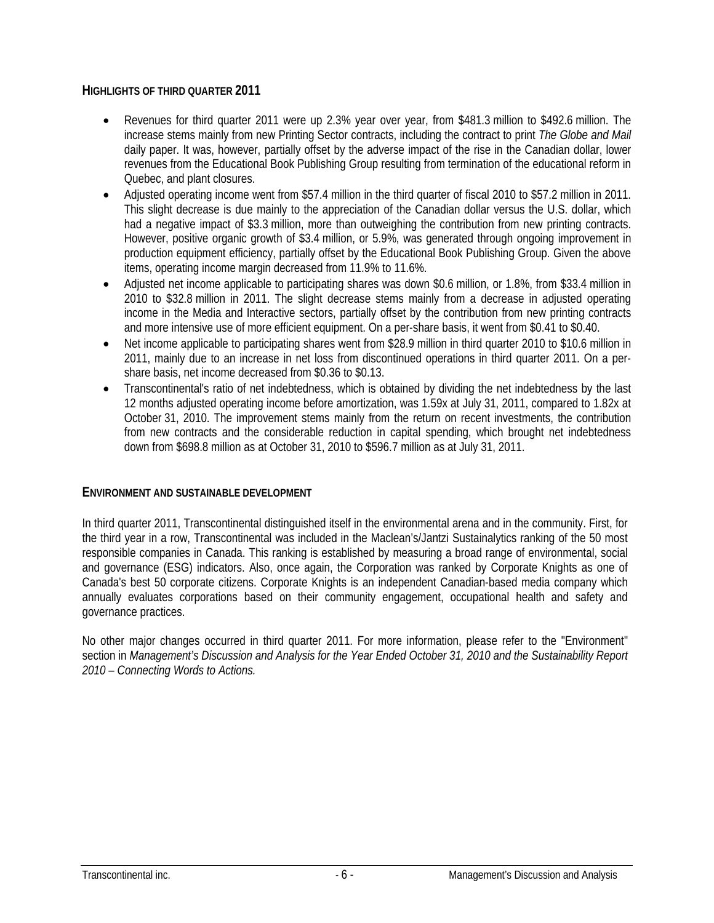### **HIGHLIGHTS OF THIRD QUARTER 2011**

- Revenues for third quarter 2011 were up 2.3% year over year, from \$481.3 million to \$492.6 million. The increase stems mainly from new Printing Sector contracts, including the contract to print *The Globe and Mail* daily paper. It was, however, partially offset by the adverse impact of the rise in the Canadian dollar, lower revenues from the Educational Book Publishing Group resulting from termination of the educational reform in Quebec, and plant closures.
- Adjusted operating income went from \$57.4 million in the third quarter of fiscal 2010 to \$57.2 million in 2011. This slight decrease is due mainly to the appreciation of the Canadian dollar versus the U.S. dollar, which had a negative impact of \$3.3 million, more than outweighing the contribution from new printing contracts. However, positive organic growth of \$3.4 million, or 5.9%, was generated through ongoing improvement in production equipment efficiency, partially offset by the Educational Book Publishing Group. Given the above items, operating income margin decreased from 11.9% to 11.6%.
- Adjusted net income applicable to participating shares was down \$0.6 million, or 1.8%, from \$33.4 million in 2010 to \$32.8 million in 2011. The slight decrease stems mainly from a decrease in adjusted operating income in the Media and Interactive sectors, partially offset by the contribution from new printing contracts and more intensive use of more efficient equipment. On a per-share basis, it went from \$0.41 to \$0.40.
- Net income applicable to participating shares went from \$28.9 million in third quarter 2010 to \$10.6 million in 2011, mainly due to an increase in net loss from discontinued operations in third quarter 2011. On a pershare basis, net income decreased from \$0.36 to \$0.13.
- Transcontinental's ratio of net indebtedness, which is obtained by dividing the net indebtedness by the last 12 months adjusted operating income before amortization, was 1.59x at July 31, 2011, compared to 1.82x at October 31, 2010. The improvement stems mainly from the return on recent investments, the contribution from new contracts and the considerable reduction in capital spending, which brought net indebtedness down from \$698.8 million as at October 31, 2010 to \$596.7 million as at July 31, 2011.

#### **ENVIRONMENT AND SUSTAINABLE DEVELOPMENT**

In third quarter 2011, Transcontinental distinguished itself in the environmental arena and in the community. First, for the third year in a row, Transcontinental was included in the Maclean's/Jantzi Sustainalytics ranking of the 50 most responsible companies in Canada. This ranking is established by measuring a broad range of environmental, social and governance (ESG) indicators. Also, once again, the Corporation was ranked by Corporate Knights as one of Canada's best 50 corporate citizens. Corporate Knights is an independent Canadian-based media company which annually evaluates corporations based on their community engagement, occupational health and safety and governance practices.

No other major changes occurred in third quarter 2011. For more information, please refer to the "Environment" section in *Management's Discussion and Analysis for the Year Ended October 31, 2010 and the Sustainability Report 2010 – Connecting Words to Actions.*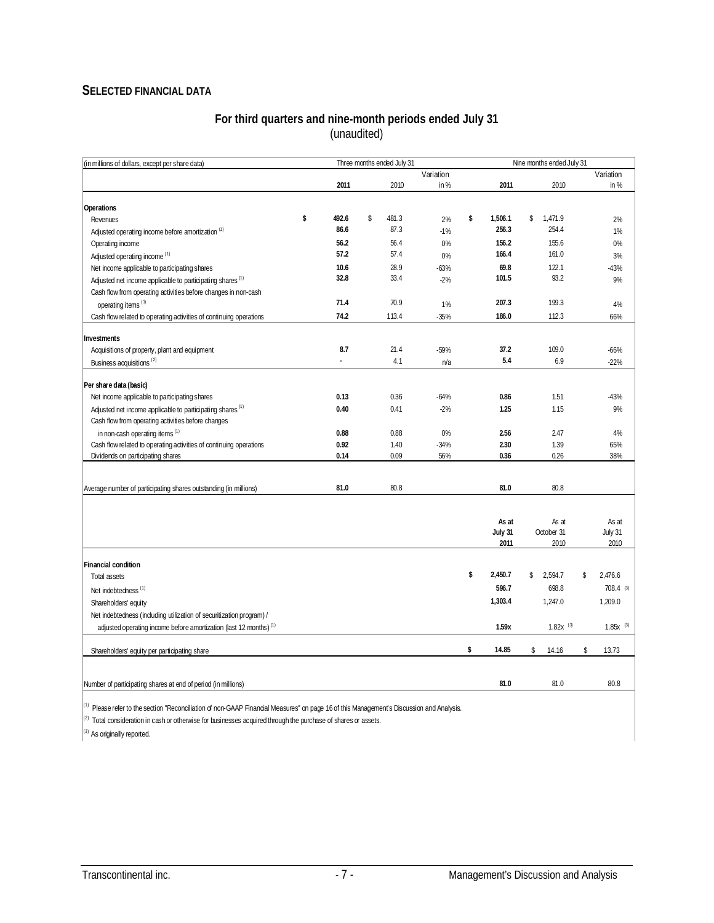### **SELECTED FINANCIAL DATA**

#### **For third quarters and nine-month periods ended July 31**  (unaudited)

| (in millions of dollars, except per share data)                                                                                          |              | Three months ended July 31 |               |               | Nine months ended July 31 |    |               |
|------------------------------------------------------------------------------------------------------------------------------------------|--------------|----------------------------|---------------|---------------|---------------------------|----|---------------|
|                                                                                                                                          |              |                            | Variation     |               |                           |    | Variation     |
|                                                                                                                                          | 2011         | 2010                       | in%           | 2011          | 2010                      |    | in $%$        |
| Operations                                                                                                                               |              |                            |               |               |                           |    |               |
| Revenues                                                                                                                                 | \$<br>492.6  | \$<br>481.3                | 2%            | \$<br>1,506.1 | \$<br>1,471.9             |    | 2%            |
| Adjusted operating income before amortization <sup>(1)</sup>                                                                             | 86.6         | 87.3                       | $-1%$         | 256.3         | 254.4                     |    | 1%            |
| Operating income                                                                                                                         | 56.2         | 56.4                       | 0%            | 156.2         | 155.6                     |    | 0%            |
| Adjusted operating income <sup>(1)</sup>                                                                                                 | 57.2         | 57.4                       | 0%            | 166.4         | 161.0                     |    | 3%            |
| Net income applicable to participating shares                                                                                            | 10.6         | 28.9                       | $-63%$        | 69.8          | 122.1                     |    | $-43%$        |
| Adjusted net income applicable to participating shares <sup>(1)</sup>                                                                    | 32.8         | 33.4                       | $-2%$         | 101.5         | 93.2                      |    | 9%            |
| Cash flow from operating activities before changes in non-cash                                                                           |              |                            |               |               |                           |    |               |
| operating items <sup>(1)</sup>                                                                                                           | 71.4         | 70.9                       | 1%            | 207.3         | 199.3                     |    | 4%            |
| Cash flow related to operating activities of continuing operations                                                                       | 74.2         | 113.4                      | $-35%$        | 186.0         | 112.3                     |    | 66%           |
|                                                                                                                                          |              |                            |               |               |                           |    |               |
| Investments<br>Acquisitions of property, plant and equipment                                                                             | 8.7          | 21.4                       | -59%          | 37.2          | 109.0                     |    | $-66%$        |
| Business acquisitions <sup>(2)</sup>                                                                                                     |              | 4.1                        | n/a           | 5.4           | 6.9                       |    | $-22%$        |
|                                                                                                                                          |              |                            |               |               |                           |    |               |
| Per share data (basic)                                                                                                                   |              |                            |               |               |                           |    |               |
| Net income applicable to participating shares                                                                                            | 0.13         | 0.36                       | $-64%$        | 0.86          | 1.51                      |    | $-43%$        |
| Adjusted net income applicable to participating shares <sup>(1)</sup>                                                                    | 0.40         | 0.41                       | $-2%$         | 1.25          | 1.15                      |    | 9%            |
| Cash flow from operating activities before changes                                                                                       |              |                            |               |               |                           |    |               |
| in non-cash operating items <sup>(1)</sup>                                                                                               | 0.88         | 0.88                       | 0%            | 2.56          | 2.47                      |    | 4%            |
| Cash flow related to operating activities of continuing operations<br>Dividends on participating shares                                  | 0.92<br>0.14 | 1.40<br>0.09               | $-34%$<br>56% | 2.30<br>0.36  | 1.39<br>0.26              |    | 65%<br>38%    |
|                                                                                                                                          |              |                            |               |               |                           |    |               |
|                                                                                                                                          |              |                            |               |               |                           |    |               |
| Average number of participating shares outstanding (in millions)                                                                         | 81.0         | 80.8                       |               | 81.0          | 80.8                      |    |               |
|                                                                                                                                          |              |                            |               |               |                           |    |               |
|                                                                                                                                          |              |                            |               | As at         | As at                     |    | As at         |
|                                                                                                                                          |              |                            |               | July 31       | October 31                |    | July 31       |
|                                                                                                                                          |              |                            |               | 2011          | 2010                      |    | 2010          |
| <b>Financial condition</b>                                                                                                               |              |                            |               |               |                           |    |               |
| Total assets                                                                                                                             |              |                            |               | \$<br>2,450.7 | \$<br>2,594.7             | \$ | 2,476.6       |
| Net indebtedness <sup>(1)</sup>                                                                                                          |              |                            |               | 596.7         | 698.8                     |    | $708.4$ (3)   |
| Shareholders' equity                                                                                                                     |              |                            |               | 1,303.4       | 1,247.0                   |    | 1,209.0       |
| Net indebtedness (including utilization of securitization program) /                                                                     |              |                            |               |               |                           |    |               |
| adjusted operating income before amortization (last 12 months) <sup>(1)</sup>                                                            |              |                            |               | 1.59x         | $1.82x$ <sup>(3)</sup>    |    | $1.85x^{(3)}$ |
|                                                                                                                                          |              |                            |               |               |                           |    |               |
| Shareholders' equity per participating share                                                                                             |              |                            |               | \$<br>14.85   | \$<br>14.16               | \$ | 13.73         |
|                                                                                                                                          |              |                            |               |               |                           |    |               |
| Number of participating shares at end of period (in millions)                                                                            |              |                            |               | 81.0          | 81.0                      |    | 80.8          |
| (1) Please refer to the section "Reconciliation of non-GAAP Financial Measures" on page 16 of this Management's Discussion and Analysis. |              |                            |               |               |                           |    |               |
| (2)<br>Total consideration in cash or otherwise for businesses acquired through the purchase of shares or assets.                        |              |                            |               |               |                           |    |               |

 $\left| \right\rangle^{(3)}$  As originally reported.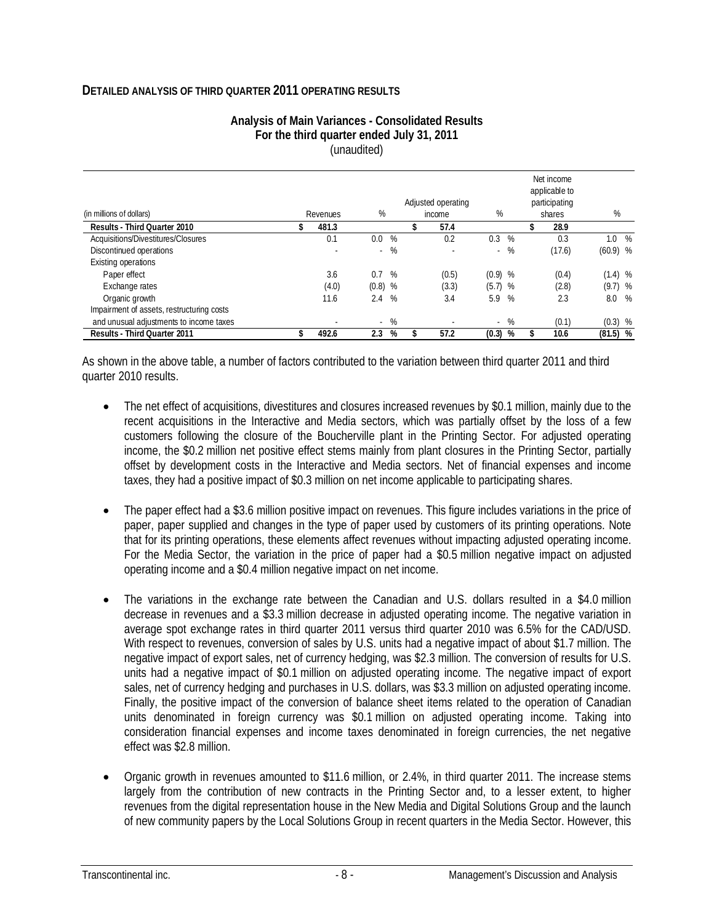#### **DETAILED ANALYSIS OF THIRD QUARTER 2011 OPERATING RESULTS**

| Analysis of Main Variances - Consolidated Results |
|---------------------------------------------------|
| For the third quarter ended July 31, 2011         |
| (unaudited)                                       |

|                                           |                          |                  |             |  | Adjusted operating       |                |   |        | Net income<br>applicable to<br>participating |            |   |
|-------------------------------------------|--------------------------|------------------|-------------|--|--------------------------|----------------|---|--------|----------------------------------------------|------------|---|
| (in millions of dollars)                  | Revenues                 |                  | %<br>income |  |                          | %              |   | shares |                                              | %          |   |
| Results - Third Quarter 2010              | 481.3                    |                  |             |  | 57.4                     |                |   |        | 28.9                                         |            |   |
| Acquisitions/Divestitures/Closures        | 0.1                      | $0.0\,$          | $\%$        |  | 0.2                      | 0.3            | % |        | 0.3                                          | $1.0\%$    |   |
| Discontinued operations                   | $\overline{\phantom{a}}$ |                  | $-$ %       |  | ٠                        | $\sim 10^{-1}$ | % |        | (17.6)                                       | $(60.9)$ % |   |
| Existing operations                       |                          |                  |             |  |                          |                |   |        |                                              |            |   |
| Paper effect                              | 3.6                      | 0.7              | %           |  | (0.5)                    | $(0.9)$ %      |   |        | (0.4)                                        | $(1.4)$ %  |   |
| Exchange rates                            | (4.0)                    | $(0.8)$ %        |             |  | (3.3)                    | $(5.7)$ %      |   |        | (2.8)                                        | $(9.7)$ %  |   |
| Organic growth                            | 11.6                     | 2.4              | $\%$        |  | 3.4                      | 5.9 %          |   |        | 2.3                                          | 8.0        | % |
| Impairment of assets, restructuring costs |                          |                  |             |  |                          |                |   |        |                                              |            |   |
| and unusual adjustments to income taxes   | $\overline{\phantom{a}}$ | $\sim$           | %           |  | $\overline{\phantom{a}}$ | $\sim$         | % |        | (0.1)                                        | $(0.3)$ %  |   |
| Results - Third Quarter 2011              | 492.6                    | $2.3\phantom{0}$ | %           |  | 57.2                     | (0.3)          | % |        | 10.6                                         | $(81.5)$ % |   |

As shown in the above table, a number of factors contributed to the variation between third quarter 2011 and third quarter 2010 results.

- The net effect of acquisitions, divestitures and closures increased revenues by \$0.1 million, mainly due to the recent acquisitions in the Interactive and Media sectors, which was partially offset by the loss of a few customers following the closure of the Boucherville plant in the Printing Sector. For adjusted operating income, the \$0.2 million net positive effect stems mainly from plant closures in the Printing Sector, partially offset by development costs in the Interactive and Media sectors. Net of financial expenses and income taxes, they had a positive impact of \$0.3 million on net income applicable to participating shares.
- The paper effect had a \$3.6 million positive impact on revenues. This figure includes variations in the price of paper, paper supplied and changes in the type of paper used by customers of its printing operations. Note that for its printing operations, these elements affect revenues without impacting adjusted operating income. For the Media Sector, the variation in the price of paper had a \$0.5 million negative impact on adjusted operating income and a \$0.4 million negative impact on net income.
- The variations in the exchange rate between the Canadian and U.S. dollars resulted in a \$4.0 million decrease in revenues and a \$3.3 million decrease in adjusted operating income. The negative variation in average spot exchange rates in third quarter 2011 versus third quarter 2010 was 6.5% for the CAD/USD. With respect to revenues, conversion of sales by U.S. units had a negative impact of about \$1.7 million. The negative impact of export sales, net of currency hedging, was \$2.3 million. The conversion of results for U.S. units had a negative impact of \$0.1 million on adjusted operating income. The negative impact of export sales, net of currency hedging and purchases in U.S. dollars, was \$3.3 million on adjusted operating income. Finally, the positive impact of the conversion of balance sheet items related to the operation of Canadian units denominated in foreign currency was \$0.1 million on adjusted operating income. Taking into consideration financial expenses and income taxes denominated in foreign currencies, the net negative effect was \$2.8 million.
- Organic growth in revenues amounted to \$11.6 million, or 2.4%, in third quarter 2011. The increase stems largely from the contribution of new contracts in the Printing Sector and, to a lesser extent, to higher revenues from the digital representation house in the New Media and Digital Solutions Group and the launch of new community papers by the Local Solutions Group in recent quarters in the Media Sector. However, this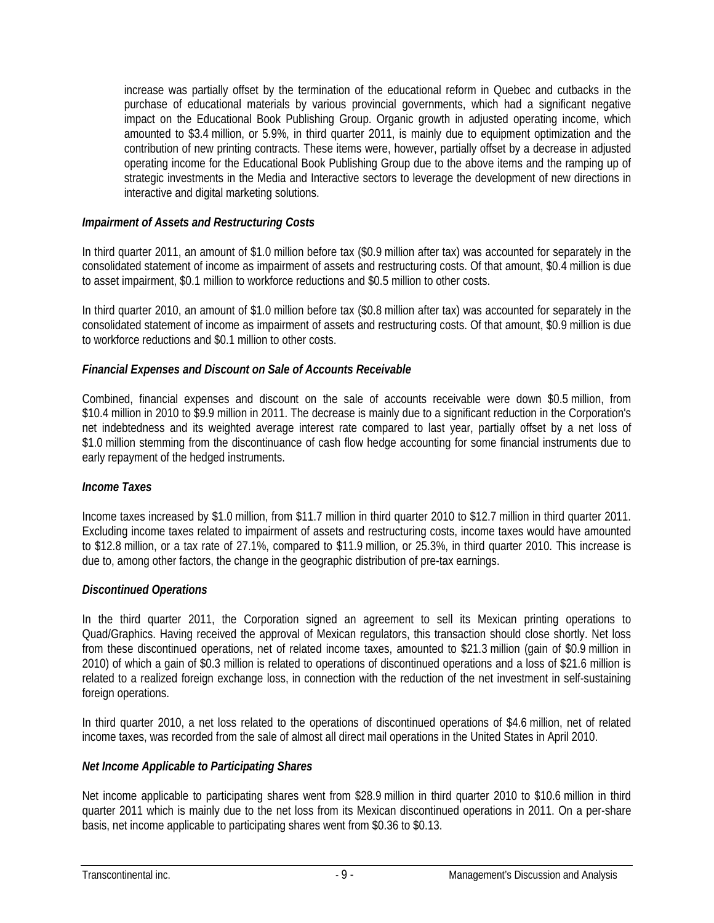increase was partially offset by the termination of the educational reform in Quebec and cutbacks in the purchase of educational materials by various provincial governments, which had a significant negative impact on the Educational Book Publishing Group. Organic growth in adjusted operating income, which amounted to \$3.4 million, or 5.9%, in third quarter 2011, is mainly due to equipment optimization and the contribution of new printing contracts. These items were, however, partially offset by a decrease in adjusted operating income for the Educational Book Publishing Group due to the above items and the ramping up of strategic investments in the Media and Interactive sectors to leverage the development of new directions in interactive and digital marketing solutions.

### *Impairment of Assets and Restructuring Costs*

In third quarter 2011, an amount of \$1.0 million before tax (\$0.9 million after tax) was accounted for separately in the consolidated statement of income as impairment of assets and restructuring costs. Of that amount, \$0.4 million is due to asset impairment, \$0.1 million to workforce reductions and \$0.5 million to other costs.

In third quarter 2010, an amount of \$1.0 million before tax (\$0.8 million after tax) was accounted for separately in the consolidated statement of income as impairment of assets and restructuring costs. Of that amount, \$0.9 million is due to workforce reductions and \$0.1 million to other costs.

### *Financial Expenses and Discount on Sale of Accounts Receivable*

Combined, financial expenses and discount on the sale of accounts receivable were down \$0.5 million, from \$10.4 million in 2010 to \$9.9 million in 2011. The decrease is mainly due to a significant reduction in the Corporation's net indebtedness and its weighted average interest rate compared to last year, partially offset by a net loss of \$1.0 million stemming from the discontinuance of cash flow hedge accounting for some financial instruments due to early repayment of the hedged instruments.

#### *Income Taxes*

Income taxes increased by \$1.0 million, from \$11.7 million in third quarter 2010 to \$12.7 million in third quarter 2011. Excluding income taxes related to impairment of assets and restructuring costs, income taxes would have amounted to \$12.8 million, or a tax rate of 27.1%, compared to \$11.9 million, or 25.3%, in third quarter 2010. This increase is due to, among other factors, the change in the geographic distribution of pre-tax earnings.

#### *Discontinued Operations*

In the third quarter 2011, the Corporation signed an agreement to sell its Mexican printing operations to Quad/Graphics. Having received the approval of Mexican regulators, this transaction should close shortly. Net loss from these discontinued operations, net of related income taxes, amounted to \$21.3 million (gain of \$0.9 million in 2010) of which a gain of \$0.3 million is related to operations of discontinued operations and a loss of \$21.6 million is related to a realized foreign exchange loss, in connection with the reduction of the net investment in self-sustaining foreign operations.

In third quarter 2010, a net loss related to the operations of discontinued operations of \$4.6 million, net of related income taxes, was recorded from the sale of almost all direct mail operations in the United States in April 2010.

### *Net Income Applicable to Participating Shares*

Net income applicable to participating shares went from \$28.9 million in third quarter 2010 to \$10.6 million in third quarter 2011 which is mainly due to the net loss from its Mexican discontinued operations in 2011. On a per-share basis, net income applicable to participating shares went from \$0.36 to \$0.13.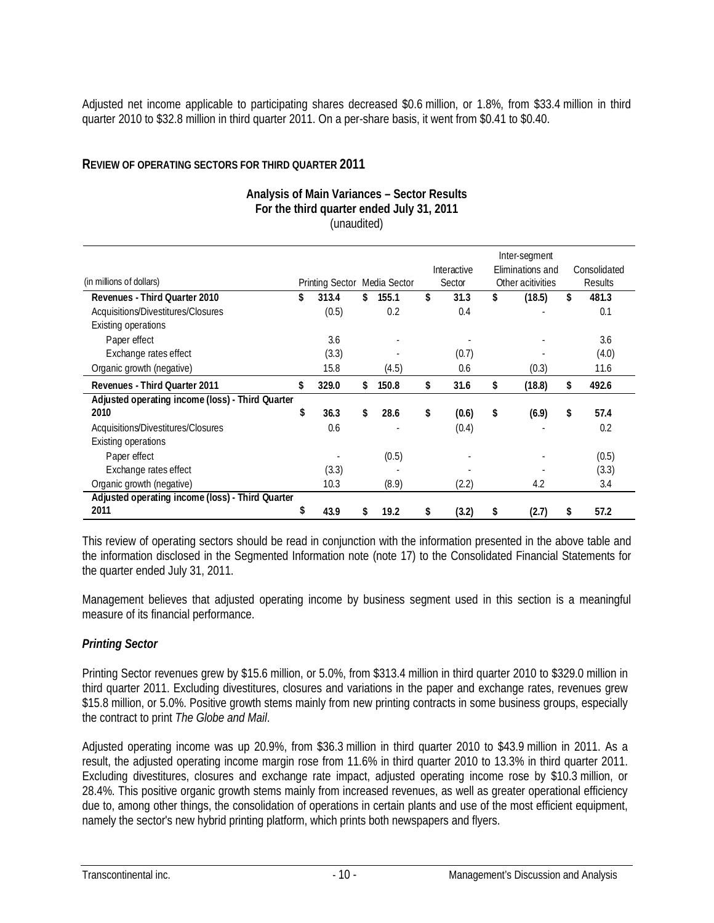Adjusted net income applicable to participating shares decreased \$0.6 million, or 1.8%, from \$33.4 million in third quarter 2010 to \$32.8 million in third quarter 2011. On a per-share basis, it went from \$0.41 to \$0.40.

#### **REVIEW OF OPERATING SECTORS FOR THIRD QUARTER 2011**

#### **Analysis of Main Variances – Sector Results For the third quarter ended July 31, 2011**  (unaudited)

|                                                  |                              |       |    |       |             | Inter-segment     |              |
|--------------------------------------------------|------------------------------|-------|----|-------|-------------|-------------------|--------------|
|                                                  |                              |       |    |       | Interactive | Eliminations and  | Consolidated |
| (in millions of dollars)                         | Printing Sector Media Sector |       |    |       | Sector      | Other acitivities | Results      |
| Revenues - Third Quarter 2010                    | \$                           | 313.4 | \$ | 155.1 | \$<br>31.3  | \$<br>(18.5)      | \$<br>481.3  |
| Acquisitions/Divestitures/Closures               |                              | (0.5) |    | 0.2   | 0.4         |                   | 0.1          |
| <b>Existing operations</b>                       |                              |       |    |       |             |                   |              |
| Paper effect                                     |                              | 3.6   |    |       |             |                   | 3.6          |
| Exchange rates effect                            |                              | (3.3) |    |       | (0.7)       |                   | (4.0)        |
| Organic growth (negative)                        |                              | 15.8  |    | (4.5) | 0.6         | (0.3)             | 11.6         |
| Revenues - Third Quarter 2011                    | \$                           | 329.0 | \$ | 150.8 | \$<br>31.6  | \$<br>(18.8)      | \$<br>492.6  |
| Adjusted operating income (loss) - Third Quarter |                              |       |    |       |             |                   |              |
| 2010                                             | \$                           | 36.3  | \$ | 28.6  | \$<br>(0.6) | \$<br>(6.9)       | \$<br>57.4   |
| Acquisitions/Divestitures/Closures               |                              | 0.6   |    |       | (0.4)       |                   | 0.2          |
| <b>Existing operations</b>                       |                              |       |    |       |             |                   |              |
| Paper effect                                     |                              |       |    | (0.5) |             |                   | (0.5)        |
| Exchange rates effect                            |                              | (3.3) |    |       |             |                   | (3.3)        |
| Organic growth (negative)                        |                              | 10.3  |    | (8.9) | (2.2)       | 4.2               | 3.4          |
| Adjusted operating income (loss) - Third Quarter |                              |       |    |       |             |                   |              |
| 2011                                             | \$                           | 43.9  | S  | 19.2  | \$<br>(3.2) | \$<br>(2.7)       | \$<br>57.2   |

This review of operating sectors should be read in conjunction with the information presented in the above table and the information disclosed in the Segmented Information note (note 17) to the Consolidated Financial Statements for the quarter ended July 31, 2011.

Management believes that adjusted operating income by business segment used in this section is a meaningful measure of its financial performance.

### *Printing Sector*

Printing Sector revenues grew by \$15.6 million, or 5.0%, from \$313.4 million in third quarter 2010 to \$329.0 million in third quarter 2011. Excluding divestitures, closures and variations in the paper and exchange rates, revenues grew \$15.8 million, or 5.0%. Positive growth stems mainly from new printing contracts in some business groups, especially the contract to print *The Globe and Mail*.

Adjusted operating income was up 20.9%, from \$36.3 million in third quarter 2010 to \$43.9 million in 2011. As a result, the adjusted operating income margin rose from 11.6% in third quarter 2010 to 13.3% in third quarter 2011. Excluding divestitures, closures and exchange rate impact, adjusted operating income rose by \$10.3 million, or 28.4%. This positive organic growth stems mainly from increased revenues, as well as greater operational efficiency due to, among other things, the consolidation of operations in certain plants and use of the most efficient equipment, namely the sector's new hybrid printing platform, which prints both newspapers and flyers.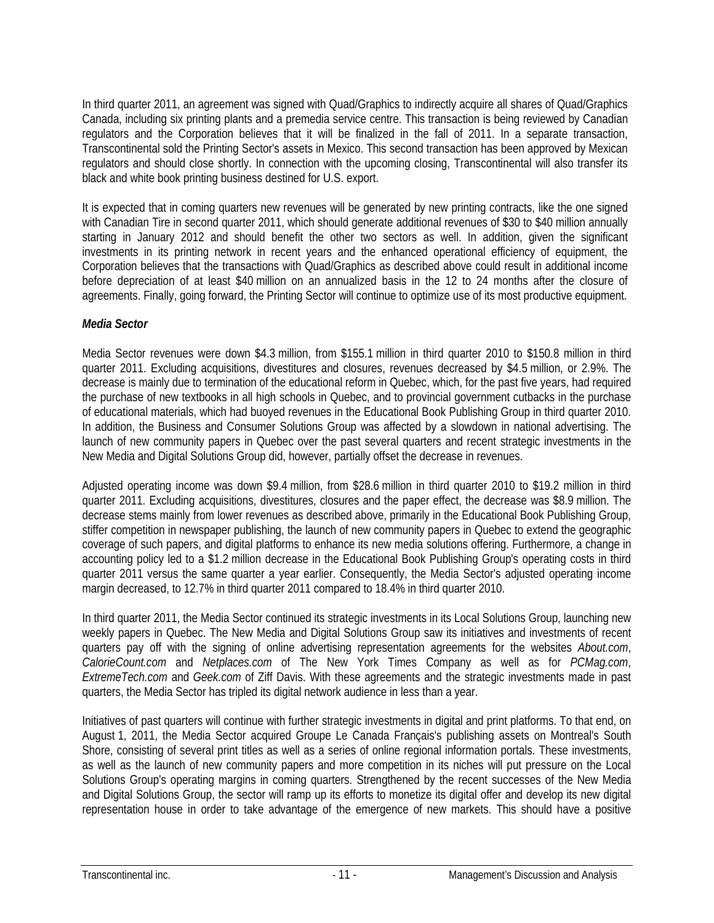In third quarter 2011, an agreement was signed with Quad/Graphics to indirectly acquire all shares of Quad/Graphics Canada, including six printing plants and a premedia service centre. This transaction is being reviewed by Canadian regulators and the Corporation believes that it will be finalized in the fall of 2011. In a separate transaction, Transcontinental sold the Printing Sector's assets in Mexico. This second transaction has been approved by Mexican regulators and should close shortly. In connection with the upcoming closing, Transcontinental will also transfer its black and white book printing business destined for U.S. export.

It is expected that in coming quarters new revenues will be generated by new printing contracts, like the one signed with Canadian Tire in second quarter 2011, which should generate additional revenues of \$30 to \$40 million annually starting in January 2012 and should benefit the other two sectors as well. In addition, given the significant investments in its printing network in recent years and the enhanced operational efficiency of equipment, the Corporation believes that the transactions with Quad/Graphics as described above could result in additional income before depreciation of at least \$40 million on an annualized basis in the 12 to 24 months after the closure of agreements. Finally, going forward, the Printing Sector will continue to optimize use of its most productive equipment.

### *Media Sector*

Media Sector revenues were down \$4.3 million, from \$155.1 million in third quarter 2010 to \$150.8 million in third quarter 2011. Excluding acquisitions, divestitures and closures, revenues decreased by \$4.5 million, or 2.9%. The decrease is mainly due to termination of the educational reform in Quebec, which, for the past five years, had required the purchase of new textbooks in all high schools in Quebec, and to provincial government cutbacks in the purchase of educational materials, which had buoyed revenues in the Educational Book Publishing Group in third quarter 2010. In addition, the Business and Consumer Solutions Group was affected by a slowdown in national advertising. The launch of new community papers in Quebec over the past several quarters and recent strategic investments in the New Media and Digital Solutions Group did, however, partially offset the decrease in revenues.

Adjusted operating income was down \$9.4 million, from \$28.6 million in third quarter 2010 to \$19.2 million in third quarter 2011. Excluding acquisitions, divestitures, closures and the paper effect, the decrease was \$8.9 million. The decrease stems mainly from lower revenues as described above, primarily in the Educational Book Publishing Group, stiffer competition in newspaper publishing, the launch of new community papers in Quebec to extend the geographic coverage of such papers, and digital platforms to enhance its new media solutions offering. Furthermore, a change in accounting policy led to a \$1.2 million decrease in the Educational Book Publishing Group's operating costs in third quarter 2011 versus the same quarter a year earlier. Consequently, the Media Sector's adjusted operating income margin decreased, to 12.7% in third quarter 2011 compared to 18.4% in third quarter 2010.

In third quarter 2011, the Media Sector continued its strategic investments in its Local Solutions Group, launching new weekly papers in Quebec. The New Media and Digital Solutions Group saw its initiatives and investments of recent quarters pay off with the signing of online advertising representation agreements for the websites *About.com*, *CalorieCount.com* and *Netplaces.com* of The New York Times Company as well as for *PCMag.com*, *ExtremeTech.com* and *Geek.com* of Ziff Davis. With these agreements and the strategic investments made in past quarters, the Media Sector has tripled its digital network audience in less than a year.

Initiatives of past quarters will continue with further strategic investments in digital and print platforms. To that end, on August 1, 2011, the Media Sector acquired Groupe Le Canada Français's publishing assets on Montreal's South Shore, consisting of several print titles as well as a series of online regional information portals. These investments, as well as the launch of new community papers and more competition in its niches will put pressure on the Local Solutions Group's operating margins in coming quarters. Strengthened by the recent successes of the New Media and Digital Solutions Group, the sector will ramp up its efforts to monetize its digital offer and develop its new digital representation house in order to take advantage of the emergence of new markets. This should have a positive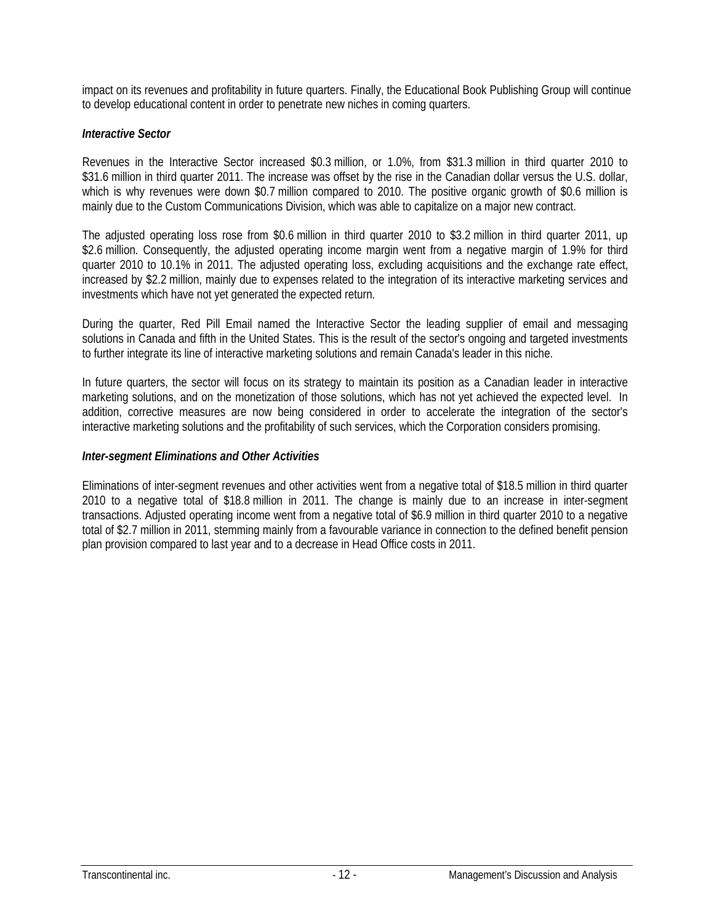impact on its revenues and profitability in future quarters. Finally, the Educational Book Publishing Group will continue to develop educational content in order to penetrate new niches in coming quarters.

### *Interactive Sector*

Revenues in the Interactive Sector increased \$0.3 million, or 1.0%, from \$31.3 million in third quarter 2010 to \$31.6 million in third quarter 2011. The increase was offset by the rise in the Canadian dollar versus the U.S. dollar, which is why revenues were down \$0.7 million compared to 2010. The positive organic growth of \$0.6 million is mainly due to the Custom Communications Division, which was able to capitalize on a major new contract.

The adjusted operating loss rose from \$0.6 million in third quarter 2010 to \$3.2 million in third quarter 2011, up \$2.6 million. Consequently, the adjusted operating income margin went from a negative margin of 1.9% for third quarter 2010 to 10.1% in 2011. The adjusted operating loss, excluding acquisitions and the exchange rate effect, increased by \$2.2 million, mainly due to expenses related to the integration of its interactive marketing services and investments which have not yet generated the expected return.

During the quarter, Red Pill Email named the Interactive Sector the leading supplier of email and messaging solutions in Canada and fifth in the United States. This is the result of the sector's ongoing and targeted investments to further integrate its line of interactive marketing solutions and remain Canada's leader in this niche.

In future quarters, the sector will focus on its strategy to maintain its position as a Canadian leader in interactive marketing solutions, and on the monetization of those solutions, which has not yet achieved the expected level. In addition, corrective measures are now being considered in order to accelerate the integration of the sector's interactive marketing solutions and the profitability of such services, which the Corporation considers promising.

### *Inter-segment Eliminations and Other Activities*

Eliminations of inter-segment revenues and other activities went from a negative total of \$18.5 million in third quarter 2010 to a negative total of \$18.8 million in 2011. The change is mainly due to an increase in inter-segment transactions. Adjusted operating income went from a negative total of \$6.9 million in third quarter 2010 to a negative total of \$2.7 million in 2011, stemming mainly from a favourable variance in connection to the defined benefit pension plan provision compared to last year and to a decrease in Head Office costs in 2011.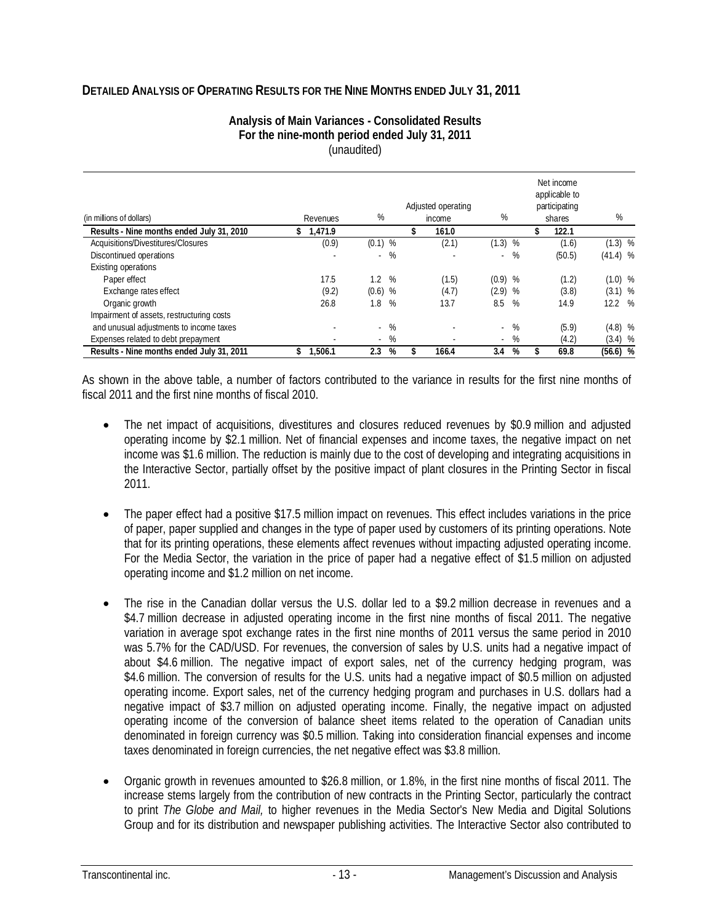### **DETAILED ANALYSIS OF OPERATING RESULTS FOR THE NINE MONTHS ENDED JULY 31, 2011**

| Analysis of Main Variances - Consolidated Results |
|---------------------------------------------------|
| For the nine-month period ended July 31, 2011     |
| (unaudited)                                       |

| (in millions of dollars)                  |  | Revenues | %         |       | Adjusted operating<br>income | %         |       | Net income<br>applicable to<br>participating<br>shares | %          |  |
|-------------------------------------------|--|----------|-----------|-------|------------------------------|-----------|-------|--------------------------------------------------------|------------|--|
| Results - Nine months ended July 31, 2010 |  | 1.471.9  |           |       | 161.0                        |           |       | 122.1                                                  |            |  |
| Acquisitions/Divestitures/Closures        |  | (0.9)    | $(0.1)$ % |       | (2.1)                        | (1.3)     | %     | (1.6)                                                  | $(1.3)$ %  |  |
| Discontinued operations                   |  |          | $\sim$    | %     |                              | $\sim$    | %     | (50.5)                                                 | $(41.4)$ % |  |
| Existing operations                       |  |          |           |       |                              |           |       |                                                        |            |  |
| Paper effect                              |  | 17.5     | 1.2%      |       | (1.5)                        | $(0.9)$ % |       | (1.2)                                                  | $(1.0)$ %  |  |
| Exchange rates effect                     |  | (9.2)    | $(0.6)$ % |       | (4.7)                        | (2.9)     | %     | (3.8)                                                  | $(3.1)$ %  |  |
| Organic growth                            |  | 26.8     | 1.8       | %     | 13.7                         | 8.5       | %     | 14.9                                                   | 12.2 %     |  |
| Impairment of assets, restructuring costs |  |          |           |       |                              |           |       |                                                        |            |  |
| and unusual adjustments to income taxes   |  |          |           | $-$ % |                              |           | $-$ % | (5.9)                                                  | $(4.8)$ %  |  |
| Expenses related to debt prepayment       |  |          | $\sim$    | %     |                              | $\sim$    | %     | (4.2)                                                  | $(3.4)$ %  |  |
| Results - Nine months ended July 31, 2011 |  | 1,506.1  | 2.3       | %     | 166.4                        | 3.4       | %     | 69.8                                                   | $(56.6)$ % |  |

As shown in the above table, a number of factors contributed to the variance in results for the first nine months of fiscal 2011 and the first nine months of fiscal 2010.

- The net impact of acquisitions, divestitures and closures reduced revenues by \$0.9 million and adjusted operating income by \$2.1 million. Net of financial expenses and income taxes, the negative impact on net income was \$1.6 million. The reduction is mainly due to the cost of developing and integrating acquisitions in the Interactive Sector, partially offset by the positive impact of plant closures in the Printing Sector in fiscal 2011.
- The paper effect had a positive \$17.5 million impact on revenues. This effect includes variations in the price of paper, paper supplied and changes in the type of paper used by customers of its printing operations. Note that for its printing operations, these elements affect revenues without impacting adjusted operating income. For the Media Sector, the variation in the price of paper had a negative effect of \$1.5 million on adjusted operating income and \$1.2 million on net income.
- The rise in the Canadian dollar versus the U.S. dollar led to a \$9.2 million decrease in revenues and a \$4.7 million decrease in adjusted operating income in the first nine months of fiscal 2011. The negative variation in average spot exchange rates in the first nine months of 2011 versus the same period in 2010 was 5.7% for the CAD/USD. For revenues, the conversion of sales by U.S. units had a negative impact of about \$4.6 million. The negative impact of export sales, net of the currency hedging program, was \$4.6 million. The conversion of results for the U.S. units had a negative impact of \$0.5 million on adjusted operating income. Export sales, net of the currency hedging program and purchases in U.S. dollars had a negative impact of \$3.7 million on adjusted operating income. Finally, the negative impact on adjusted operating income of the conversion of balance sheet items related to the operation of Canadian units denominated in foreign currency was \$0.5 million. Taking into consideration financial expenses and income taxes denominated in foreign currencies, the net negative effect was \$3.8 million.
- Organic growth in revenues amounted to \$26.8 million, or 1.8%, in the first nine months of fiscal 2011. The increase stems largely from the contribution of new contracts in the Printing Sector, particularly the contract to print *The Globe and Mail,* to higher revenues in the Media Sector's New Media and Digital Solutions Group and for its distribution and newspaper publishing activities. The Interactive Sector also contributed to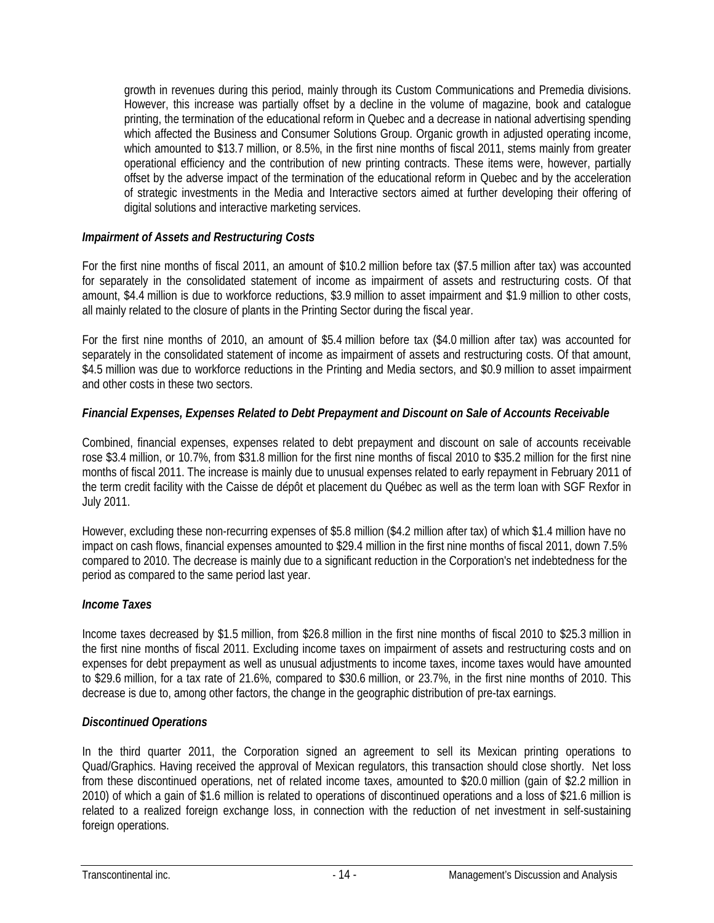growth in revenues during this period, mainly through its Custom Communications and Premedia divisions. However, this increase was partially offset by a decline in the volume of magazine, book and catalogue printing, the termination of the educational reform in Quebec and a decrease in national advertising spending which affected the Business and Consumer Solutions Group. Organic growth in adjusted operating income, which amounted to \$13.7 million, or 8.5%, in the first nine months of fiscal 2011, stems mainly from greater operational efficiency and the contribution of new printing contracts. These items were, however, partially offset by the adverse impact of the termination of the educational reform in Quebec and by the acceleration of strategic investments in the Media and Interactive sectors aimed at further developing their offering of digital solutions and interactive marketing services.

### *Impairment of Assets and Restructuring Costs*

For the first nine months of fiscal 2011, an amount of \$10.2 million before tax (\$7.5 million after tax) was accounted for separately in the consolidated statement of income as impairment of assets and restructuring costs. Of that amount, \$4.4 million is due to workforce reductions, \$3.9 million to asset impairment and \$1.9 million to other costs, all mainly related to the closure of plants in the Printing Sector during the fiscal year.

For the first nine months of 2010, an amount of \$5.4 million before tax (\$4.0 million after tax) was accounted for separately in the consolidated statement of income as impairment of assets and restructuring costs. Of that amount, \$4.5 million was due to workforce reductions in the Printing and Media sectors, and \$0.9 million to asset impairment and other costs in these two sectors.

### *Financial Expenses, Expenses Related to Debt Prepayment and Discount on Sale of Accounts Receivable*

Combined, financial expenses, expenses related to debt prepayment and discount on sale of accounts receivable rose \$3.4 million, or 10.7%, from \$31.8 million for the first nine months of fiscal 2010 to \$35.2 million for the first nine months of fiscal 2011. The increase is mainly due to unusual expenses related to early repayment in February 2011 of the term credit facility with the Caisse de dépôt et placement du Québec as well as the term loan with SGF Rexfor in July 2011.

However, excluding these non-recurring expenses of \$5.8 million (\$4.2 million after tax) of which \$1.4 million have no impact on cash flows, financial expenses amounted to \$29.4 million in the first nine months of fiscal 2011, down 7.5% compared to 2010. The decrease is mainly due to a significant reduction in the Corporation's net indebtedness for the period as compared to the same period last year.

### *Income Taxes*

Income taxes decreased by \$1.5 million, from \$26.8 million in the first nine months of fiscal 2010 to \$25.3 million in the first nine months of fiscal 2011. Excluding income taxes on impairment of assets and restructuring costs and on expenses for debt prepayment as well as unusual adjustments to income taxes, income taxes would have amounted to \$29.6 million, for a tax rate of 21.6%, compared to \$30.6 million, or 23.7%, in the first nine months of 2010. This decrease is due to, among other factors, the change in the geographic distribution of pre-tax earnings.

#### *Discontinued Operations*

In the third quarter 2011, the Corporation signed an agreement to sell its Mexican printing operations to Quad/Graphics. Having received the approval of Mexican regulators, this transaction should close shortly. Net loss from these discontinued operations, net of related income taxes, amounted to \$20.0 million (gain of \$2.2 million in 2010) of which a gain of \$1.6 million is related to operations of discontinued operations and a loss of \$21.6 million is related to a realized foreign exchange loss, in connection with the reduction of net investment in self-sustaining foreign operations.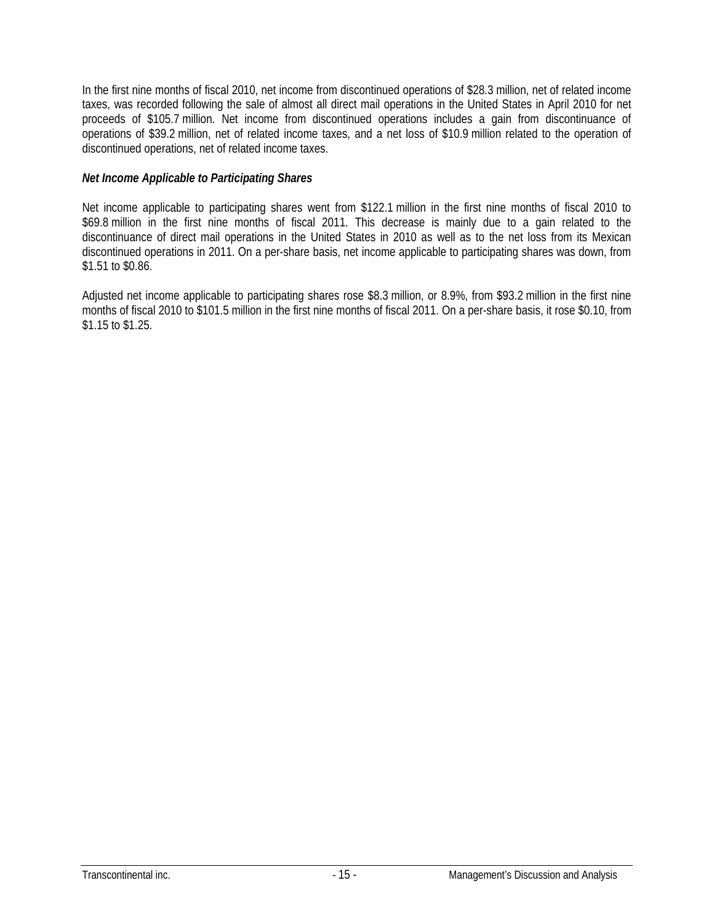In the first nine months of fiscal 2010, net income from discontinued operations of \$28.3 million, net of related income taxes, was recorded following the sale of almost all direct mail operations in the United States in April 2010 for net proceeds of \$105.7 million. Net income from discontinued operations includes a gain from discontinuance of operations of \$39.2 million, net of related income taxes, and a net loss of \$10.9 million related to the operation of discontinued operations, net of related income taxes.

### *Net Income Applicable to Participating Shares*

Net income applicable to participating shares went from \$122.1 million in the first nine months of fiscal 2010 to \$69.8 million in the first nine months of fiscal 2011. This decrease is mainly due to a gain related to the discontinuance of direct mail operations in the United States in 2010 as well as to the net loss from its Mexican discontinued operations in 2011. On a per-share basis, net income applicable to participating shares was down, from \$1.51 to \$0.86.

Adjusted net income applicable to participating shares rose \$8.3 million, or 8.9%, from \$93.2 million in the first nine months of fiscal 2010 to \$101.5 million in the first nine months of fiscal 2011. On a per-share basis, it rose \$0.10, from \$1.15 to \$1.25.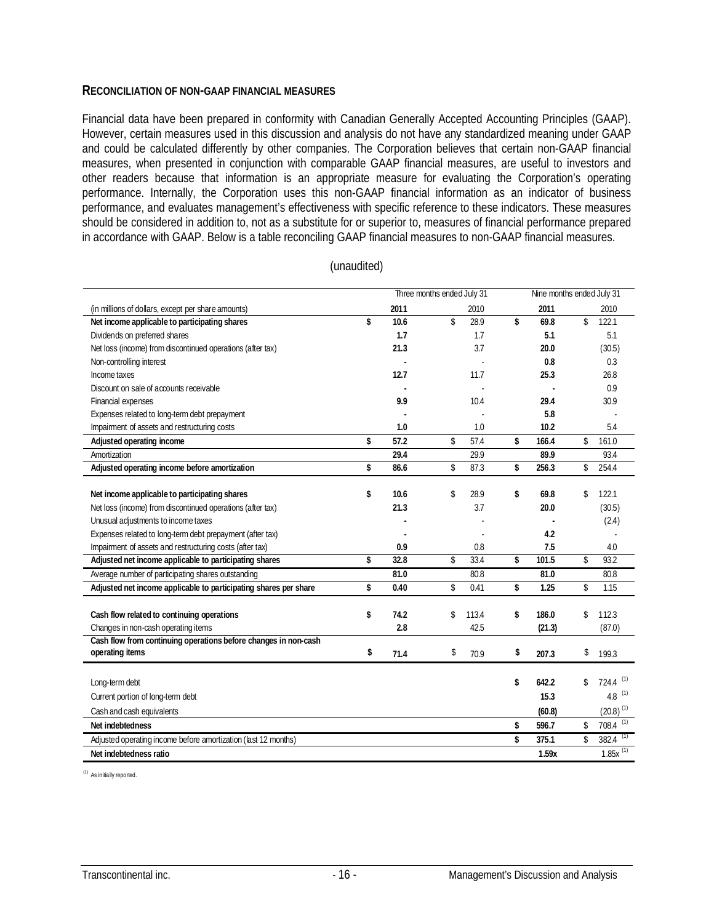#### **RECONCILIATION OF NON-GAAP FINANCIAL MEASURES**

Financial data have been prepared in conformity with Canadian Generally Accepted Accounting Principles (GAAP). However, certain measures used in this discussion and analysis do not have any standardized meaning under GAAP and could be calculated differently by other companies. The Corporation believes that certain non-GAAP financial measures, when presented in conjunction with comparable GAAP financial measures, are useful to investors and other readers because that information is an appropriate measure for evaluating the Corporation's operating performance. Internally, the Corporation uses this non-GAAP financial information as an indicator of business performance, and evaluates management's effectiveness with specific reference to these indicators. These measures should be considered in addition to, not as a substitute for or superior to, measures of financial performance prepared in accordance with GAAP. Below is a table reconciling GAAP financial measures to non-GAAP financial measures.

|                                                                                   |            | Three months ended July 31 |       |             | Nine months ended July 31 |                        |  |  |  |
|-----------------------------------------------------------------------------------|------------|----------------------------|-------|-------------|---------------------------|------------------------|--|--|--|
| (in millions of dollars, except per share amounts)                                | 2011       |                            | 2010  | 2011        |                           | 2010                   |  |  |  |
| Net income applicable to participating shares                                     | \$<br>10.6 | \$                         | 28.9  | \$<br>69.8  | \$                        | 122.1                  |  |  |  |
| Dividends on preferred shares                                                     | 1.7        |                            | 1.7   | 5.1         |                           | 5.1                    |  |  |  |
| Net loss (income) from discontinued operations (after tax)                        | 21.3       |                            | 3.7   | 20.0        |                           | (30.5)                 |  |  |  |
| Non-controlling interest                                                          |            |                            |       | 0.8         |                           | 0.3                    |  |  |  |
| Income taxes                                                                      | 12.7       |                            | 11.7  | 25.3        |                           | 26.8                   |  |  |  |
| Discount on sale of accounts receivable                                           |            |                            |       |             |                           | 0.9                    |  |  |  |
| Financial expenses                                                                | 9.9        |                            | 10.4  | 29.4        |                           | 30.9                   |  |  |  |
| Expenses related to long-term debt prepayment                                     |            |                            |       | 5.8         |                           |                        |  |  |  |
| Impairment of assets and restructuring costs                                      | 1.0        |                            | 1.0   | 10.2        |                           | 5.4                    |  |  |  |
| Adjusted operating income                                                         | \$<br>57.2 | \$                         | 57.4  | \$<br>166.4 | \$                        | 161.0                  |  |  |  |
| Amortization                                                                      | 29.4       |                            | 29.9  | 89.9        |                           | 93.4                   |  |  |  |
| Adjusted operating income before amortization                                     | \$<br>86.6 | \$                         | 87.3  | \$<br>256.3 | \$                        | 254.4                  |  |  |  |
| Net income applicable to participating shares                                     | \$<br>10.6 | \$                         | 28.9  | \$<br>69.8  | \$                        | 122.1                  |  |  |  |
| Net loss (income) from discontinued operations (after tax)                        | 21.3       |                            | 3.7   | 20.0        |                           | (30.5)                 |  |  |  |
| Unusual adjustments to income taxes                                               |            |                            |       |             |                           | (2.4)                  |  |  |  |
| Expenses related to long-term debt prepayment (after tax)                         |            |                            |       | 4.2         |                           |                        |  |  |  |
| Impairment of assets and restructuring costs (after tax)                          | 0.9        |                            | 0.8   | 7.5         |                           | 4.0                    |  |  |  |
| Adjusted net income applicable to participating shares                            | \$<br>32.8 | \$                         | 33.4  | \$<br>101.5 | \$                        | 93.2                   |  |  |  |
| Average number of participating shares outstanding                                | 81.0       |                            | 80.8  | 81.0        |                           | 80.8                   |  |  |  |
| Adjusted net income applicable to participating shares per share                  | \$<br>0.40 | \$                         | 0.41  | \$<br>1.25  | \$                        | 1.15                   |  |  |  |
|                                                                                   | \$<br>74.2 | \$                         | 113.4 | \$<br>186.0 | \$                        | 112.3                  |  |  |  |
| Cash flow related to continuing operations<br>Changes in non-cash operating items | 2.8        |                            | 42.5  | (21.3)      |                           | (87.0)                 |  |  |  |
| Cash flow from continuing operations before changes in non-cash                   |            |                            |       |             |                           |                        |  |  |  |
| operating items                                                                   | \$<br>71.4 | \$                         | 70.9  | \$<br>207.3 | \$                        | 199.3                  |  |  |  |
|                                                                                   |            |                            |       |             |                           |                        |  |  |  |
| Long-term debt                                                                    |            |                            |       | \$<br>642.2 | \$                        | (1)<br>724.4           |  |  |  |
| Current portion of long-term debt                                                 |            |                            |       | 15.3        |                           | (1)<br>4.8             |  |  |  |
| Cash and cash equivalents                                                         |            |                            |       | (60.8)      |                           | $(20.8)^{(1)}$         |  |  |  |
| Net indebtedness                                                                  |            |                            |       | \$<br>596.7 | \$                        | (1)<br>708.4           |  |  |  |
| Adjusted operating income before amortization (last 12 months)                    |            |                            |       | \$<br>375.1 | $\mathbf{\hat{z}}$        | $382.4$ <sup>(1)</sup> |  |  |  |
| Net indebtedness ratio                                                            |            |                            |       | 1.59x       |                           | $1.85x^{(1)}$          |  |  |  |

(unaudited)

(1) As initially reported.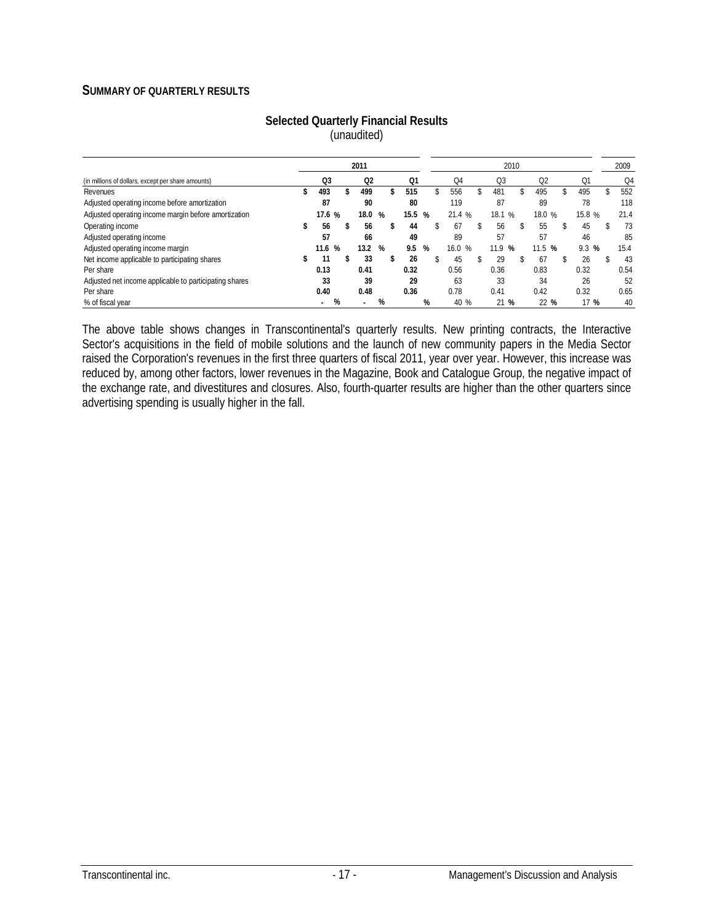#### **SUMMARY OF QUARTERLY RESULTS**

|                                                        |  |        |   |                | 2009 |                |   |           |                |      |                |    |          |   |      |
|--------------------------------------------------------|--|--------|---|----------------|------|----------------|---|-----------|----------------|------|----------------|----|----------|---|------|
| (in millions of dollars, except per share amounts)     |  | Q3     |   | Q <sub>2</sub> |      | Q <sub>1</sub> |   | Q4        | Q <sub>3</sub> |      | Q <sub>2</sub> |    | Q1       |   | Q4   |
| Revenues                                               |  | 493    |   | 499            | \$   | 515            |   | 556       | 481            |      | 495            |    | 495      |   | 552  |
| Adjusted operating income before amortization          |  | 87     |   | 90             |      | 80             |   | 119       | 87             |      | 89             |    | 78       |   | 118  |
| Adjusted operating income margin before amortization   |  | 17.6 % |   | 18.0           | %    | 15.5           | % | 21.4%     | 18.1 %         |      | 18.0 %         |    | 15.8 %   |   | 21.4 |
| Operating income                                       |  | 56     |   | 56             | ъ    | 44             |   | 67        | 56             |      | 55             | \$ | 45       | S | 73   |
| Adjusted operating income                              |  | 57     |   | 66             |      | 49             |   | 89        | 57             |      | 57             |    | 46       |   | 85   |
| Adjusted operating income margin                       |  | 11.6   | % | 13.2           | %    | 9.5            | % | 16.0<br>% | 11.9           | %    | 11.5 %         |    | 9.3<br>% |   | 15.4 |
| Net income applicable to participating shares          |  |        |   | 33             | \$   | 26             |   | 45        | 29             |      | 67             |    | 26       |   | 43   |
| Per share                                              |  | 0.13   |   | 0.41           |      | 0.32           |   | 0.56      | 0.36           |      | 0.83           |    | 0.32     |   | 0.54 |
| Adjusted net income applicable to participating shares |  | 33     |   | 39             |      | 29             |   | 63        | 33             |      | 34             |    | 26       |   | 52   |
| Per share                                              |  | 0.40   |   | 0.48           |      | 0.36           |   | 0.78      | 0.41           |      | 0.42           |    | 0.32     |   | 0.65 |
| % of fiscal year                                       |  |        | % |                | %    |                | % | 40 %      |                | 21 % | 22 %           |    | 17 %     |   | 40   |

#### **Selected Quarterly Financial Results**  (unaudited)

The above table shows changes in Transcontinental's quarterly results. New printing contracts, the Interactive Sector's acquisitions in the field of mobile solutions and the launch of new community papers in the Media Sector raised the Corporation's revenues in the first three quarters of fiscal 2011, year over year. However, this increase was reduced by, among other factors, lower revenues in the Magazine, Book and Catalogue Group, the negative impact of the exchange rate, and divestitures and closures. Also, fourth-quarter results are higher than the other quarters since advertising spending is usually higher in the fall.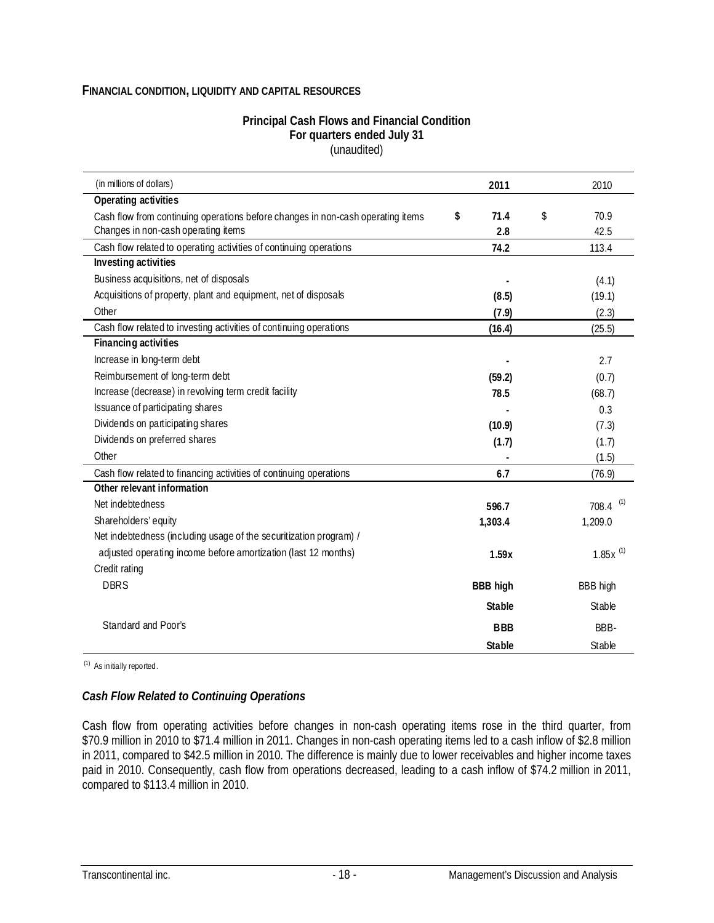#### **FINANCIAL CONDITION, LIQUIDITY AND CAPITAL RESOURCES**

#### **Principal Cash Flows and Financial Condition For quarters ended July 31**  (unaudited)

| (in millions of dollars)                                                        | 2011            | 2010                   |
|---------------------------------------------------------------------------------|-----------------|------------------------|
| Operating activities                                                            |                 |                        |
| Cash flow from continuing operations before changes in non-cash operating items | \$<br>71.4      | \$<br>70.9             |
| Changes in non-cash operating items                                             | 2.8             | 42.5                   |
| Cash flow related to operating activities of continuing operations              | 74.2            | 113.4                  |
| <b>Investing activities</b>                                                     |                 |                        |
| Business acquisitions, net of disposals                                         |                 | (4.1)                  |
| Acquisitions of property, plant and equipment, net of disposals                 | (8.5)           | (19.1)                 |
| Other                                                                           | (7.9)           | (2.3)                  |
| Cash flow related to investing activities of continuing operations              | (16.4)          | (25.5)                 |
| Financing activities                                                            |                 |                        |
| Increase in long-term debt                                                      |                 | 2.7                    |
| Reimbursement of long-term debt                                                 | (59.2)          | (0.7)                  |
| Increase (decrease) in revolving term credit facility                           | 78.5            | (68.7)                 |
| Issuance of participating shares                                                |                 | 0.3                    |
| Dividends on participating shares                                               | (10.9)          | (7.3)                  |
| Dividends on preferred shares                                                   | (1.7)           | (1.7)                  |
| Other                                                                           |                 | (1.5)                  |
| Cash flow related to financing activities of continuing operations              | 6.7             | (76.9)                 |
| Other relevant information                                                      |                 |                        |
| Net indebtedness                                                                | 596.7           | $708.4$ <sup>(1)</sup> |
| Shareholders' equity                                                            | 1,303.4         | 1,209.0                |
| Net indebtedness (including usage of the securitization program) /              |                 |                        |
| adjusted operating income before amortization (last 12 months)                  | 1.59x           | $1.85x^{(1)}$          |
| Credit rating                                                                   |                 |                        |
| <b>DBRS</b>                                                                     | <b>BBB high</b> | <b>BBB</b> high        |
|                                                                                 | <b>Stable</b>   | Stable                 |
| Standard and Poor's                                                             | <b>BBB</b>      | BBB-                   |
|                                                                                 | <b>Stable</b>   | Stable                 |

(1) As initially reported.

#### *Cash Flow Related to Continuing Operations*

Cash flow from operating activities before changes in non-cash operating items rose in the third quarter, from \$70.9 million in 2010 to \$71.4 million in 2011. Changes in non-cash operating items led to a cash inflow of \$2.8 million in 2011, compared to \$42.5 million in 2010. The difference is mainly due to lower receivables and higher income taxes paid in 2010. Consequently, cash flow from operations decreased, leading to a cash inflow of \$74.2 million in 2011, compared to \$113.4 million in 2010.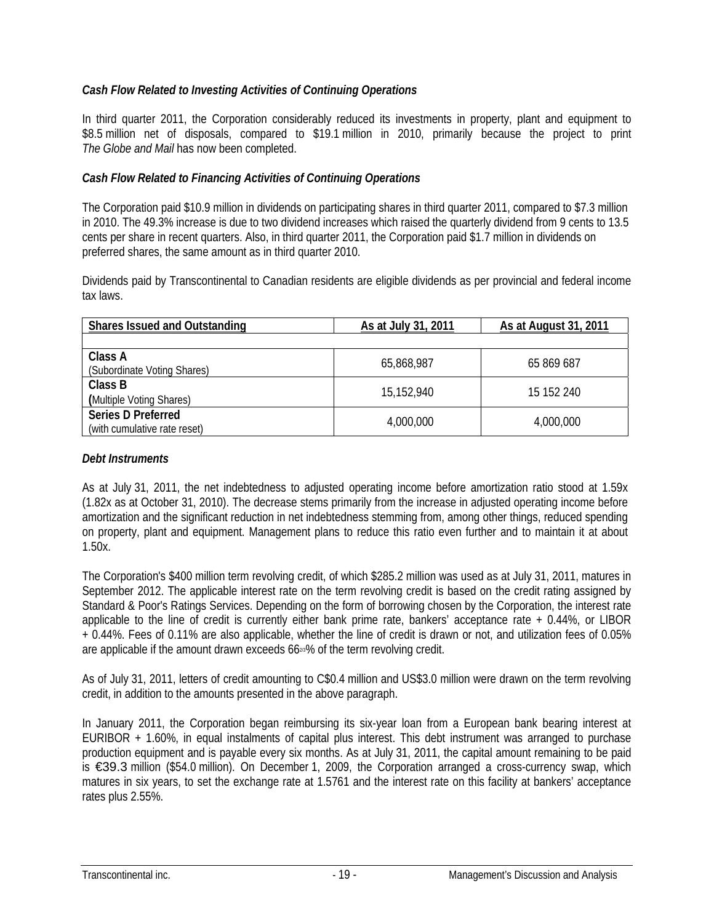### *Cash Flow Related to Investing Activities of Continuing Operations*

In third quarter 2011, the Corporation considerably reduced its investments in property, plant and equipment to \$8.5 million net of disposals, compared to \$19.1 million in 2010, primarily because the project to print *The Globe and Mail* has now been completed.

### *Cash Flow Related to Financing Activities of Continuing Operations*

The Corporation paid \$10.9 million in dividends on participating shares in third quarter 2011, compared to \$7.3 million in 2010. The 49.3% increase is due to two dividend increases which raised the quarterly dividend from 9 cents to 13.5 cents per share in recent quarters. Also, in third quarter 2011, the Corporation paid \$1.7 million in dividends on preferred shares, the same amount as in third quarter 2010.

Dividends paid by Transcontinental to Canadian residents are eligible dividends as per provincial and federal income tax laws.

| <b>Shares Issued and Outstanding</b>                      | As at July 31, 2011 | As at August 31, 2011 |
|-----------------------------------------------------------|---------------------|-----------------------|
|                                                           |                     |                       |
| Class A<br>(Subordinate Voting Shares)                    | 65,868,987          | 65 869 687            |
| Class B<br>(Multiple Voting Shares)                       | 15,152,940          | 15 152 240            |
| <b>Series D Preferred</b><br>(with cumulative rate reset) | 4,000,000           | 4,000,000             |

#### *Debt Instruments*

As at July 31, 2011, the net indebtedness to adjusted operating income before amortization ratio stood at 1.59x (1.82x as at October 31, 2010). The decrease stems primarily from the increase in adjusted operating income before amortization and the significant reduction in net indebtedness stemming from, among other things, reduced spending on property, plant and equipment. Management plans to reduce this ratio even further and to maintain it at about 1.50x.

The Corporation's \$400 million term revolving credit, of which \$285.2 million was used as at July 31, 2011, matures in September 2012. The applicable interest rate on the term revolving credit is based on the credit rating assigned by Standard & Poor's Ratings Services. Depending on the form of borrowing chosen by the Corporation, the interest rate applicable to the line of credit is currently either bank prime rate, bankers' acceptance rate + 0.44%, or LIBOR + 0.44%. Fees of 0.11% are also applicable, whether the line of credit is drawn or not, and utilization fees of 0.05% are applicable if the amount drawn exceeds 662<sup>3</sup>% of the term revolving credit.

As of July 31, 2011, letters of credit amounting to C\$0.4 million and US\$3.0 million were drawn on the term revolving credit, in addition to the amounts presented in the above paragraph.

In January 2011, the Corporation began reimbursing its six-year loan from a European bank bearing interest at EURIBOR + 1.60%, in equal instalments of capital plus interest. This debt instrument was arranged to purchase production equipment and is payable every six months. As at July 31, 2011, the capital amount remaining to be paid is €39.3 million (\$54.0 million). On December 1, 2009, the Corporation arranged a cross-currency swap, which matures in six years, to set the exchange rate at 1.5761 and the interest rate on this facility at bankers' acceptance rates plus 2.55%.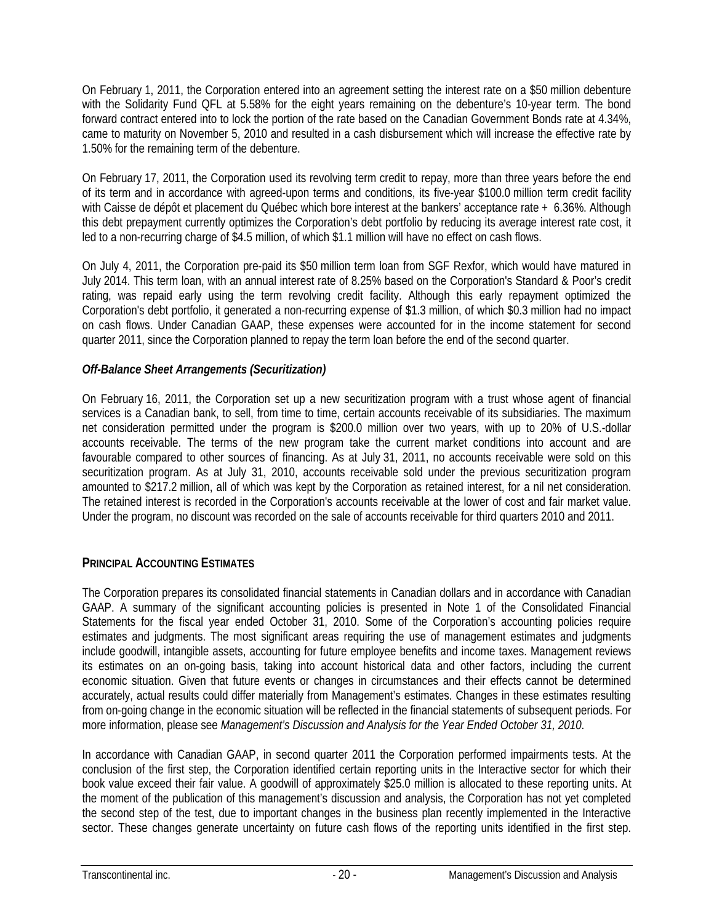On February 1, 2011, the Corporation entered into an agreement setting the interest rate on a \$50 million debenture with the Solidarity Fund QFL at 5.58% for the eight years remaining on the debenture's 10-year term. The bond forward contract entered into to lock the portion of the rate based on the Canadian Government Bonds rate at 4.34%, came to maturity on November 5, 2010 and resulted in a cash disbursement which will increase the effective rate by 1.50% for the remaining term of the debenture.

On February 17, 2011, the Corporation used its revolving term credit to repay, more than three years before the end of its term and in accordance with agreed-upon terms and conditions, its five-year \$100.0 million term credit facility with Caisse de dépôt et placement du Québec which bore interest at the bankers' acceptance rate + 6.36%. Although this debt prepayment currently optimizes the Corporation's debt portfolio by reducing its average interest rate cost, it led to a non-recurring charge of \$4.5 million, of which \$1.1 million will have no effect on cash flows.

On July 4, 2011, the Corporation pre-paid its \$50 million term loan from SGF Rexfor, which would have matured in July 2014. This term loan, with an annual interest rate of 8.25% based on the Corporation's Standard & Poor's credit rating, was repaid early using the term revolving credit facility. Although this early repayment optimized the Corporation's debt portfolio, it generated a non-recurring expense of \$1.3 million, of which \$0.3 million had no impact on cash flows. Under Canadian GAAP, these expenses were accounted for in the income statement for second quarter 2011, since the Corporation planned to repay the term loan before the end of the second quarter.

### *Off-Balance Sheet Arrangements (Securitization)*

On February 16, 2011, the Corporation set up a new securitization program with a trust whose agent of financial services is a Canadian bank, to sell, from time to time, certain accounts receivable of its subsidiaries. The maximum net consideration permitted under the program is \$200.0 million over two years, with up to 20% of U.S.-dollar accounts receivable. The terms of the new program take the current market conditions into account and are favourable compared to other sources of financing. As at July 31, 2011, no accounts receivable were sold on this securitization program. As at July 31, 2010, accounts receivable sold under the previous securitization program amounted to \$217.2 million, all of which was kept by the Corporation as retained interest, for a nil net consideration. The retained interest is recorded in the Corporation's accounts receivable at the lower of cost and fair market value. Under the program, no discount was recorded on the sale of accounts receivable for third quarters 2010 and 2011.

### **PRINCIPAL ACCOUNTING ESTIMATES**

The Corporation prepares its consolidated financial statements in Canadian dollars and in accordance with Canadian GAAP. A summary of the significant accounting policies is presented in Note 1 of the Consolidated Financial Statements for the fiscal year ended October 31, 2010. Some of the Corporation's accounting policies require estimates and judgments. The most significant areas requiring the use of management estimates and judgments include goodwill, intangible assets, accounting for future employee benefits and income taxes. Management reviews its estimates on an on-going basis, taking into account historical data and other factors, including the current economic situation. Given that future events or changes in circumstances and their effects cannot be determined accurately, actual results could differ materially from Management's estimates. Changes in these estimates resulting from on-going change in the economic situation will be reflected in the financial statements of subsequent periods. For more information, please see *Management's Discussion and Analysis for the Year Ended October 31, 2010*.

In accordance with Canadian GAAP, in second quarter 2011 the Corporation performed impairments tests. At the conclusion of the first step, the Corporation identified certain reporting units in the Interactive sector for which their book value exceed their fair value. A goodwill of approximately \$25.0 million is allocated to these reporting units. At the moment of the publication of this management's discussion and analysis, the Corporation has not yet completed the second step of the test, due to important changes in the business plan recently implemented in the Interactive sector. These changes generate uncertainty on future cash flows of the reporting units identified in the first step.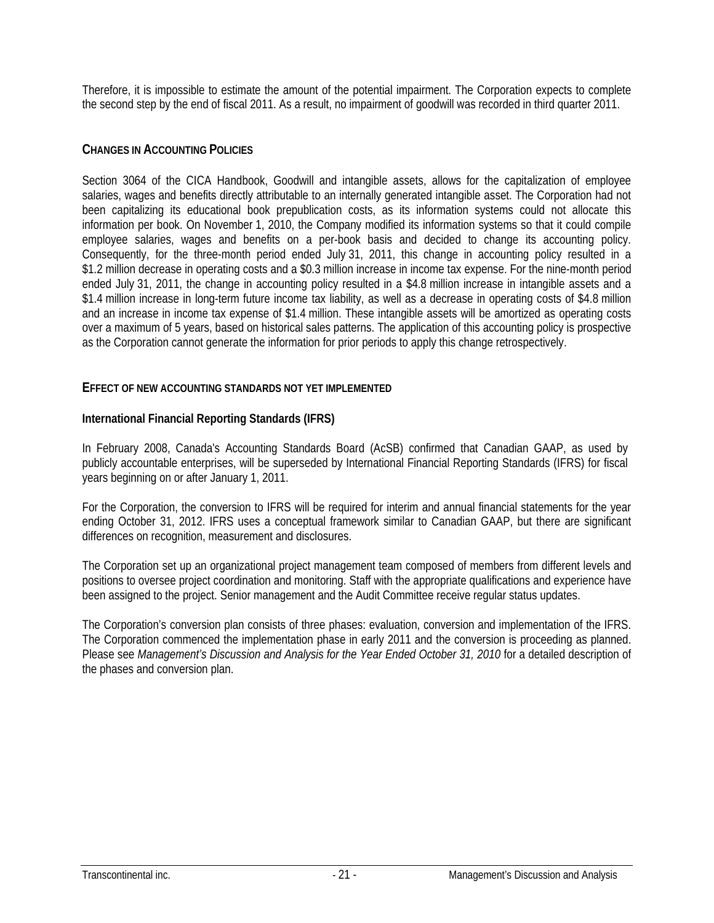Therefore, it is impossible to estimate the amount of the potential impairment. The Corporation expects to complete the second step by the end of fiscal 2011. As a result, no impairment of goodwill was recorded in third quarter 2011.

### **CHANGES IN ACCOUNTING POLICIES**

Section 3064 of the CICA Handbook, Goodwill and intangible assets, allows for the capitalization of employee salaries, wages and benefits directly attributable to an internally generated intangible asset. The Corporation had not been capitalizing its educational book prepublication costs, as its information systems could not allocate this information per book. On November 1, 2010, the Company modified its information systems so that it could compile employee salaries, wages and benefits on a per-book basis and decided to change its accounting policy. Consequently, for the three-month period ended July 31, 2011, this change in accounting policy resulted in a \$1.2 million decrease in operating costs and a \$0.3 million increase in income tax expense. For the nine-month period ended July 31, 2011, the change in accounting policy resulted in a \$4.8 million increase in intangible assets and a \$1.4 million increase in long-term future income tax liability, as well as a decrease in operating costs of \$4.8 million and an increase in income tax expense of \$1.4 million. These intangible assets will be amortized as operating costs over a maximum of 5 years, based on historical sales patterns. The application of this accounting policy is prospective as the Corporation cannot generate the information for prior periods to apply this change retrospectively.

### **EFFECT OF NEW ACCOUNTING STANDARDS NOT YET IMPLEMENTED**

### **International Financial Reporting Standards (IFRS)**

In February 2008, Canada's Accounting Standards Board (AcSB) confirmed that Canadian GAAP, as used by publicly accountable enterprises, will be superseded by International Financial Reporting Standards (IFRS) for fiscal years beginning on or after January 1, 2011.

For the Corporation, the conversion to IFRS will be required for interim and annual financial statements for the year ending October 31, 2012. IFRS uses a conceptual framework similar to Canadian GAAP, but there are significant differences on recognition, measurement and disclosures.

The Corporation set up an organizational project management team composed of members from different levels and positions to oversee project coordination and monitoring. Staff with the appropriate qualifications and experience have been assigned to the project. Senior management and the Audit Committee receive regular status updates.

The Corporation's conversion plan consists of three phases: evaluation, conversion and implementation of the IFRS. The Corporation commenced the implementation phase in early 2011 and the conversion is proceeding as planned. Please see *Management's Discussion and Analysis for the Year Ended October 31, 2010* for a detailed description of the phases and conversion plan.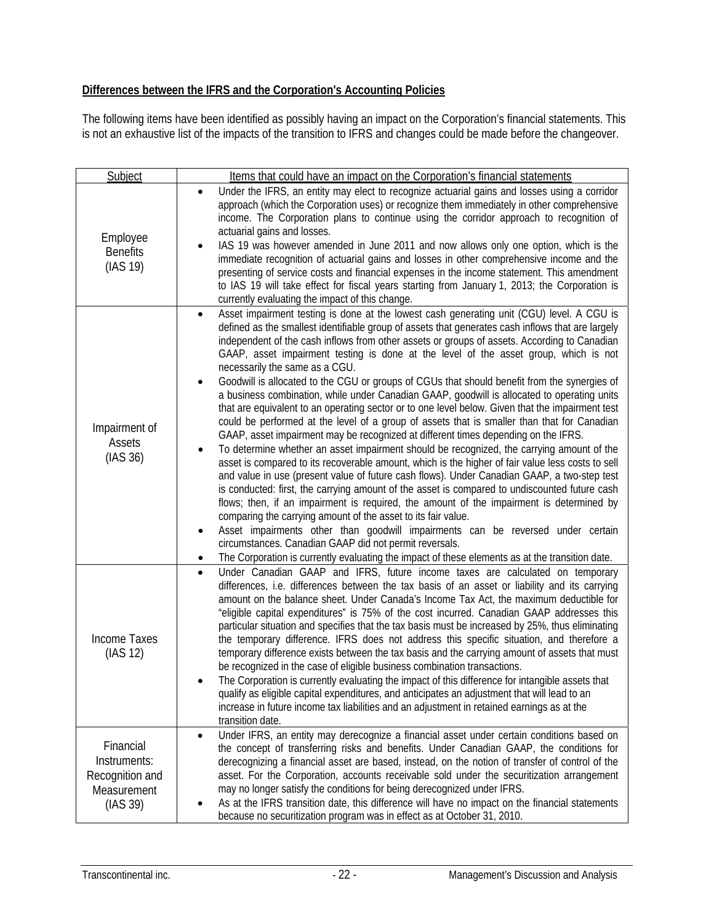### **Differences between the IFRS and the Corporation's Accounting Policies**

The following items have been identified as possibly having an impact on the Corporation's financial statements. This is not an exhaustive list of the impacts of the transition to IFRS and changes could be made before the changeover.

| Subject                                                                 | Items that could have an impact on the Corporation's financial statements                                                                                                                                                                                                                                                                                                                                                                                                                                                                                                                                                                                                                                                                                                                                                                                                                                                                                                                                                                                                                                                                                                                                                                                                                                                                                                                                                                                                                                                                                                                                                                                                                                                                    |
|-------------------------------------------------------------------------|----------------------------------------------------------------------------------------------------------------------------------------------------------------------------------------------------------------------------------------------------------------------------------------------------------------------------------------------------------------------------------------------------------------------------------------------------------------------------------------------------------------------------------------------------------------------------------------------------------------------------------------------------------------------------------------------------------------------------------------------------------------------------------------------------------------------------------------------------------------------------------------------------------------------------------------------------------------------------------------------------------------------------------------------------------------------------------------------------------------------------------------------------------------------------------------------------------------------------------------------------------------------------------------------------------------------------------------------------------------------------------------------------------------------------------------------------------------------------------------------------------------------------------------------------------------------------------------------------------------------------------------------------------------------------------------------------------------------------------------------|
| Employee<br><b>Benefits</b><br>(IAS 19)                                 | Under the IFRS, an entity may elect to recognize actuarial gains and losses using a corridor<br>$\bullet$<br>approach (which the Corporation uses) or recognize them immediately in other comprehensive<br>income. The Corporation plans to continue using the corridor approach to recognition of<br>actuarial gains and losses.<br>IAS 19 was however amended in June 2011 and now allows only one option, which is the<br>immediate recognition of actuarial gains and losses in other comprehensive income and the<br>presenting of service costs and financial expenses in the income statement. This amendment<br>to IAS 19 will take effect for fiscal years starting from January 1, 2013; the Corporation is<br>currently evaluating the impact of this change.                                                                                                                                                                                                                                                                                                                                                                                                                                                                                                                                                                                                                                                                                                                                                                                                                                                                                                                                                                     |
| Impairment of<br>Assets<br>(IAS 36)                                     | Asset impairment testing is done at the lowest cash generating unit (CGU) level. A CGU is<br>defined as the smallest identifiable group of assets that generates cash inflows that are largely<br>independent of the cash inflows from other assets or groups of assets. According to Canadian<br>GAAP, asset impairment testing is done at the level of the asset group, which is not<br>necessarily the same as a CGU.<br>Goodwill is allocated to the CGU or groups of CGUs that should benefit from the synergies of<br>a business combination, while under Canadian GAAP, goodwill is allocated to operating units<br>that are equivalent to an operating sector or to one level below. Given that the impairment test<br>could be performed at the level of a group of assets that is smaller than that for Canadian<br>GAAP, asset impairment may be recognized at different times depending on the IFRS.<br>To determine whether an asset impairment should be recognized, the carrying amount of the<br>asset is compared to its recoverable amount, which is the higher of fair value less costs to sell<br>and value in use (present value of future cash flows). Under Canadian GAAP, a two-step test<br>is conducted: first, the carrying amount of the asset is compared to undiscounted future cash<br>flows; then, if an impairment is required, the amount of the impairment is determined by<br>comparing the carrying amount of the asset to its fair value.<br>Asset impairments other than goodwill impairments can be reversed under certain<br>$\bullet$<br>circumstances. Canadian GAAP did not permit reversals.<br>The Corporation is currently evaluating the impact of these elements as at the transition date. |
| <b>Income Taxes</b><br>(IAS 12)                                         | Under Canadian GAAP and IFRS, future income taxes are calculated on temporary<br>$\bullet$<br>differences, i.e. differences between the tax basis of an asset or liability and its carrying<br>amount on the balance sheet. Under Canada's Income Tax Act, the maximum deductible for<br>"eligible capital expenditures" is 75% of the cost incurred. Canadian GAAP addresses this<br>particular situation and specifies that the tax basis must be increased by 25%, thus eliminating<br>the temporary difference. IFRS does not address this specific situation, and therefore a<br>temporary difference exists between the tax basis and the carrying amount of assets that must<br>be recognized in the case of eligible business combination transactions.<br>The Corporation is currently evaluating the impact of this difference for intangible assets that<br>qualify as eligible capital expenditures, and anticipates an adjustment that will lead to an<br>increase in future income tax liabilities and an adjustment in retained earnings as at the<br>transition date.                                                                                                                                                                                                                                                                                                                                                                                                                                                                                                                                                                                                                                                        |
| Financial<br>Instruments:<br>Recognition and<br>Measurement<br>(IAS 39) | Under IFRS, an entity may derecognize a financial asset under certain conditions based on<br>$\bullet$<br>the concept of transferring risks and benefits. Under Canadian GAAP, the conditions for<br>derecognizing a financial asset are based, instead, on the notion of transfer of control of the<br>asset. For the Corporation, accounts receivable sold under the securitization arrangement<br>may no longer satisfy the conditions for being derecognized under IFRS.<br>As at the IFRS transition date, this difference will have no impact on the financial statements<br>because no securitization program was in effect as at October 31, 2010.                                                                                                                                                                                                                                                                                                                                                                                                                                                                                                                                                                                                                                                                                                                                                                                                                                                                                                                                                                                                                                                                                   |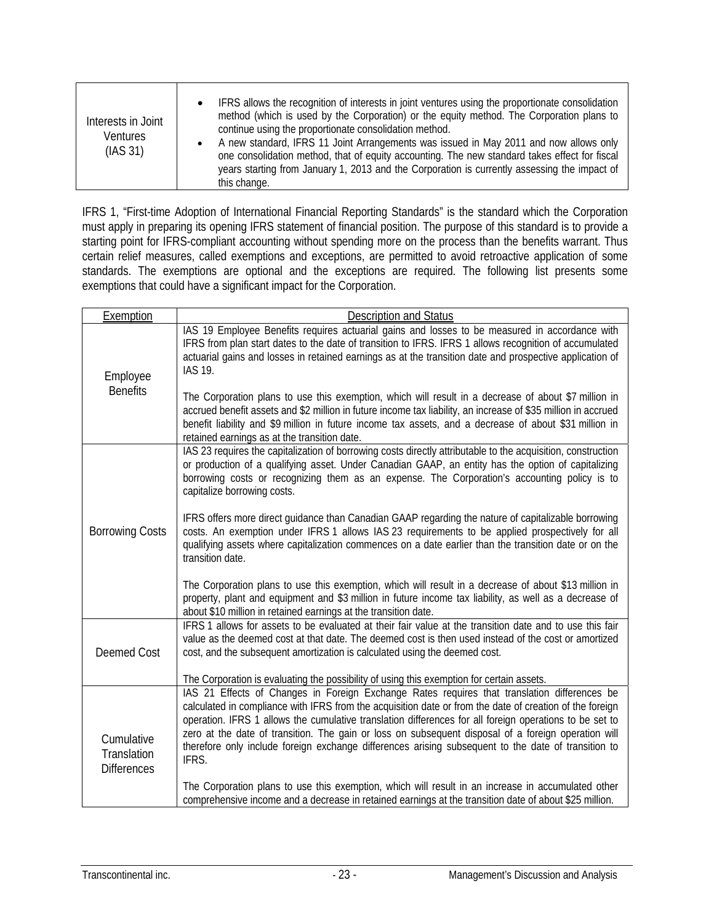IFRS 1, "First-time Adoption of International Financial Reporting Standards" is the standard which the Corporation must apply in preparing its opening IFRS statement of financial position. The purpose of this standard is to provide a starting point for IFRS-compliant accounting without spending more on the process than the benefits warrant. Thus certain relief measures, called exemptions and exceptions, are permitted to avoid retroactive application of some standards. The exemptions are optional and the exceptions are required. The following list presents some exemptions that could have a significant impact for the Corporation.

| Exemption                                       | <b>Description and Status</b>                                                                                                                                                                                                                                                                                                                                                                                                                                                                                                              |
|-------------------------------------------------|--------------------------------------------------------------------------------------------------------------------------------------------------------------------------------------------------------------------------------------------------------------------------------------------------------------------------------------------------------------------------------------------------------------------------------------------------------------------------------------------------------------------------------------------|
| Employee                                        | IAS 19 Employee Benefits requires actuarial gains and losses to be measured in accordance with<br>IFRS from plan start dates to the date of transition to IFRS. IFRS 1 allows recognition of accumulated<br>actuarial gains and losses in retained earnings as at the transition date and prospective application of<br><b>IAS 19.</b>                                                                                                                                                                                                     |
| <b>Benefits</b>                                 | The Corporation plans to use this exemption, which will result in a decrease of about \$7 million in<br>accrued benefit assets and \$2 million in future income tax liability, an increase of \$35 million in accrued<br>benefit liability and \$9 million in future income tax assets, and a decrease of about \$31 million in<br>retained earnings as at the transition date.                                                                                                                                                            |
|                                                 | IAS 23 requires the capitalization of borrowing costs directly attributable to the acquisition, construction<br>or production of a qualifying asset. Under Canadian GAAP, an entity has the option of capitalizing<br>borrowing costs or recognizing them as an expense. The Corporation's accounting policy is to<br>capitalize borrowing costs.                                                                                                                                                                                          |
| <b>Borrowing Costs</b>                          | IFRS offers more direct guidance than Canadian GAAP regarding the nature of capitalizable borrowing<br>costs. An exemption under IFRS 1 allows IAS 23 requirements to be applied prospectively for all<br>qualifying assets where capitalization commences on a date earlier than the transition date or on the<br>transition date.                                                                                                                                                                                                        |
|                                                 | The Corporation plans to use this exemption, which will result in a decrease of about \$13 million in<br>property, plant and equipment and \$3 million in future income tax liability, as well as a decrease of<br>about \$10 million in retained earnings at the transition date.                                                                                                                                                                                                                                                         |
| <b>Deemed Cost</b>                              | IFRS 1 allows for assets to be evaluated at their fair value at the transition date and to use this fair<br>value as the deemed cost at that date. The deemed cost is then used instead of the cost or amortized<br>cost, and the subsequent amortization is calculated using the deemed cost.                                                                                                                                                                                                                                             |
|                                                 | The Corporation is evaluating the possibility of using this exemption for certain assets.                                                                                                                                                                                                                                                                                                                                                                                                                                                  |
| Cumulative<br>Translation<br><b>Differences</b> | IAS 21 Effects of Changes in Foreign Exchange Rates requires that translation differences be<br>calculated in compliance with IFRS from the acquisition date or from the date of creation of the foreign<br>operation. IFRS 1 allows the cumulative translation differences for all foreign operations to be set to<br>zero at the date of transition. The gain or loss on subsequent disposal of a foreign operation will<br>therefore only include foreign exchange differences arising subsequent to the date of transition to<br>IFRS. |
|                                                 | The Corporation plans to use this exemption, which will result in an increase in accumulated other<br>comprehensive income and a decrease in retained earnings at the transition date of about \$25 million.                                                                                                                                                                                                                                                                                                                               |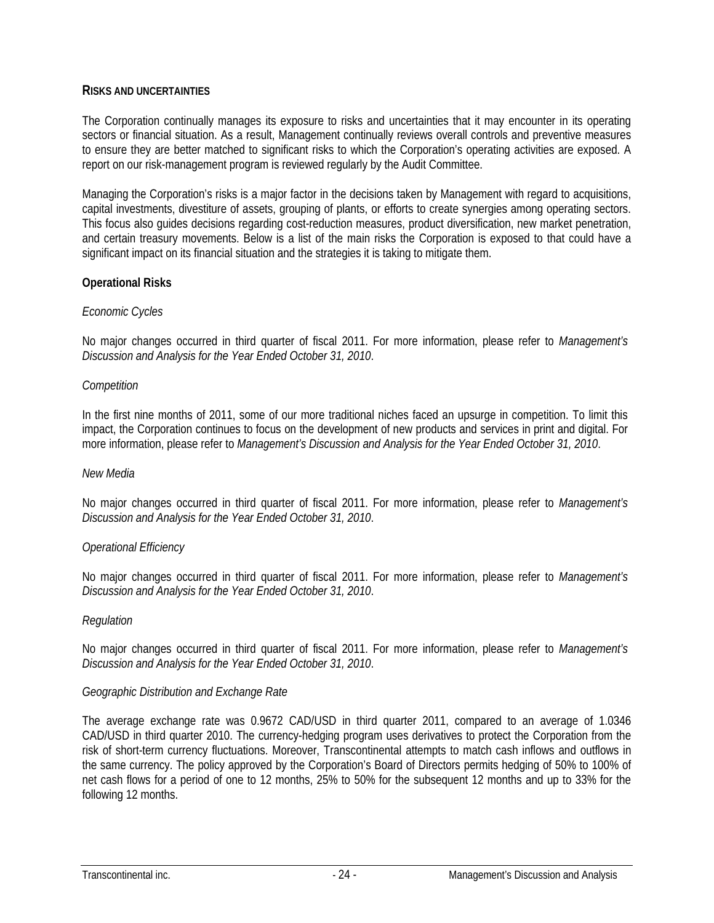#### **RISKS AND UNCERTAINTIES**

The Corporation continually manages its exposure to risks and uncertainties that it may encounter in its operating sectors or financial situation. As a result, Management continually reviews overall controls and preventive measures to ensure they are better matched to significant risks to which the Corporation's operating activities are exposed. A report on our risk-management program is reviewed regularly by the Audit Committee.

Managing the Corporation's risks is a major factor in the decisions taken by Management with regard to acquisitions, capital investments, divestiture of assets, grouping of plants, or efforts to create synergies among operating sectors. This focus also guides decisions regarding cost-reduction measures, product diversification, new market penetration, and certain treasury movements. Below is a list of the main risks the Corporation is exposed to that could have a significant impact on its financial situation and the strategies it is taking to mitigate them.

### **Operational Risks**

#### *Economic Cycles*

No major changes occurred in third quarter of fiscal 2011. For more information, please refer to *Management's Discussion and Analysis for the Year Ended October 31, 2010*.

#### *Competition*

In the first nine months of 2011, some of our more traditional niches faced an upsurge in competition. To limit this impact, the Corporation continues to focus on the development of new products and services in print and digital. For more information, please refer to *Management's Discussion and Analysis for the Year Ended October 31, 2010*.

#### *New Media*

No major changes occurred in third quarter of fiscal 2011. For more information, please refer to *Management's Discussion and Analysis for the Year Ended October 31, 2010*.

#### *Operational Efficiency*

No major changes occurred in third quarter of fiscal 2011. For more information, please refer to *Management's Discussion and Analysis for the Year Ended October 31, 2010*.

#### *Regulation*

No major changes occurred in third quarter of fiscal 2011. For more information, please refer to *Management's Discussion and Analysis for the Year Ended October 31, 2010*.

#### *Geographic Distribution and Exchange Rate*

The average exchange rate was 0.9672 CAD/USD in third quarter 2011, compared to an average of 1.0346 CAD/USD in third quarter 2010. The currency-hedging program uses derivatives to protect the Corporation from the risk of short-term currency fluctuations. Moreover, Transcontinental attempts to match cash inflows and outflows in the same currency. The policy approved by the Corporation's Board of Directors permits hedging of 50% to 100% of net cash flows for a period of one to 12 months, 25% to 50% for the subsequent 12 months and up to 33% for the following 12 months.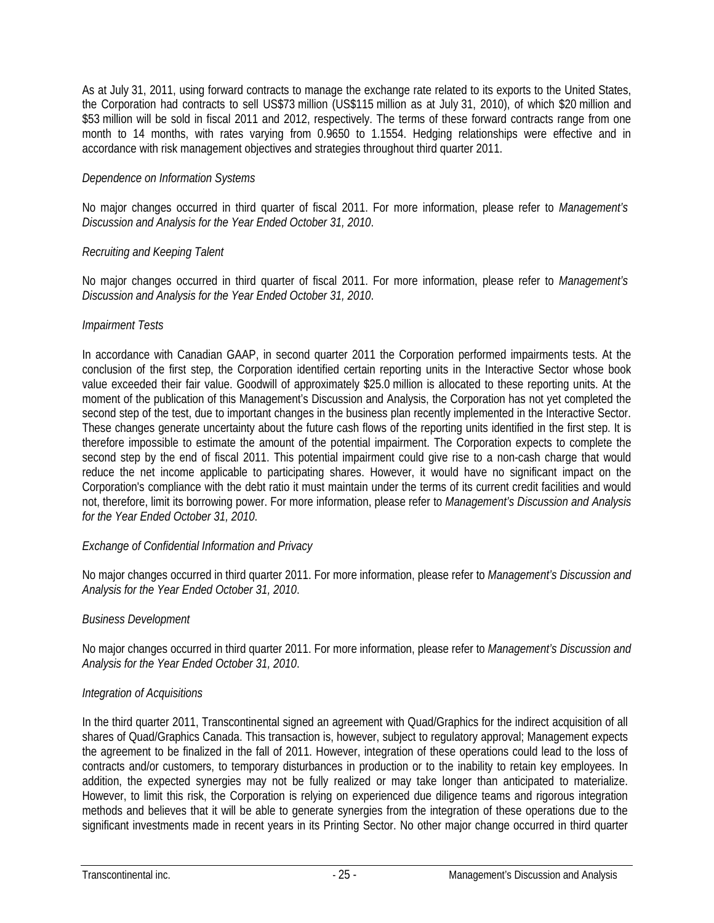As at July 31, 2011, using forward contracts to manage the exchange rate related to its exports to the United States, the Corporation had contracts to sell US\$73 million (US\$115 million as at July 31, 2010), of which \$20 million and \$53 million will be sold in fiscal 2011 and 2012, respectively. The terms of these forward contracts range from one month to 14 months, with rates varying from 0.9650 to 1.1554. Hedging relationships were effective and in accordance with risk management objectives and strategies throughout third quarter 2011.

#### *Dependence on Information Systems*

No major changes occurred in third quarter of fiscal 2011. For more information, please refer to *Management's Discussion and Analysis for the Year Ended October 31, 2010*.

### *Recruiting and Keeping Talent*

No major changes occurred in third quarter of fiscal 2011. For more information, please refer to *Management's Discussion and Analysis for the Year Ended October 31, 2010*.

### *Impairment Tests*

In accordance with Canadian GAAP, in second quarter 2011 the Corporation performed impairments tests. At the conclusion of the first step, the Corporation identified certain reporting units in the Interactive Sector whose book value exceeded their fair value. Goodwill of approximately \$25.0 million is allocated to these reporting units. At the moment of the publication of this Management's Discussion and Analysis, the Corporation has not yet completed the second step of the test, due to important changes in the business plan recently implemented in the Interactive Sector. These changes generate uncertainty about the future cash flows of the reporting units identified in the first step. It is therefore impossible to estimate the amount of the potential impairment. The Corporation expects to complete the second step by the end of fiscal 2011. This potential impairment could give rise to a non-cash charge that would reduce the net income applicable to participating shares. However, it would have no significant impact on the Corporation's compliance with the debt ratio it must maintain under the terms of its current credit facilities and would not, therefore, limit its borrowing power. For more information, please refer to *Management's Discussion and Analysis for the Year Ended October 31, 2010*.

#### *Exchange of Confidential Information and Privacy*

No major changes occurred in third quarter 2011. For more information, please refer to *Management's Discussion and Analysis for the Year Ended October 31, 2010*.

#### *Business Development*

No major changes occurred in third quarter 2011. For more information, please refer to *Management's Discussion and Analysis for the Year Ended October 31, 2010*.

### *Integration of Acquisitions*

In the third quarter 2011, Transcontinental signed an agreement with Quad/Graphics for the indirect acquisition of all shares of Quad/Graphics Canada. This transaction is, however, subject to regulatory approval; Management expects the agreement to be finalized in the fall of 2011. However, integration of these operations could lead to the loss of contracts and/or customers, to temporary disturbances in production or to the inability to retain key employees. In addition, the expected synergies may not be fully realized or may take longer than anticipated to materialize. However, to limit this risk, the Corporation is relying on experienced due diligence teams and rigorous integration methods and believes that it will be able to generate synergies from the integration of these operations due to the significant investments made in recent years in its Printing Sector. No other major change occurred in third quarter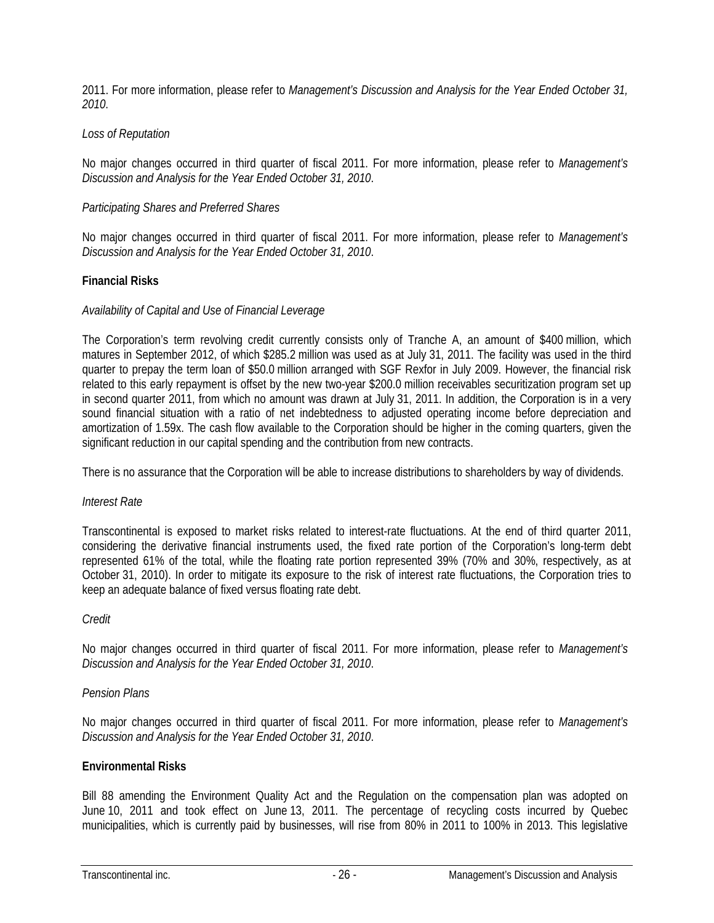2011. For more information, please refer to *Management's Discussion and Analysis for the Year Ended October 31, 2010*.

#### *Loss of Reputation*

No major changes occurred in third quarter of fiscal 2011. For more information, please refer to *Management's Discussion and Analysis for the Year Ended October 31, 2010*.

#### *Participating Shares and Preferred Shares*

No major changes occurred in third quarter of fiscal 2011. For more information, please refer to *Management's Discussion and Analysis for the Year Ended October 31, 2010*.

#### **Financial Risks**

#### *Availability of Capital and Use of Financial Leverage*

The Corporation's term revolving credit currently consists only of Tranche A, an amount of \$400 million, which matures in September 2012, of which \$285.2 million was used as at July 31, 2011. The facility was used in the third quarter to prepay the term loan of \$50.0 million arranged with SGF Rexfor in July 2009. However, the financial risk related to this early repayment is offset by the new two-year \$200.0 million receivables securitization program set up in second quarter 2011, from which no amount was drawn at July 31, 2011. In addition, the Corporation is in a very sound financial situation with a ratio of net indebtedness to adjusted operating income before depreciation and amortization of 1.59x. The cash flow available to the Corporation should be higher in the coming quarters, given the significant reduction in our capital spending and the contribution from new contracts.

There is no assurance that the Corporation will be able to increase distributions to shareholders by way of dividends.

#### *Interest Rate*

Transcontinental is exposed to market risks related to interest-rate fluctuations. At the end of third quarter 2011, considering the derivative financial instruments used, the fixed rate portion of the Corporation's long-term debt represented 61% of the total, while the floating rate portion represented 39% (70% and 30%, respectively, as at October 31, 2010). In order to mitigate its exposure to the risk of interest rate fluctuations, the Corporation tries to keep an adequate balance of fixed versus floating rate debt.

#### *Credit*

No major changes occurred in third quarter of fiscal 2011. For more information, please refer to *Management's Discussion and Analysis for the Year Ended October 31, 2010*.

#### *Pension Plans*

No major changes occurred in third quarter of fiscal 2011. For more information, please refer to *Management's Discussion and Analysis for the Year Ended October 31, 2010*.

#### **Environmental Risks**

Bill 88 amending the Environment Quality Act and the Regulation on the compensation plan was adopted on June 10, 2011 and took effect on June 13, 2011. The percentage of recycling costs incurred by Quebec municipalities, which is currently paid by businesses, will rise from 80% in 2011 to 100% in 2013. This legislative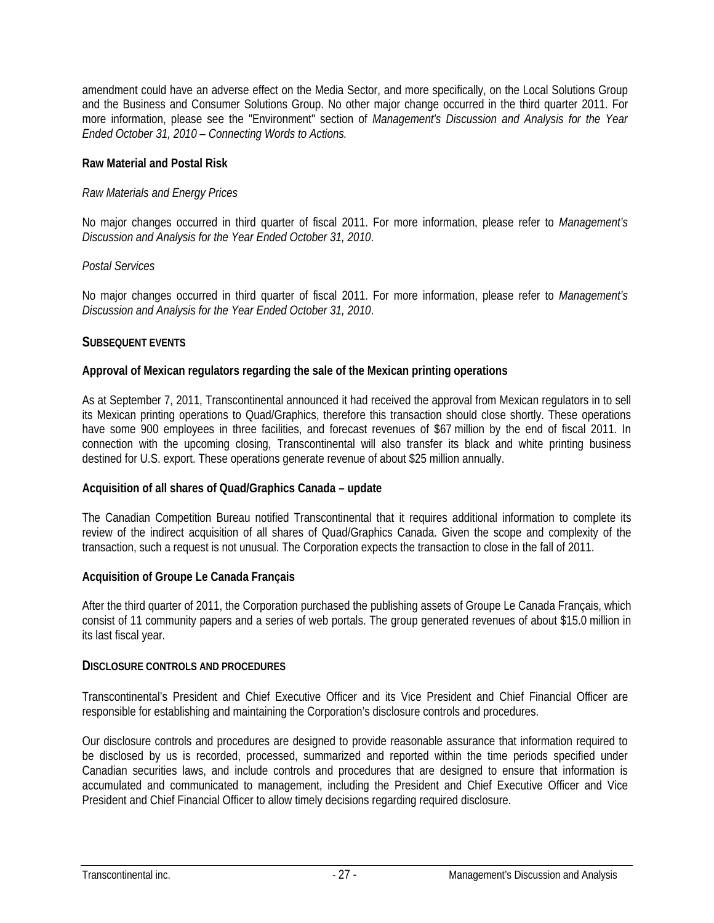amendment could have an adverse effect on the Media Sector, and more specifically, on the Local Solutions Group and the Business and Consumer Solutions Group. No other major change occurred in the third quarter 2011. For more information, please see the "Environment" section of *Management's Discussion and Analysis for the Year Ended October 31, 2010 – Connecting Words to Actions.*

#### **Raw Material and Postal Risk**

### *Raw Materials and Energy Prices*

No major changes occurred in third quarter of fiscal 2011. For more information, please refer to *Management's Discussion and Analysis for the Year Ended October 31, 2010*.

### *Postal Services*

No major changes occurred in third quarter of fiscal 2011. For more information, please refer to *Management's Discussion and Analysis for the Year Ended October 31, 2010*.

### **SUBSEQUENT EVENTS**

### **Approval of Mexican regulators regarding the sale of the Mexican printing operations**

As at September 7, 2011, Transcontinental announced it had received the approval from Mexican regulators in to sell its Mexican printing operations to Quad/Graphics, therefore this transaction should close shortly. These operations have some 900 employees in three facilities, and forecast revenues of \$67 million by the end of fiscal 2011. In connection with the upcoming closing, Transcontinental will also transfer its black and white printing business destined for U.S. export. These operations generate revenue of about \$25 million annually.

#### **Acquisition of all shares of Quad/Graphics Canada – update**

The Canadian Competition Bureau notified Transcontinental that it requires additional information to complete its review of the indirect acquisition of all shares of Quad/Graphics Canada. Given the scope and complexity of the transaction, such a request is not unusual. The Corporation expects the transaction to close in the fall of 2011.

#### **Acquisition of Groupe Le Canada Français**

After the third quarter of 2011, the Corporation purchased the publishing assets of Groupe Le Canada Français, which consist of 11 community papers and a series of web portals. The group generated revenues of about \$15.0 million in its last fiscal year.

#### **DISCLOSURE CONTROLS AND PROCEDURES**

Transcontinental's President and Chief Executive Officer and its Vice President and Chief Financial Officer are responsible for establishing and maintaining the Corporation's disclosure controls and procedures.

Our disclosure controls and procedures are designed to provide reasonable assurance that information required to be disclosed by us is recorded, processed, summarized and reported within the time periods specified under Canadian securities laws, and include controls and procedures that are designed to ensure that information is accumulated and communicated to management, including the President and Chief Executive Officer and Vice President and Chief Financial Officer to allow timely decisions regarding required disclosure.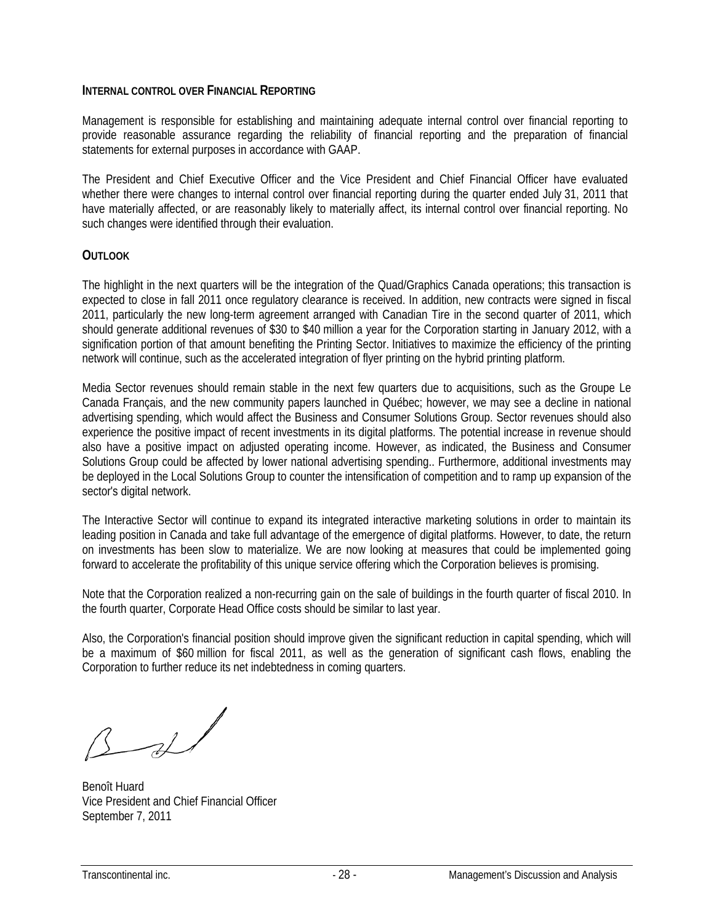#### **INTERNAL CONTROL OVER FINANCIAL REPORTING**

Management is responsible for establishing and maintaining adequate internal control over financial reporting to provide reasonable assurance regarding the reliability of financial reporting and the preparation of financial statements for external purposes in accordance with GAAP.

The President and Chief Executive Officer and the Vice President and Chief Financial Officer have evaluated whether there were changes to internal control over financial reporting during the quarter ended July 31, 2011 that have materially affected, or are reasonably likely to materially affect, its internal control over financial reporting. No such changes were identified through their evaluation.

#### **OUTLOOK**

The highlight in the next quarters will be the integration of the Quad/Graphics Canada operations; this transaction is expected to close in fall 2011 once regulatory clearance is received. In addition, new contracts were signed in fiscal 2011, particularly the new long-term agreement arranged with Canadian Tire in the second quarter of 2011, which should generate additional revenues of \$30 to \$40 million a year for the Corporation starting in January 2012, with a signification portion of that amount benefiting the Printing Sector. Initiatives to maximize the efficiency of the printing network will continue, such as the accelerated integration of flyer printing on the hybrid printing platform.

Media Sector revenues should remain stable in the next few quarters due to acquisitions, such as the Groupe Le Canada Français, and the new community papers launched in Québec; however, we may see a decline in national advertising spending, which would affect the Business and Consumer Solutions Group. Sector revenues should also experience the positive impact of recent investments in its digital platforms. The potential increase in revenue should also have a positive impact on adjusted operating income. However, as indicated, the Business and Consumer Solutions Group could be affected by lower national advertising spending.. Furthermore, additional investments may be deployed in the Local Solutions Group to counter the intensification of competition and to ramp up expansion of the sector's digital network.

The Interactive Sector will continue to expand its integrated interactive marketing solutions in order to maintain its leading position in Canada and take full advantage of the emergence of digital platforms. However, to date, the return on investments has been slow to materialize. We are now looking at measures that could be implemented going forward to accelerate the profitability of this unique service offering which the Corporation believes is promising.

Note that the Corporation realized a non-recurring gain on the sale of buildings in the fourth quarter of fiscal 2010. In the fourth quarter, Corporate Head Office costs should be similar to last year.

Also, the Corporation's financial position should improve given the significant reduction in capital spending, which will be a maximum of \$60 million for fiscal 2011, as well as the generation of significant cash flows, enabling the Corporation to further reduce its net indebtedness in coming quarters.

 $3 - 2$ 

Benoît Huard Vice President and Chief Financial Officer September 7, 2011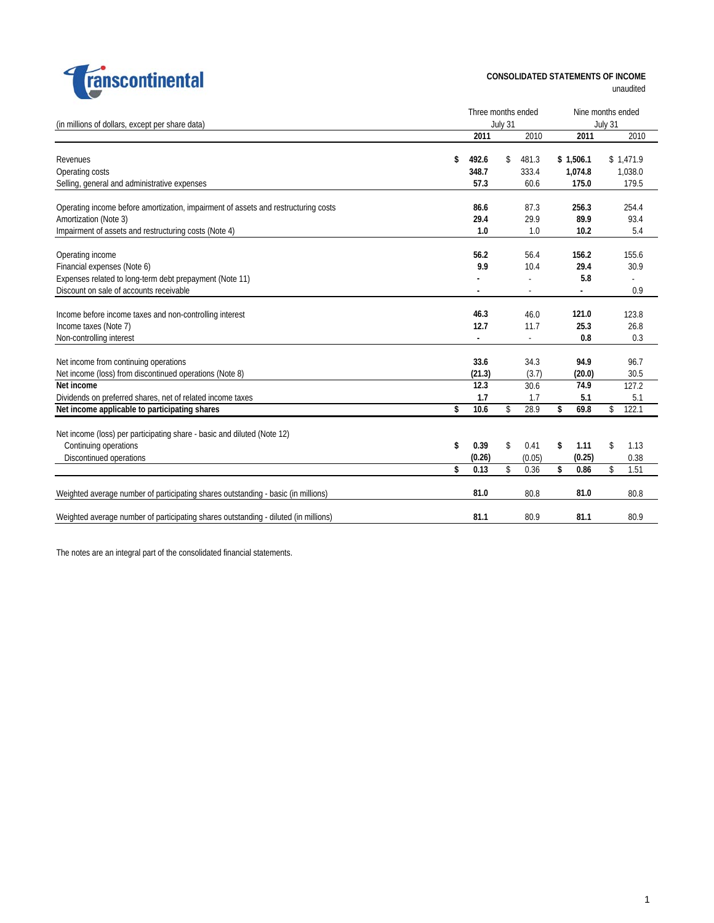

### **CONSOLIDATED STATEMENTS OF INCOME**

unaudited

|                                                                                     | Three months ended |    |        |    |           |         | Nine months ended |  |  |
|-------------------------------------------------------------------------------------|--------------------|----|--------|----|-----------|---------|-------------------|--|--|
| (in millions of dollars, except per share data)                                     | July 31            |    |        |    |           | July 31 |                   |  |  |
|                                                                                     | 2011               |    | 2010   |    | 2011      |         | 2010              |  |  |
|                                                                                     |                    |    |        |    |           |         |                   |  |  |
| Revenues                                                                            | \$<br>492.6        | \$ | 481.3  |    | \$1,506.1 |         | \$1,471.9         |  |  |
| Operating costs                                                                     | 348.7              |    | 333.4  |    | 1,074.8   |         | 1,038.0           |  |  |
| Selling, general and administrative expenses                                        | 57.3               |    | 60.6   |    | 175.0     |         | 179.5             |  |  |
| Operating income before amortization, impairment of assets and restructuring costs  | 86.6               |    | 87.3   |    | 256.3     |         | 254.4             |  |  |
| Amortization (Note 3)                                                               | 29.4               |    | 29.9   |    | 89.9      |         | 93.4              |  |  |
|                                                                                     |                    |    | 1.0    |    |           |         |                   |  |  |
| Impairment of assets and restructuring costs (Note 4)                               | 1.0                |    |        |    | 10.2      |         | 5.4               |  |  |
| Operating income                                                                    | 56.2               |    | 56.4   |    | 156.2     |         | 155.6             |  |  |
| Financial expenses (Note 6)                                                         | 9.9                |    | 10.4   |    | 29.4      |         | 30.9              |  |  |
| Expenses related to long-term debt prepayment (Note 11)                             |                    |    |        |    | 5.8       |         |                   |  |  |
| Discount on sale of accounts receivable                                             |                    |    |        |    |           |         | 0.9               |  |  |
|                                                                                     |                    |    |        |    |           |         |                   |  |  |
| Income before income taxes and non-controlling interest                             | 46.3               |    | 46.0   |    | 121.0     |         | 123.8             |  |  |
| Income taxes (Note 7)                                                               | 12.7               |    | 11.7   |    | 25.3      |         | 26.8              |  |  |
| Non-controlling interest                                                            | $\blacksquare$     |    | $\sim$ |    | 0.8       |         | 0.3               |  |  |
|                                                                                     |                    |    |        |    |           |         |                   |  |  |
| Net income from continuing operations                                               | 33.6               |    | 34.3   |    | 94.9      |         | 96.7              |  |  |
| Net income (loss) from discontinued operations (Note 8)                             | (21.3)             |    | (3.7)  |    | (20.0)    |         | 30.5              |  |  |
| Net income                                                                          | 12.3               |    | 30.6   |    | 74.9      |         | 127.2             |  |  |
| Dividends on preferred shares, net of related income taxes                          | 1.7                |    | 1.7    |    | 5.1       |         | 5.1               |  |  |
| Net income applicable to participating shares                                       | \$<br>10.6         | \$ | 28.9   | \$ | 69.8      | \$      | 122.1             |  |  |
|                                                                                     |                    |    |        |    |           |         |                   |  |  |
| Net income (loss) per participating share - basic and diluted (Note 12)             |                    |    |        |    |           |         |                   |  |  |
| Continuing operations                                                               | \$<br>0.39         | \$ | 0.41   | \$ | 1.11      | \$      | 1.13              |  |  |
| Discontinued operations                                                             | (0.26)             |    | (0.05) |    | (0.25)    |         | 0.38              |  |  |
|                                                                                     | \$<br>0.13         | \$ | 0.36   | \$ | 0.86      | \$      | 1.51              |  |  |
| Weighted average number of participating shares outstanding - basic (in millions)   | 81.0               |    | 80.8   |    | 81.0      |         | 80.8              |  |  |
|                                                                                     |                    |    |        |    |           |         |                   |  |  |
| Weighted average number of participating shares outstanding - diluted (in millions) | 81.1               |    | 80.9   |    | 81.1      |         | 80.9              |  |  |
|                                                                                     |                    |    |        |    |           |         |                   |  |  |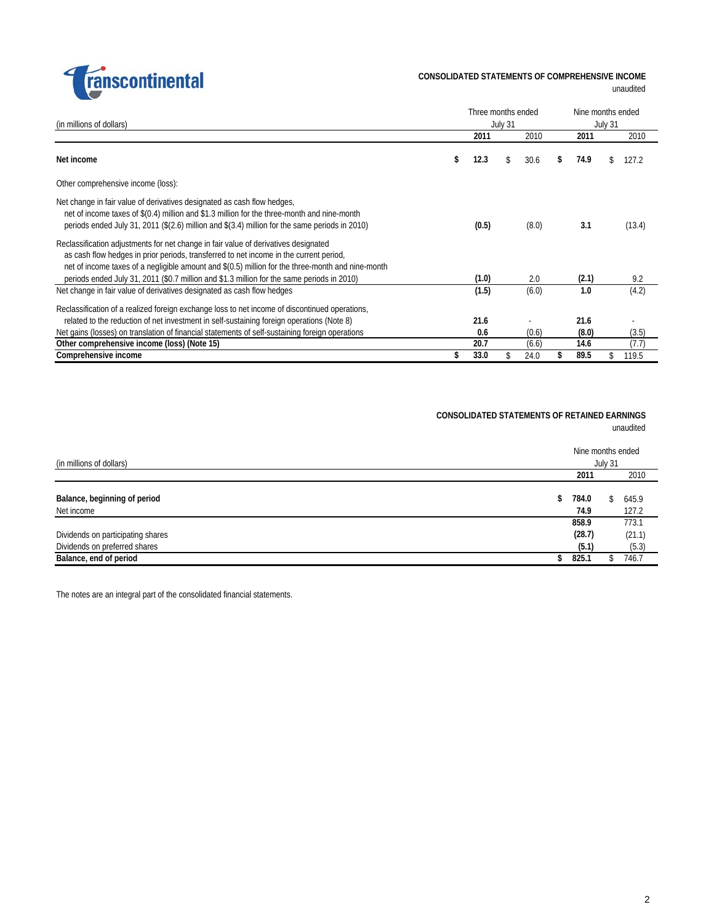

unaudited

| (in millions of dollars)                                                                                                                                                                                                                                                                                                                                                         |    | Three months ended<br>July 31 |    |       |    | Nine months ended<br>July 31 |  |        |  |  |  |
|----------------------------------------------------------------------------------------------------------------------------------------------------------------------------------------------------------------------------------------------------------------------------------------------------------------------------------------------------------------------------------|----|-------------------------------|----|-------|----|------------------------------|--|--------|--|--|--|
|                                                                                                                                                                                                                                                                                                                                                                                  |    | 2011                          |    | 2010  |    | 2011                         |  | 2010   |  |  |  |
| Net income                                                                                                                                                                                                                                                                                                                                                                       | S. | 12.3                          | S. | 30.6  | \$ | 74.9                         |  | 127.2  |  |  |  |
| Other comprehensive income (loss):                                                                                                                                                                                                                                                                                                                                               |    |                               |    |       |    |                              |  |        |  |  |  |
| Net change in fair value of derivatives designated as cash flow hedges,<br>net of income taxes of \$(0.4) million and \$1.3 million for the three-month and nine-month<br>periods ended July 31, 2011 ( $\S(2.6)$ million and $\S(3.4)$ million for the same periods in 2010)                                                                                                    |    | (0.5)                         |    | (8.0) |    | 3.1                          |  | (13.4) |  |  |  |
| Reclassification adjustments for net change in fair value of derivatives designated<br>as cash flow hedges in prior periods, transferred to net income in the current period,<br>net of income taxes of a negligible amount and \$(0.5) million for the three-month and nine-month<br>periods ended July 31, 2011 (\$0.7 million and \$1.3 million for the same periods in 2010) |    | (1.0)                         |    | 2.0   |    | (2.1)                        |  | 9.2    |  |  |  |
| Net change in fair value of derivatives designated as cash flow hedges                                                                                                                                                                                                                                                                                                           |    | (1.5)                         |    | (6.0) |    | 1.0                          |  | (4.2)  |  |  |  |
| Reclassification of a realized foreign exchange loss to net income of discontinued operations,<br>related to the reduction of net investment in self-sustaining foreign operations (Note 8)<br>Net gains (losses) on translation of financial statements of self-sustaining foreign operations                                                                                   |    | 21.6<br>0.6                   |    | (0.6) |    | 21.6<br>(8.0)                |  | (3.5)  |  |  |  |
| Other comprehensive income (loss) (Note 15)                                                                                                                                                                                                                                                                                                                                      |    | 20.7                          |    | (6.6) |    | 14.6                         |  | (7.7)  |  |  |  |
| Comprehensive income                                                                                                                                                                                                                                                                                                                                                             |    | 33.0                          |    | 24.0  |    | 89.5                         |  | 119.5  |  |  |  |

#### **CONSOLIDATED STATEMENTS OF RETAINED EARNINGS** unaudited

| (in millions of dollars)                   |                     | Nine months ended<br>July 31 |
|--------------------------------------------|---------------------|------------------------------|
|                                            | 2011                | 2010                         |
| Balance, beginning of period<br>Net income | 784.0<br>\$<br>74.9 | 645.9<br>127.2               |
|                                            | 858.9               | 773.1                        |
| Dividends on participating shares          | (28.7)              | (21.1)                       |
| Dividends on preferred shares              | (5.1)               | (5.3)                        |
| Balance, end of period                     | 825.1               | 746.7                        |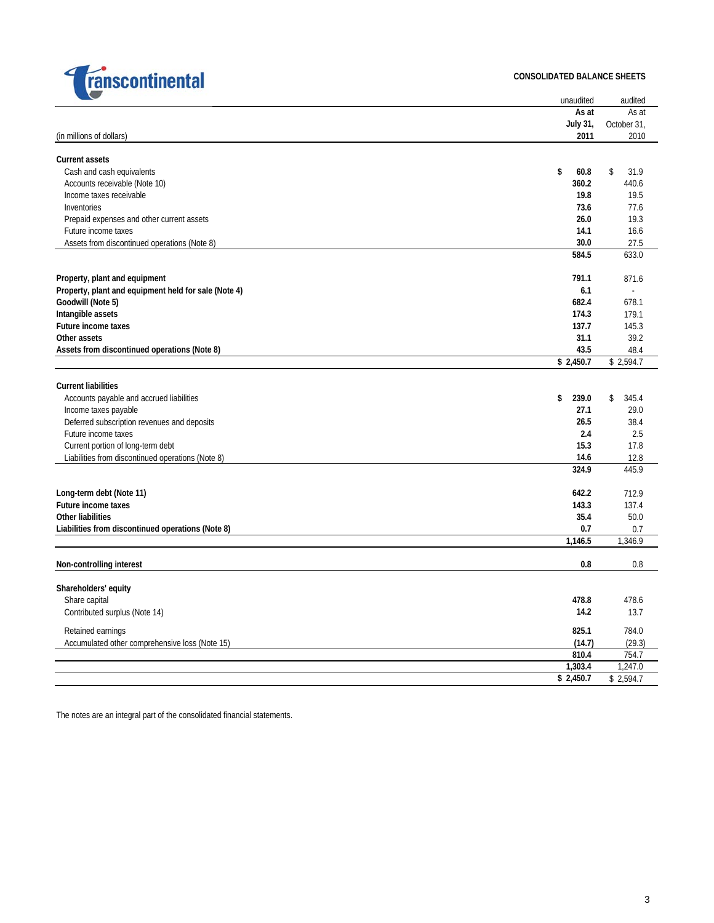

#### **CONSOLIDATED BALANCE SHEETS**

| $\sim$                                               | unaudited   | audited     |
|------------------------------------------------------|-------------|-------------|
|                                                      | As at       | As at       |
|                                                      | July 31,    | October 31, |
| (in millions of dollars)                             | 2011        | 2010        |
| <b>Current assets</b>                                |             |             |
| Cash and cash equivalents                            | \$<br>60.8  | \$<br>31.9  |
| Accounts receivable (Note 10)                        | 360.2       | 440.6       |
| Income taxes receivable                              | 19.8        | 19.5        |
| Inventories                                          | 73.6        | 77.6        |
| Prepaid expenses and other current assets            | 26.0        | 19.3        |
| Future income taxes                                  | 14.1        | 16.6        |
| Assets from discontinued operations (Note 8)         | 30.0        | 27.5        |
|                                                      | 584.5       | 633.0       |
|                                                      |             |             |
| Property, plant and equipment                        | 791.1       | 871.6       |
| Property, plant and equipment held for sale (Note 4) | 6.1         | L.          |
| Goodwill (Note 5)                                    | 682.4       | 678.1       |
| Intangible assets                                    | 174.3       | 179.1       |
| Future income taxes                                  | 137.7       | 145.3       |
| Other assets                                         | 31.1        | 39.2        |
| Assets from discontinued operations (Note 8)         | 43.5        | 48.4        |
|                                                      | \$2,450.7   | \$2,594.7   |
|                                                      |             |             |
| <b>Current liabilities</b>                           |             |             |
| Accounts payable and accrued liabilities             | \$<br>239.0 | 345.4<br>\$ |
| Income taxes payable                                 | 27.1        | 29.0        |
| Deferred subscription revenues and deposits          | 26.5        | 38.4        |
| Future income taxes                                  | 2.4         | 2.5         |
| Current portion of long-term debt                    | 15.3        | 17.8        |
| Liabilities from discontinued operations (Note 8)    | 14.6        | 12.8        |
|                                                      | 324.9       | 445.9       |
| Long-term debt (Note 11)                             | 642.2       | 712.9       |
| Future income taxes                                  | 143.3       | 137.4       |
| <b>Other liabilities</b>                             | 35.4        | 50.0        |
| Liabilities from discontinued operations (Note 8)    | 0.7         | 0.7         |
|                                                      | 1,146.5     | 1,346.9     |
|                                                      |             |             |
| Non-controlling interest                             | 0.8         | 0.8         |
| Shareholders' equity                                 |             |             |
| Share capital                                        | 478.8       | 478.6       |
| Contributed surplus (Note 14)                        | 14.2        | 13.7        |
|                                                      |             |             |
| Retained earnings                                    | 825.1       | 784.0       |
| Accumulated other comprehensive loss (Note 15)       | (14.7)      | (29.3)      |
|                                                      | 810.4       | 754.7       |
|                                                      | 1,303.4     | 1,247.0     |
|                                                      | \$2,450.7   | \$2,594.7   |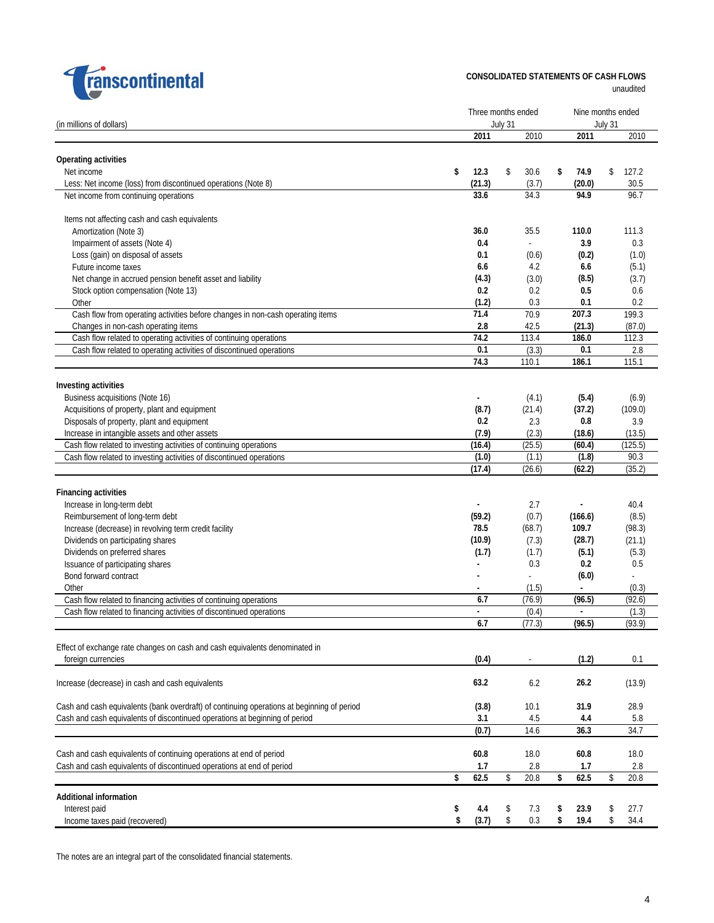

**CONSOLIDATED STATEMENTS OF CASH FLOWS**

unaudited

|                                                                                            |    |                |    |         |    | Nine months ended        |         |         |  |  |
|--------------------------------------------------------------------------------------------|----|----------------|----|---------|----|--------------------------|---------|---------|--|--|
| (in millions of dollars)                                                                   |    | July 31        |    |         |    |                          | July 31 |         |  |  |
|                                                                                            |    | 2011           |    | 2010    |    | 2011                     |         | 2010    |  |  |
|                                                                                            |    |                |    |         |    |                          |         |         |  |  |
| Operating activities                                                                       |    |                |    |         |    |                          |         |         |  |  |
| Net income                                                                                 | \$ | 12.3           | \$ | 30.6    | \$ | 74.9                     | \$      | 127.2   |  |  |
| Less: Net income (loss) from discontinued operations (Note 8)                              |    | (21.3)         |    | (3.7)   |    | (20.0)                   |         | 30.5    |  |  |
| Net income from continuing operations                                                      |    | 33.6           |    | 34.3    |    | 94.9                     |         | 96.7    |  |  |
|                                                                                            |    |                |    |         |    |                          |         |         |  |  |
| Items not affecting cash and cash equivalents                                              |    |                |    | 35.5    |    | 110.0                    |         | 111.3   |  |  |
| Amortization (Note 3)                                                                      |    | 36.0           |    | ÷.      |    | 3.9                      |         | 0.3     |  |  |
| Impairment of assets (Note 4)                                                              |    | 0.4            |    |         |    |                          |         |         |  |  |
| Loss (gain) on disposal of assets                                                          |    | 0.1            |    | (0.6)   |    | (0.2)                    |         | (1.0)   |  |  |
| Future income taxes                                                                        |    | 6.6            |    | 4.2     |    | 6.6                      |         | (5.1)   |  |  |
| Net change in accrued pension benefit asset and liability                                  |    | (4.3)          |    | (3.0)   |    | (8.5)                    |         | (3.7)   |  |  |
| Stock option compensation (Note 13)                                                        |    | 0.2            |    | 0.2     |    | 0.5                      |         | 0.6     |  |  |
| Other                                                                                      |    | (1.2)          |    | 0.3     |    | 0.1                      |         | 0.2     |  |  |
| Cash flow from operating activities before changes in non-cash operating items             |    | 71.4           |    | 70.9    |    | 207.3                    |         | 199.3   |  |  |
| Changes in non-cash operating items                                                        |    | 2.8            |    | 42.5    |    | (21.3)                   |         | (87.0)  |  |  |
| Cash flow related to operating activities of continuing operations                         |    | 74.2           |    | 113.4   |    | 186.0                    |         | 112.3   |  |  |
| Cash flow related to operating activities of discontinued operations                       |    | 0.1            |    | (3.3)   |    | 0.1                      |         | 2.8     |  |  |
|                                                                                            |    | 74.3           |    | 110.1   |    | 186.1                    |         | 115.1   |  |  |
|                                                                                            |    |                |    |         |    |                          |         |         |  |  |
| Investing activities                                                                       |    |                |    |         |    |                          |         |         |  |  |
| Business acquisitions (Note 16)                                                            |    |                |    | (4.1)   |    | (5.4)                    |         | (6.9)   |  |  |
| Acquisitions of property, plant and equipment                                              |    | (8.7)          |    | (21.4)  |    | (37.2)                   |         | (109.0) |  |  |
| Disposals of property, plant and equipment                                                 |    | 0.2            |    | 2.3     |    | 0.8                      |         | 3.9     |  |  |
| Increase in intangible assets and other assets                                             |    | (7.9)          |    | (2.3)   |    | (18.6)                   |         | (13.5)  |  |  |
| Cash flow related to investing activities of continuing operations                         |    | (16.4)         |    | (25.5)  |    | (60.4)                   |         | (125.5) |  |  |
| Cash flow related to investing activities of discontinued operations                       |    | (1.0)          |    | (1.1)   |    | (1.8)                    |         | 90.3    |  |  |
|                                                                                            |    | (17.4)         |    | (26.6)  |    | (62.2)                   |         | (35.2)  |  |  |
|                                                                                            |    |                |    |         |    |                          |         |         |  |  |
| <b>Financing activities</b>                                                                |    |                |    |         |    |                          |         |         |  |  |
| Increase in long-term debt                                                                 |    |                |    | 2.7     |    |                          |         | 40.4    |  |  |
| Reimbursement of long-term debt                                                            |    | (59.2)         |    | (0.7)   |    | (166.6)                  |         | (8.5)   |  |  |
| Increase (decrease) in revolving term credit facility                                      |    | 78.5           |    | (68.7)  |    | 109.7                    |         | (98.3)  |  |  |
| Dividends on participating shares                                                          |    | (10.9)         |    | (7.3)   |    | (28.7)                   |         | (21.1)  |  |  |
| Dividends on preferred shares                                                              |    | (1.7)          |    | (1.7)   |    | (5.1)                    |         | (5.3)   |  |  |
| Issuance of participating shares                                                           |    | $\blacksquare$ |    | 0.3     |    | 0.2                      |         | 0.5     |  |  |
| Bond forward contract                                                                      |    |                |    |         |    | (6.0)                    |         |         |  |  |
| Other                                                                                      |    |                |    | (1.5)   |    |                          |         | (0.3)   |  |  |
| Cash flow related to financing activities of continuing operations                         |    | 6.7            |    | (76.9)  |    | (96.5)                   |         | (92.6)  |  |  |
| Cash flow related to financing activities of discontinued operations                       |    | ÷              |    | (0.4)   |    | $\overline{\phantom{a}}$ |         | (1.3)   |  |  |
|                                                                                            |    | 6.7            |    | (77.3)  |    | (96.5)                   |         | (93.9)  |  |  |
| Effect of exchange rate changes on cash and cash equivalents denominated in                |    |                |    |         |    |                          |         |         |  |  |
|                                                                                            |    |                |    |         |    |                          |         |         |  |  |
| foreign currencies                                                                         |    | (0.4)          |    |         |    | (1.2)                    |         | 0.1     |  |  |
|                                                                                            |    | 63.2           |    | 6.2     |    | 26.2                     |         | (13.9)  |  |  |
| Increase (decrease) in cash and cash equivalents                                           |    |                |    |         |    |                          |         |         |  |  |
| Cash and cash equivalents (bank overdraft) of continuing operations at beginning of period |    | (3.8)          |    | 10.1    |    | 31.9                     |         | 28.9    |  |  |
| Cash and cash equivalents of discontinued operations at beginning of period                |    | 3.1            |    | 4.5     |    | 4.4                      |         | 5.8     |  |  |
|                                                                                            |    | (0.7)          |    | 14.6    |    | 36.3                     |         | 34.7    |  |  |
|                                                                                            |    |                |    |         |    |                          |         |         |  |  |
| Cash and cash equivalents of continuing operations at end of period                        |    | 60.8           |    | 18.0    |    | 60.8                     |         | 18.0    |  |  |
| Cash and cash equivalents of discontinued operations at end of period                      |    | 1.7            |    | 2.8     |    | 1.7                      |         | 2.8     |  |  |
|                                                                                            | \$ | 62.5           | \$ | 20.8    | \$ | 62.5                     | \$      | 20.8    |  |  |
|                                                                                            |    |                |    |         |    |                          |         |         |  |  |
| <b>Additional information</b>                                                              |    |                |    |         |    |                          |         |         |  |  |
| Interest paid                                                                              | \$ | 4.4            | \$ | 7.3     | \$ | 23.9                     | \$      | 27.7    |  |  |
| Income taxes paid (recovered)                                                              | \$ | (3.7)          | \$ | $0.3\,$ | \$ | 19.4                     | \$      | 34.4    |  |  |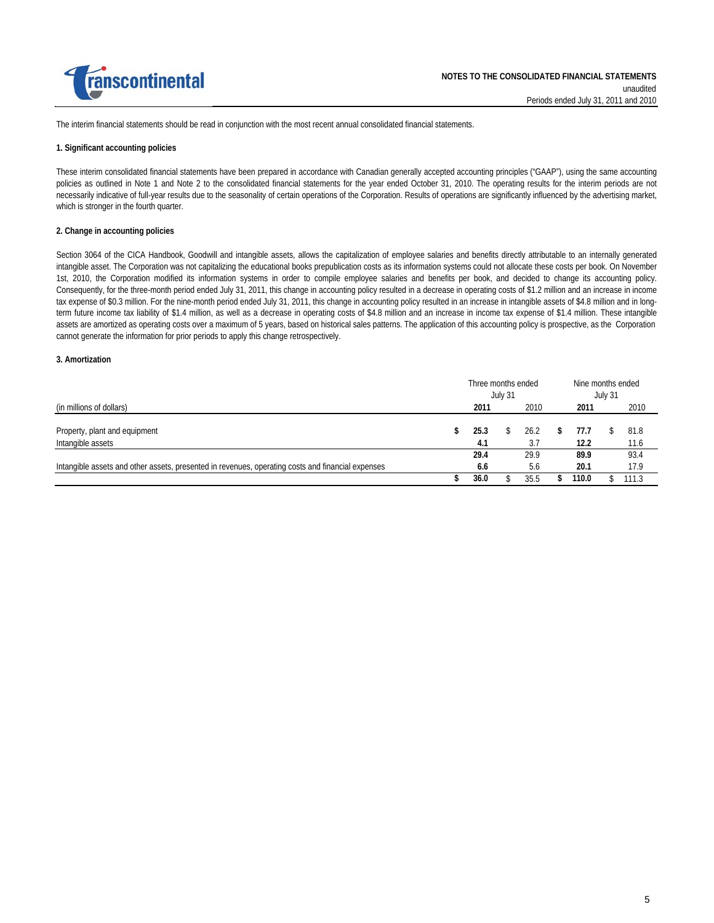

The interim financial statements should be read in conjunction with the most recent annual consolidated financial statements.

#### **1. Significant accounting policies**

These interim consolidated financial statements have been prepared in accordance with Canadian generally accepted accounting principles ("GAAP"), using the same accounting policies as outlined in Note 1 and Note 2 to the consolidated financial statements for the year ended October 31, 2010. The operating results for the interim periods are not necessarily indicative of full-year results due to the seasonality of certain operations of the Corporation. Results of operations are significantly influenced by the advertising market, which is stronger in the fourth quarter.

#### **2. Change in accounting policies**

cannot generate the information for prior periods to apply this change retrospectively. Section 3064 of the CICA Handbook, Goodwill and intangible assets, allows the capitalization of employee salaries and benefits directly attributable to an internally generated intangible asset. The Corporation was not capitalizing the educational books prepublication costs as its information systems could not allocate these costs per book. On November 1st, 2010, the Corporation modified its information systems in order to compile employee salaries and benefits per book, and decided to change its accounting policy. Consequently, for the three-month period ended July 31, 2011, this change in accounting policy resulted in a decrease in operating costs of \$1.2 million and an increase in income tax expense of \$0.3 million. For the nine-month period ended July 31, 2011, this change in accounting policy resulted in an increase in intangible assets of \$4.8 million and in longterm future income tax liability of \$1.4 million, as well as a decrease in operating costs of \$4.8 million and an increase in income tax expense of \$1.4 million. These intangible assets are amortized as operating costs over a maximum of 5 years, based on historical sales patterns. The application of this accounting policy is prospective, as the Corporation

#### **3. Amortization**

|                                                                                                   |  | Three months ended |  |         |  | Nine months ended |  |       |  |  |         |  |  |
|---------------------------------------------------------------------------------------------------|--|--------------------|--|---------|--|-------------------|--|-------|--|--|---------|--|--|
|                                                                                                   |  |                    |  | July 31 |  |                   |  |       |  |  | July 31 |  |  |
| (in millions of dollars)                                                                          |  | 2011               |  | 2010    |  | 2011              |  | 2010  |  |  |         |  |  |
|                                                                                                   |  |                    |  |         |  |                   |  |       |  |  |         |  |  |
| Property, plant and equipment                                                                     |  | 25.3               |  | 26.2    |  | 77.7              |  | 81.8  |  |  |         |  |  |
| Intangible assets                                                                                 |  | 4.1                |  | 3.7     |  | 12.2              |  | 11.6  |  |  |         |  |  |
|                                                                                                   |  | 29.4               |  | 29.9    |  | 89.9              |  | 93.4  |  |  |         |  |  |
| Intangible assets and other assets, presented in revenues, operating costs and financial expenses |  | 6.6                |  | 5.6     |  | 20.1              |  | 17.9  |  |  |         |  |  |
|                                                                                                   |  | 36.0               |  | 35.5    |  | 110.0             |  | 111.3 |  |  |         |  |  |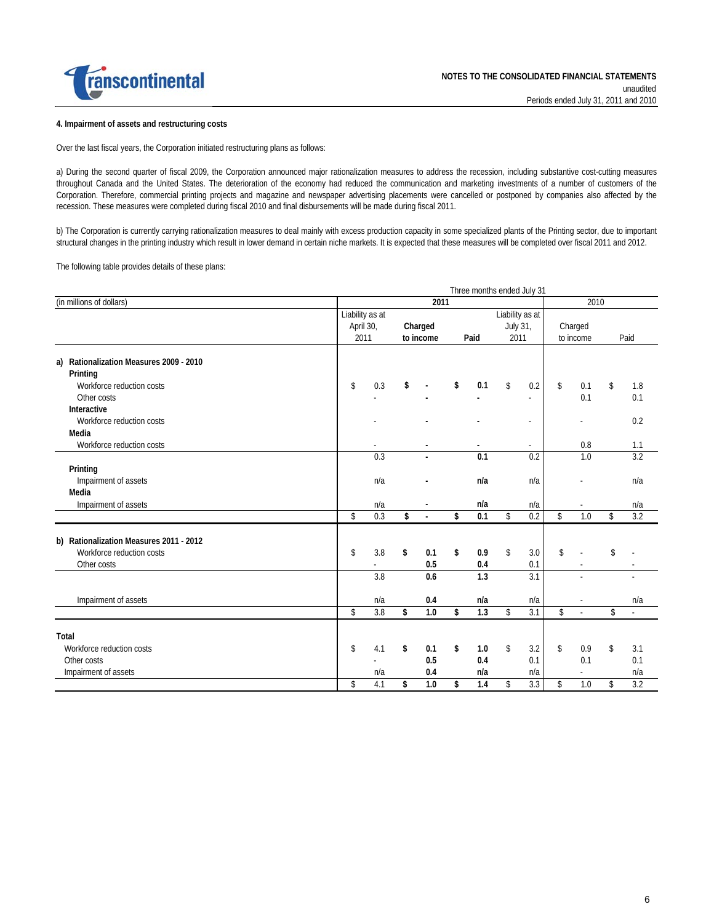

#### **4. Impairment of assets and restructuring costs**

Over the last fiscal years, the Corporation initiated restructuring plans as follows:

a) During the second quarter of fiscal 2009, the Corporation announced major rationalization measures to address the recession, including substantive cost-cutting measures throughout Canada and the United States. The deterioration of the economy had reduced the communication and marketing investments of a number of customers of the Corporation. Therefore, commercial printing projects and magazine and newspaper advertising placements were cancelled or postponed by companies also affected by the recession. These measures were completed during fiscal 2010 and final disbursements will be made during fiscal 2011.

b) The Corporation is currently carrying rationalization measures to deal mainly with excess production capacity in some specialized plants of the Printing sector, due to important structural changes in the printing industry which result in lower demand in certain niche markets. It is expected that these measures will be completed over fiscal 2011 and 2012.

The following table provides details of these plans:

|                                                                                  | Three months ended July 31                                                                                  |                         |    |                      |    |            |      |                         |    |               |    |            |
|----------------------------------------------------------------------------------|-------------------------------------------------------------------------------------------------------------|-------------------------|----|----------------------|----|------------|------|-------------------------|----|---------------|----|------------|
| (in millions of dollars)                                                         | 2011<br>2010                                                                                                |                         |    |                      |    |            |      |                         |    |               |    |            |
|                                                                                  | Liability as at<br>Liability as at<br>Charged<br>July 31,<br>April 30,<br>2011<br>Paid<br>2011<br>to income |                         |    | Charged<br>to income |    |            | Paid |                         |    |               |    |            |
| a) Rationalization Measures 2009 - 2010<br>Printing<br>Workforce reduction costs | \$                                                                                                          | 0.3                     | \$ |                      | \$ | 0.1        | \$   | 0.2                     | \$ | 0.1           | \$ | 1.8        |
| Other costs<br>Interactive<br>Workforce reduction costs<br>Media                 |                                                                                                             |                         |    |                      |    |            |      | ٠<br>÷,                 |    | 0.1           |    | 0.1<br>0.2 |
| Workforce reduction costs                                                        |                                                                                                             |                         |    |                      |    |            |      |                         |    | 0.8           |    | 1.1        |
| Printing                                                                         |                                                                                                             | 0.3                     |    |                      |    | 0.1<br>n/a |      | 0.2                     |    | 1.0           |    | 3.2        |
| Impairment of assets<br>Media<br>Impairment of assets                            |                                                                                                             | n/a<br>n/a              |    |                      |    | n/a        |      | n/a<br>n/a              |    |               |    | n/a<br>n/a |
|                                                                                  | \$                                                                                                          | 0.3                     | \$ |                      | \$ | 0.1        | \$   | 0.2                     | \$ | 1.0           | \$ | 3.2        |
| b) Rationalization Measures 2011 - 2012<br>Workforce reduction costs             | \$                                                                                                          | 3.8                     | \$ | 0.1                  | \$ | 0.9        | \$   | 3.0                     | \$ |               | \$ |            |
| Other costs                                                                      |                                                                                                             |                         |    | 0.5                  |    | 0.4        |      | 0.1                     |    |               |    |            |
|                                                                                  |                                                                                                             | 3.8                     |    | 0.6                  |    | 1.3        |      | 3.1                     |    |               |    |            |
| Impairment of assets                                                             | \$                                                                                                          | n/a<br>$\overline{3.8}$ | \$ | 0.4<br>1.0           | \$ | n/a<br>1.3 | \$   | n/a<br>$\overline{3.1}$ | \$ |               | \$ | n/a<br>÷.  |
|                                                                                  |                                                                                                             |                         |    |                      |    |            |      |                         |    |               |    |            |
| Total<br>Workforce reduction costs                                               | \$                                                                                                          | 4.1                     | \$ | 0.1                  | \$ | 1.0        | \$   | 3.2                     | \$ | 0.9           | \$ | 3.1        |
| Other costs<br>Impairment of assets                                              |                                                                                                             | n/a                     |    | 0.5<br>0.4           |    | 0.4<br>n/a |      | 0.1<br>n/a              |    | 0.1<br>$\sim$ |    | 0.1<br>n/a |
|                                                                                  | \$                                                                                                          | 4.1                     | \$ | $1.0$                | \$ | 1.4        | \$   | 3.3                     | \$ | 1.0           | \$ | 3.2        |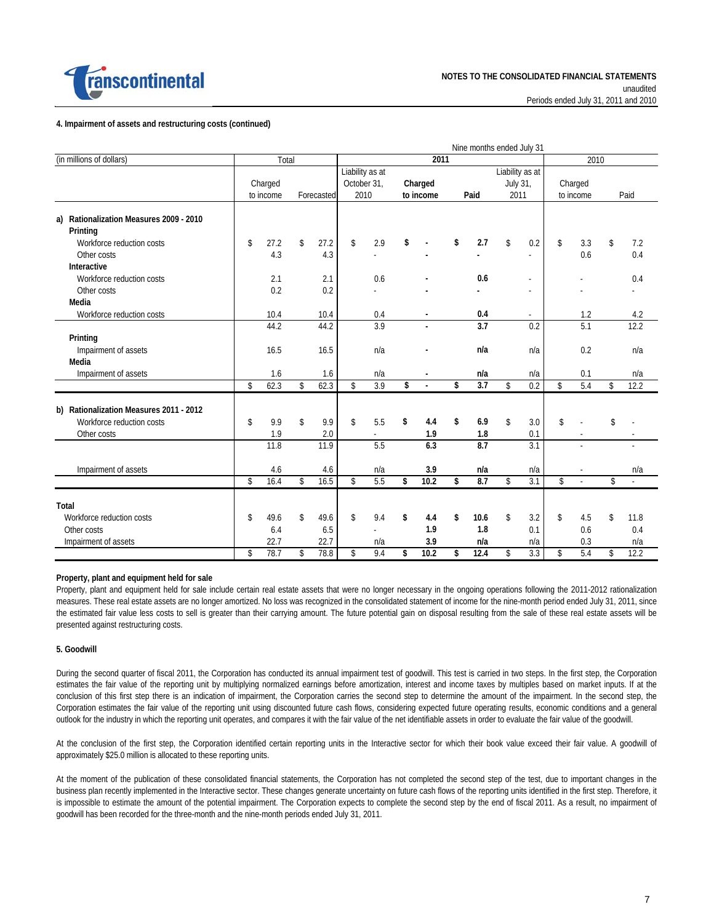

#### **4. Impairment of assets and restructuring costs (continued)**

|                                            |             |           |             |            |             |                 |            | Nine months ended July 31 |          |                 |                         |           |                |
|--------------------------------------------|-------------|-----------|-------------|------------|-------------|-----------------|------------|---------------------------|----------|-----------------|-------------------------|-----------|----------------|
| (in millions of dollars)                   |             | Total     |             |            |             |                 | 2011       |                           |          |                 |                         | 2010      |                |
|                                            |             |           |             |            |             | Liability as at |            |                           |          | Liability as at |                         |           |                |
|                                            |             | Charged   |             |            | October 31, |                 | Charged    |                           | July 31, |                 |                         | Charged   |                |
|                                            |             | to income |             | Forecasted | 2010        |                 | to income  | Paid                      | 2011     |                 |                         | to income | Paid           |
| Rationalization Measures 2009 - 2010<br>a) |             |           |             |            |             |                 |            |                           |          |                 |                         |           |                |
| Printing                                   |             |           |             |            |             |                 |            |                           |          |                 |                         |           |                |
| Workforce reduction costs                  | \$          | 27.2      | \$          | 27.2       | \$          | 2.9             | \$         | \$<br>2.7                 | \$       | 0.2             | $\sqrt[6]{\frac{1}{2}}$ | 3.3       | \$<br>7.2      |
| Other costs                                |             | 4.3       |             | 4.3        |             |                 |            |                           |          |                 |                         | 0.6       | 0.4            |
| Interactive                                |             |           |             |            |             |                 |            |                           |          |                 |                         |           |                |
| Workforce reduction costs                  |             | 2.1       |             | 2.1        |             | 0.6             |            | 0.6                       |          |                 |                         |           | 0.4            |
| Other costs                                |             | 0.2       |             | 0.2        |             |                 |            |                           |          |                 |                         |           |                |
| Media                                      |             |           |             |            |             |                 |            |                           |          |                 |                         |           |                |
| Workforce reduction costs                  |             | 10.4      |             | 10.4       |             | 0.4             |            | 0.4                       |          | $\sim$          |                         | 1.2       | 4.2            |
|                                            |             | 44.2      |             | 44.2       |             | 3.9             |            | 3.7                       |          | 0.2             |                         | 5.1       | 12.2           |
| Printing                                   |             |           |             |            |             |                 |            |                           |          |                 |                         |           |                |
| Impairment of assets                       |             | 16.5      |             | 16.5       |             | n/a             |            | n/a                       |          | n/a             |                         | 0.2       | n/a            |
| Media                                      |             |           |             |            |             |                 |            |                           |          |                 |                         |           |                |
| Impairment of assets                       |             | 1.6       |             | 1.6        |             | n/a             |            | n/a                       |          | n/a             |                         | 0.1       | n/a            |
|                                            | $\mathsf S$ | 62.3      | $\mathsf S$ | 62.3       | $\mathsf S$ | 3.9             | \$         | \$<br>3.7                 | \$       | 0.2             | $\mathsf{\$}$           | 5.4       | \$<br>12.2     |
|                                            |             |           |             |            |             |                 |            |                           |          |                 |                         |           |                |
| b) Rationalization Measures 2011 - 2012    |             |           |             |            |             |                 |            |                           |          |                 |                         |           |                |
| Workforce reduction costs                  | \$          | 9.9       | \$          | 9.9        | \$          | 5.5             | \$<br>4.4  | \$<br>6.9                 | \$       | 3.0             | $\mathbb{S}$            |           | \$             |
| Other costs                                |             | 1.9       |             | 2.0        |             | ä,              | 1.9        | 1.8                       |          | 0.1             |                         | ÷.        | $\sim$         |
|                                            |             | 11.8      |             | 11.9       |             | 5.5             | 6.3        | 8.7                       |          | 3.1             |                         | L.        | $\overline{a}$ |
| Impairment of assets                       |             | 4.6       |             | 4.6        |             | n/a             | 3.9        | n/a                       |          | n/a             |                         |           | n/a            |
|                                            | \$          | 16.4      | $\mathsf S$ | 16.5       | \$          | 5.5             | \$<br>10.2 | \$<br>8.7                 | \$       | 3.1             | $\mathsf{\$}$           |           | \$             |
| Total                                      |             |           |             |            |             |                 |            |                           |          |                 |                         |           |                |
| Workforce reduction costs                  | \$          | 49.6      | \$          | 49.6       | \$          | 9.4             | \$<br>4.4  | \$<br>10.6                | \$       | 3.2             | \$                      | 4.5       | \$<br>11.8     |
|                                            |             |           |             |            |             |                 | 1.9        | 1.8                       |          |                 |                         |           |                |
| Other costs                                |             | 6.4       |             | 6.5        |             |                 |            |                           |          | 0.1             |                         | 0.6       | 0.4            |
| Impairment of assets                       |             | 22.7      |             | 22.7       |             | n/a             | 3.9        | n/a                       |          | n/a             |                         | 0.3       | n/a            |
|                                            | \$          | 78.7      | \$          | 78.8       | \$          | 9.4             | \$<br>10.2 | \$<br>12.4                | \$       | 3.3             | \$                      | 5.4       | \$<br>12.2     |

#### **Property, plant and equipment held for sale**

Property, plant and equipment held for sale include certain real estate assets that were no longer necessary in the ongoing operations following the 2011-2012 rationalization measures. These real estate assets are no longer amortized. No loss was recognized in the consolidated statement of income for the nine-month period ended July 31, 2011, since the estimated fair value less costs to sell is greater than their carrying amount. The future potential gain on disposal resulting from the sale of these real estate assets will be presented against restructuring costs.

#### **5. Goodwill**

During the second quarter of fiscal 2011, the Corporation has conducted its annual impairment test of goodwill. This test is carried in two steps. In the first step, the Corporation estimates the fair value of the reporting unit by multiplying normalized earnings before amortization, interest and income taxes by multiples based on market inputs. If at the conclusion of this first step there is an indication of impairment, the Corporation carries the second step to determine the amount of the impairment. In the second step, the Corporation estimates the fair value of the reporting unit using discounted future cash flows, considering expected future operating results, economic conditions and a general outlook for the industry in which the reporting unit operates, and compares it with the fair value of the net identifiable assets in order to evaluate the fair value of the goodwill.

At the conclusion of the first step, the Corporation identified certain reporting units in the Interactive sector for which their book value exceed their fair value. A goodwill of approximately \$25.0 million is allocated to these reporting units.

At the moment of the publication of these consolidated financial statements, the Corporation has not completed the second step of the test, due to important changes in the business plan recently implemented in the Interactive sector. These changes generate uncertainty on future cash flows of the reporting units identified in the first step. Therefore, it is impossible to estimate the amount of the potential impairment. The Corporation expects to complete the second step by the end of fiscal 2011. As a result, no impairment of goodwill has been recorded for the three-month and the nine-month periods ended July 31, 2011.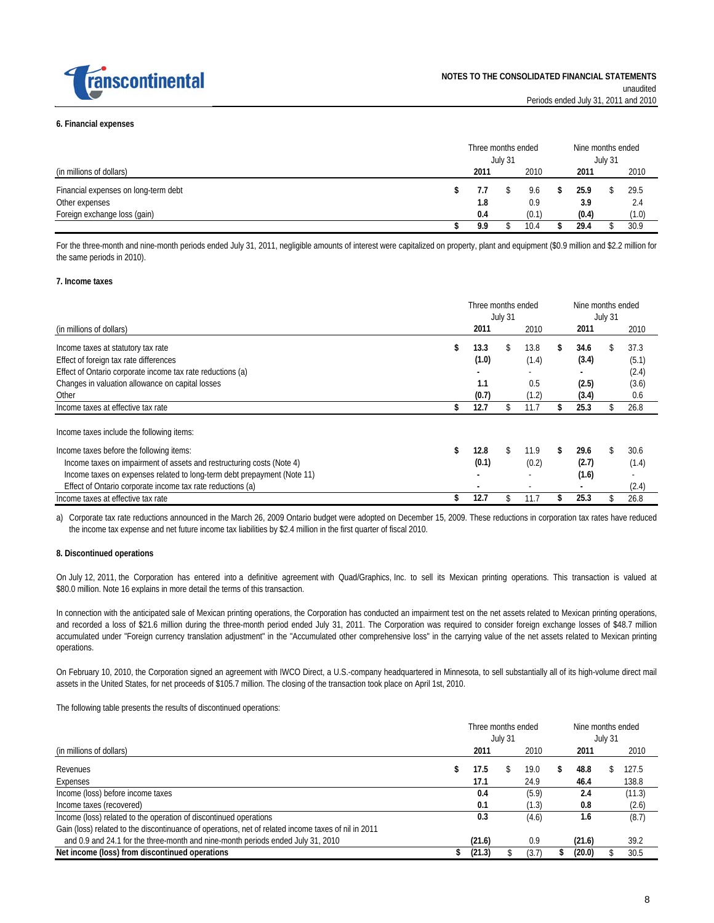

#### **6. Financial expenses**

|                                      | Three months ended<br>July 31 |      |  |       |  | Nine months ended<br>July 31 |  |       |  |
|--------------------------------------|-------------------------------|------|--|-------|--|------------------------------|--|-------|--|
| (in millions of dollars)             |                               | 2011 |  | 2010  |  | 2011                         |  | 2010  |  |
| Financial expenses on long-term debt |                               |      |  | 9.6   |  | 25.9                         |  | 29.5  |  |
| Other expenses                       |                               | 1.8  |  | 0.9   |  | 3.9                          |  | 2.4   |  |
| Foreign exchange loss (gain)         |                               | 0.4  |  | (0.1) |  | (0.4)                        |  | (1.0) |  |
|                                      |                               | 9.9  |  | 10.4  |  | 29.4                         |  | 30.9  |  |

For the three-month and nine-month periods ended July 31, 2011, negligible amounts of interest were capitalized on property, plant and equipment (\$0.9 million and \$2.2 million for the same periods in 2010).

#### **7. Income taxes**

|                                                                         | Three months ended<br>July 31 |     |       |    | Nine months ended<br>July 31 |    |       |
|-------------------------------------------------------------------------|-------------------------------|-----|-------|----|------------------------------|----|-------|
| (in millions of dollars)                                                | 2011                          |     | 2010  |    | 2011                         |    | 2010  |
| Income taxes at statutory tax rate                                      | \$<br>13.3                    | S.  | 13.8  | \$ | 34.6                         | Y. | 37.3  |
| Effect of foreign tax rate differences                                  | (1.0)                         |     | (1.4) |    | (3.4)                        |    | (5.1) |
| Effect of Ontario corporate income tax rate reductions (a)              |                               |     |       |    |                              |    | (2.4) |
| Changes in valuation allowance on capital losses                        | 1.1                           |     | 0.5   |    | (2.5)                        |    | (3.6) |
| Other                                                                   | (0.7)                         |     | (1.2) |    | (3.4)                        |    | 0.6   |
| Income taxes at effective tax rate                                      | 12.7                          |     | 11.7  |    | 25.3                         |    | 26.8  |
| Income taxes include the following items:                               |                               |     |       |    |                              |    |       |
| Income taxes before the following items:                                | \$<br>12.8                    | \$. | 11.9  | \$ | 29.6                         |    | 30.6  |
| Income taxes on impairment of assets and restructuring costs (Note 4)   | (0.1)                         |     | (0.2) |    | (2.7)                        |    | (1.4) |
| Income taxes on expenses related to long-term debt prepayment (Note 11) |                               |     |       |    | (1.6)                        |    |       |
| Effect of Ontario corporate income tax rate reductions (a)              |                               |     |       |    |                              |    | (2.4) |
| Income taxes at effective tax rate                                      | 12.7                          |     | 11.7  |    | 25.3                         |    | 26.8  |

a) Corporate tax rate reductions announced in the March 26, 2009 Ontario budget were adopted on December 15, 2009. These reductions in corporation tax rates have reduced the income tax expense and net future income tax liabilities by \$2.4 million in the first quarter of fiscal 2010.

#### **8. Discontinued operations**

On July 12, 2011, the Corporation has entered into a definitive agreement with Quad/Graphics, Inc. to sell its Mexican printing operations. This transaction is valued at \$80.0 million. Note 16 explains in more detail the terms of this transaction.

In connection with the anticipated sale of Mexican printing operations, the Corporation has conducted an impairment test on the net assets related to Mexican printing operations, and recorded a loss of \$21.6 million during the three-month period ended July 31, 2011. The Corporation was required to consider foreign exchange losses of \$48.7 million accumulated under "Foreign currency translation adjustment" in the "Accumulated other comprehensive loss" in the carrying value of the net assets related to Mexican printing operations.

On February 10, 2010, the Corporation signed an agreement with IWCO Direct, a U.S.-company headquartered in Minnesota, to sell substantially all of its high-volume direct mail assets in the United States, for net proceeds of \$105.7 million. The closing of the transaction took place on April 1st, 2010.

The following table presents the results of discontinued operations:

|                                                                                                     |  |        | July 31 | Three months ended | Nine months ended<br>July 31 |  |        |
|-----------------------------------------------------------------------------------------------------|--|--------|---------|--------------------|------------------------------|--|--------|
| (in millions of dollars)                                                                            |  | 2011   |         | 2010               | 2011                         |  | 2010   |
| Revenues                                                                                            |  | 17.5   |         | 19.0               | 48.8                         |  | 127.5  |
| Expenses                                                                                            |  | 17.1   |         | 24.9               | 46.4                         |  | 138.8  |
| Income (loss) before income taxes                                                                   |  | 0.4    |         | (5.9)              | 2.4                          |  | (11.3) |
| Income taxes (recovered)                                                                            |  | 0.1    |         | (1.3)              | 0.8                          |  | (2.6)  |
| Income (loss) related to the operation of discontinued operations                                   |  | 0.3    |         | (4.6)              | 1.6                          |  | (8.7)  |
| Gain (loss) related to the discontinuance of operations, net of related income taxes of nil in 2011 |  |        |         |                    |                              |  |        |
| and 0.9 and 24.1 for the three-month and nine-month periods ended July 31, 2010                     |  | (21.6) |         | 0.9                | (21.6)                       |  | 39.2   |
| Net income (loss) from discontinued operations                                                      |  | (21.3) |         | (3.7)              | (20.0)                       |  | 30.5   |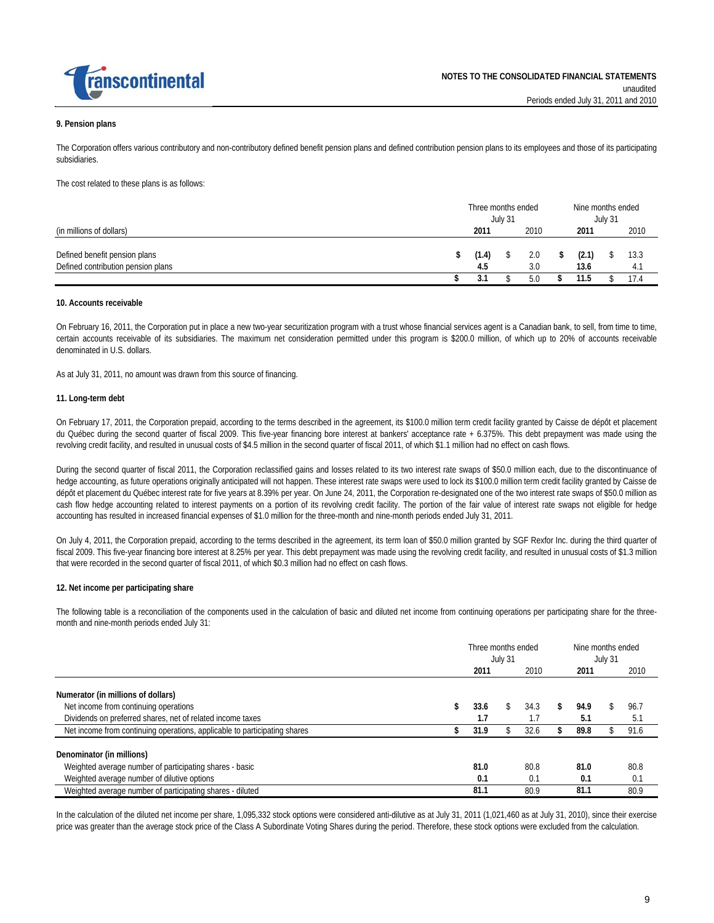

#### **9. Pension plans**

The Corporation offers various contributory and non-contributory defined benefit pension plans and defined contribution pension plans to its employees and those of its participating subsidiaries.

The cost related to these plans is as follows:

|                                                                     | Three months ended<br>July 31 |              |  |            |   | Nine months ended<br>July 31 |  |             |  |
|---------------------------------------------------------------------|-------------------------------|--------------|--|------------|---|------------------------------|--|-------------|--|
| (in millions of dollars)                                            |                               | 2011         |  | 2010       |   | 2011                         |  | 2010        |  |
| Defined benefit pension plans<br>Defined contribution pension plans | \$                            | (1.4)<br>4.5 |  | 2.0<br>3.0 | S | (2.1)<br>13.6                |  | 13.3<br>4.1 |  |
|                                                                     |                               | J.           |  | 5.0        |   | 11.5                         |  | 17.4        |  |

#### **10. Accounts receivable**

On February 16, 2011, the Corporation put in place a new two-year securitization program with a trust whose financial services agent is a Canadian bank, to sell, from time to time, certain accounts receivable of its subsidiaries. The maximum net consideration permitted under this program is \$200.0 million, of which up to 20% of accounts receivable denominated in U.S. dollars.

As at July 31, 2011, no amount was drawn from this source of financing.

#### **11. Long-term debt**

On February 17, 2011, the Corporation prepaid, according to the terms described in the agreement, its \$100.0 million term credit facility granted by Caisse de dépôt et placement du Québec during the second quarter of fiscal 2009. This five-year financing bore interest at bankers' acceptance rate + 6.375%. This debt prepayment was made using the revolving credit facility, and resulted in unusual costs of \$4.5 million in the second quarter of fiscal 2011, of which \$1.1 million had no effect on cash flows.

During the second quarter of fiscal 2011, the Corporation reclassified gains and losses related to its two interest rate swaps of \$50.0 million each, due to the discontinuance of hedge accounting, as future operations originally anticipated will not happen. These interest rate swaps were used to lock its \$100.0 million term credit facility granted by Caisse de dépôt et placement du Québec interest rate for five years at 8.39% per year. On June 24, 2011, the Corporation re-designated one of the two interest rate swaps of \$50.0 million as cash flow hedge accounting related to interest payments on a portion of its revolving credit facility. The portion of the fair value of interest rate swaps not eligible for hedge accounting has resulted in increased financial expenses of \$1.0 million for the three-month and nine-month periods ended July 31, 2011.

On July 4, 2011, the Corporation prepaid, according to the terms described in the agreement, its term loan of \$50.0 million granted by SGF Rexfor Inc. during the third quarter of fiscal 2009. This five-year financing bore interest at 8.25% per year. This debt prepayment was made using the revolving credit facility, and resulted in unusual costs of \$1.3 million that were recorded in the second quarter of fiscal 2011, of which \$0.3 million had no effect on cash flows.

#### **12. Net income per participating share**

The following table is a reconciliation of the components used in the calculation of basic and diluted net income from continuing operations per participating share for the threemonth and nine-month periods ended July 31:

|                                                                           | Three months ended<br>July 31 |  |      | Nine months ended<br>July 31 |  |      |
|---------------------------------------------------------------------------|-------------------------------|--|------|------------------------------|--|------|
|                                                                           | 2011                          |  | 2010 | 2011                         |  | 2010 |
| Numerator (in millions of dollars)                                        |                               |  |      |                              |  |      |
| Net income from continuing operations                                     | 33.6                          |  | 34.3 | \$<br>94.9                   |  | 96.7 |
| Dividends on preferred shares, net of related income taxes                | 1.7                           |  | 1.7  | 5.1                          |  | 5.1  |
| Net income from continuing operations, applicable to participating shares | 31.9                          |  | 32.6 | 89.8                         |  | 91.6 |
| Denominator (in millions)                                                 |                               |  |      |                              |  |      |
| Weighted average number of participating shares - basic                   | 81.0                          |  | 80.8 | 81.0                         |  | 80.8 |
| Weighted average number of dilutive options                               | 0.1                           |  | 0.1  | 0.1                          |  | 0.1  |
| Weighted average number of participating shares - diluted                 | 81.1                          |  | 80.9 | 81.1                         |  | 80.9 |

In the calculation of the diluted net income per share, 1,095,332 stock options were considered anti-dilutive as at July 31, 2011 (1,021,460 as at July 31, 2010), since their exercise price was greater than the average stock price of the Class A Subordinate Voting Shares during the period. Therefore, these stock options were excluded from the calculation.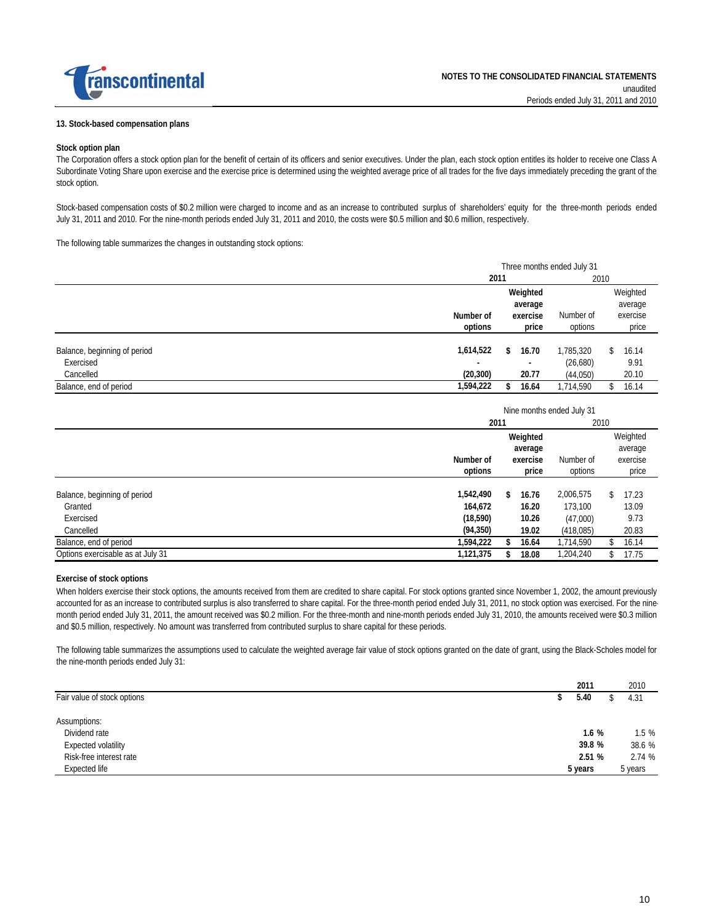

#### **13. Stock-based compensation plans**

#### **Stock option plan**

The Corporation offers a stock option plan for the benefit of certain of its officers and senior executives. Under the plan, each stock option entitles its holder to receive one Class A Subordinate Voting Share upon exercise and the exercise price is determined using the weighted average price of all trades for the five days immediately preceding the grant of the stock option.

Stock-based compensation costs of \$0.2 million were charged to income and as an increase to contributed surplus of shareholders' equity for the three-month periods ended July 31, 2011 and 2010. For the nine-month periods ended July 31, 2011 and 2010, the costs were \$0.5 million and \$0.6 million, respectively.

The following table summarizes the changes in outstanding stock options:

|                              |                          | Three months ended July 31 |           |             |  |  |  |  |  |  |
|------------------------------|--------------------------|----------------------------|-----------|-------------|--|--|--|--|--|--|
|                              | 2011                     |                            | 2010      |             |  |  |  |  |  |  |
|                              |                          | Weighted                   |           | Weighted    |  |  |  |  |  |  |
|                              |                          | average                    |           | average     |  |  |  |  |  |  |
|                              | Number of                | exercise                   | Number of | exercise    |  |  |  |  |  |  |
|                              | options                  | price                      | options   | price       |  |  |  |  |  |  |
| Balance, beginning of period | 1,614,522                | 16.70<br>\$                | 1,785,320 | 16.14<br>S. |  |  |  |  |  |  |
| Exercised                    | $\overline{\phantom{a}}$ |                            | (26,680)  | 9.91        |  |  |  |  |  |  |
| Cancelled                    | (20, 300)                | 20.77                      | (44,050)  | 20.10       |  |  |  |  |  |  |
| Balance, end of period       | 1,594,222                | 16.64                      | 1,714,590 | 16.14       |  |  |  |  |  |  |

|                                   |                             |          | Nine months ended July 31 |              |  |
|-----------------------------------|-----------------------------|----------|---------------------------|--------------|--|
|                                   | 2011                        |          |                           | 2010         |  |
|                                   |                             | Weighted |                           | Weighted     |  |
|                                   |                             | average  |                           | average      |  |
|                                   | Number of                   | exercise | Number of                 | exercise     |  |
|                                   | options<br>options<br>price |          |                           |              |  |
| Balance, beginning of period      | 1,542,490                   | 16.76    | 2,006,575                 | 17.23<br>\$. |  |
| Granted                           | 164,672                     | 16.20    | 173,100                   | 13.09        |  |
| Exercised                         | (18, 590)                   | 10.26    | (47,000)                  | 9.73         |  |
| Cancelled                         | (94, 350)                   | 19.02    | (418,085)                 | 20.83        |  |
| Balance, end of period            | 1,594,222                   | 16.64    | 1,714,590                 | 16.14<br>\$. |  |
| Options exercisable as at July 31 | 1,121,375                   | 18.08    | 1,204,240                 | 17.75        |  |

#### **Exercise of stock options**

When holders exercise their stock options, the amounts received from them are credited to share capital. For stock options granted since November 1, 2002, the amount previously accounted for as an increase to contributed surplus is also transferred to share capital. For the three-month period ended July 31, 2011, no stock option was exercised. For the ninemonth period ended July 31, 2011, the amount received was \$0.2 million. For the three-month and nine-month periods ended July 31, 2010, the amounts received were \$0.3 million and \$0.5 million, respectively. No amount was transferred from contributed surplus to share capital for these periods.

The following table summarizes the assumptions used to calculate the weighted average fair value of stock options granted on the date of grant, using the Black-Scholes model for the nine-month periods ended July 31:

|                             | 2011    | 2010    |
|-----------------------------|---------|---------|
| Fair value of stock options | 5.40    | 4.31    |
| Assumptions:                |         |         |
| Dividend rate               | 1.6%    | 1.5%    |
| Expected volatility         | 39.8 %  | 38.6 %  |
| Risk-free interest rate     | 2.51 %  | 2.74%   |
| Expected life               | 5 years | 5 years |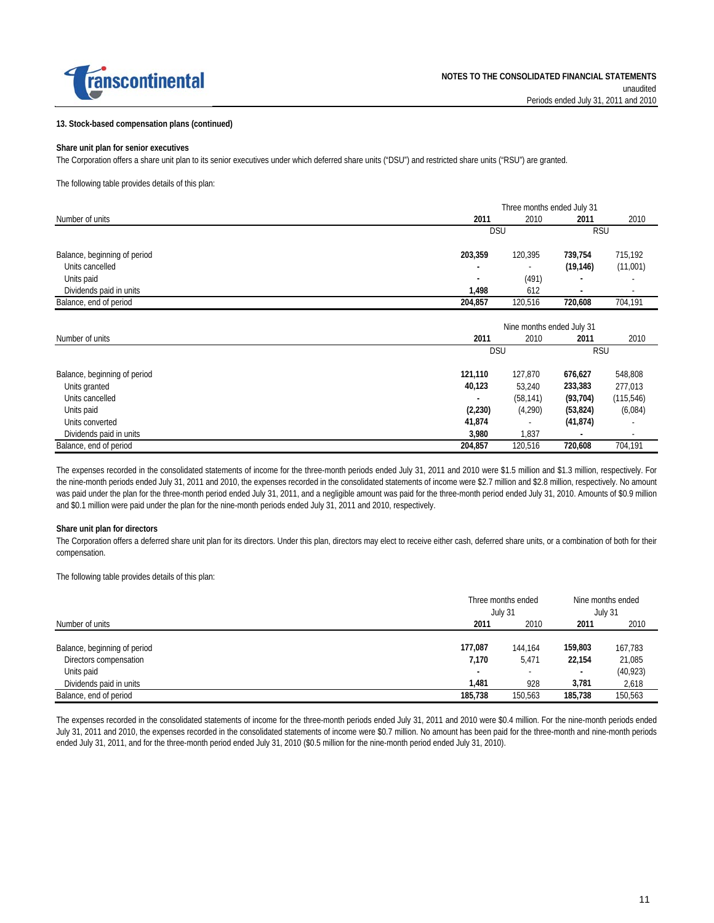

#### **13. Stock-based compensation plans (continued)**

#### **Share unit plan for senior executives**

The Corporation offers a share unit plan to its senior executives under which deferred share units ("DSU") and restricted share units ("RSU") are granted.

The following table provides details of this plan:

|                              | Three months ended July 31                                |           |            |                          |  |  |  |  |  |  |
|------------------------------|-----------------------------------------------------------|-----------|------------|--------------------------|--|--|--|--|--|--|
| Number of units              | 2011                                                      | 2010      | 2011       | 2010                     |  |  |  |  |  |  |
|                              | <b>DSU</b>                                                |           | <b>RSU</b> |                          |  |  |  |  |  |  |
| Balance, beginning of period | 203,359                                                   | 120,395   | 739,754    | 715,192                  |  |  |  |  |  |  |
| Units cancelled              | ٠                                                         |           | (19, 146)  | (11,001)                 |  |  |  |  |  |  |
| Units paid                   | ٠                                                         | (491)     |            |                          |  |  |  |  |  |  |
| Dividends paid in units      | 1,498                                                     | 612       |            |                          |  |  |  |  |  |  |
| Balance, end of period       | 204,857                                                   | 120,516   | 720,608    | 704,191                  |  |  |  |  |  |  |
| Number of units              | Nine months ended July 31<br>2011<br>2011<br>2010<br>2010 |           |            |                          |  |  |  |  |  |  |
|                              | <b>DSU</b>                                                |           |            | <b>RSU</b>               |  |  |  |  |  |  |
| Balance, beginning of period | 121,110                                                   | 127,870   | 676,627    | 548,808                  |  |  |  |  |  |  |
| Units granted                | 40,123                                                    | 53,240    | 233,383    | 277,013                  |  |  |  |  |  |  |
| Units cancelled              |                                                           | (58, 141) | (93, 704)  | (115, 546)               |  |  |  |  |  |  |
| Units paid                   | (2, 230)                                                  | (4,290)   | (53, 824)  | (6,084)                  |  |  |  |  |  |  |
| Units converted              | 41,874                                                    |           | (41, 874)  |                          |  |  |  |  |  |  |
| Dividends paid in units      | 3,980                                                     | 1,837     |            | $\overline{\phantom{a}}$ |  |  |  |  |  |  |
| Balance, end of period       | 204,857                                                   | 120,516   | 720,608    | 704,191                  |  |  |  |  |  |  |

The expenses recorded in the consolidated statements of income for the three-month periods ended July 31, 2011 and 2010 were \$1.5 million and \$1.3 million, respectively. For the nine-month periods ended July 31, 2011 and 2010, the expenses recorded in the consolidated statements of income were \$2.7 million and \$2.8 million, respectively. No amount was paid under the plan for the three-month period ended July 31, 2011, and a negligible amount was paid for the three-month period ended July 31, 2010. Amounts of \$0.9 million and \$0.1 million were paid under the plan for the nine-month periods ended July 31, 2011 and 2010, respectively.

#### **Share unit plan for directors**

The Corporation offers a deferred share unit plan for its directors. Under this plan, directors may elect to receive either cash, deferred share units, or a combination of both for their compensation.

The following table provides details of this plan:

|                              | Three months ended<br>July 31 |         | Nine months ended<br>July 31 |           |
|------------------------------|-------------------------------|---------|------------------------------|-----------|
| Number of units              | 2011                          | 2010    | 2011                         | 2010      |
| Balance, beginning of period | 177,087                       | 144.164 | 159.803                      | 167,783   |
| Directors compensation       | 7,170                         | 5,471   | 22.154                       | 21,085    |
| Units paid                   | $\overline{\phantom{a}}$      |         |                              | (40, 923) |
| Dividends paid in units      | 1.481                         | 928     | 3.781                        | 2,618     |
| Balance, end of period       | 185,738                       | 150.563 | 185,738                      | 150.563   |

The expenses recorded in the consolidated statements of income for the three-month periods ended July 31, 2011 and 2010 were \$0.4 million. For the nine-month periods ended July 31, 2011 and 2010, the expenses recorded in the consolidated statements of income were \$0.7 million. No amount has been paid for the three-month and nine-month periods ended July 31, 2011, and for the three-month period ended July 31, 2010 (\$0.5 million for the nine-month period ended July 31, 2010).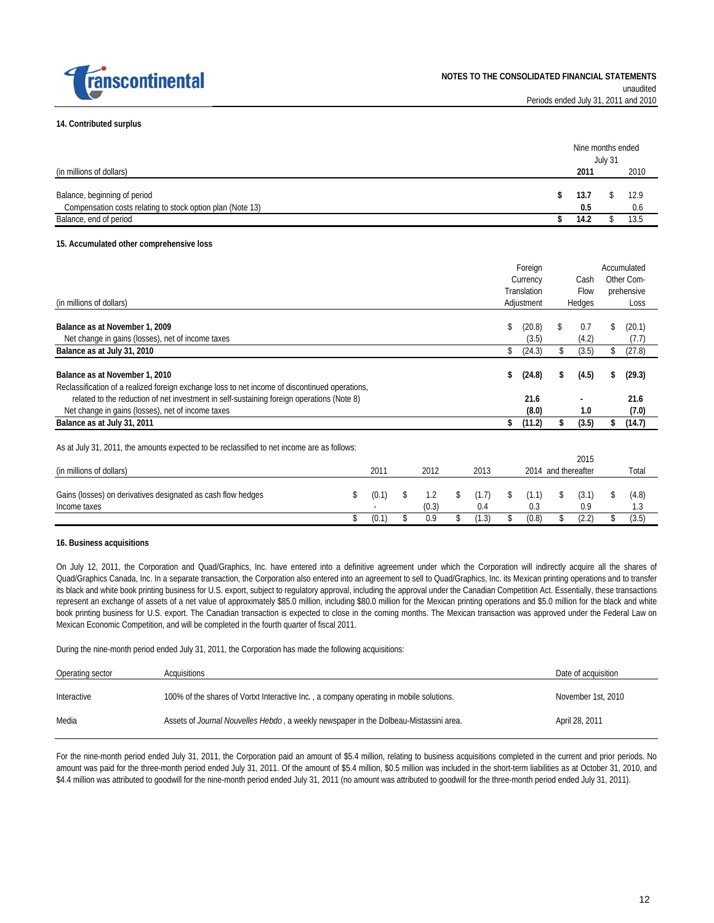

#### **14. Contributed surplus**

(in millions of dollars)

|  | Nine months ended |      |
|--|-------------------|------|
|  | July 31           |      |
|  | 2011              | 2010 |

| Balance, beginning of period                               | 13.  | 12.9   |
|------------------------------------------------------------|------|--------|
| Compensation costs relating to stock option plan (Note 13) |      | v.o    |
| Balance, end of period                                     | 14.2 | ن. ن ۱ |

#### **15. Accumulated other comprehensive loss**

| (in millions of dollars)                                                                                                                       |             |    |              |                    |    | Foreign<br>Currency<br>Translation<br>Adjustment |    | Cash<br><b>Flow</b><br>Hedges |     | Accumulated<br>Other Com-<br>prehensive<br>Loss |
|------------------------------------------------------------------------------------------------------------------------------------------------|-------------|----|--------------|--------------------|----|--------------------------------------------------|----|-------------------------------|-----|-------------------------------------------------|
| Balance as at November 1, 2009<br>Net change in gains (losses), net of income taxes                                                            |             |    |              |                    | \$ | (20.8)<br>(3.5)                                  | \$ | 0.7<br>(4.2)                  | \$. | (20.1)<br>(7.7)                                 |
| Balance as at July 31, 2010                                                                                                                    |             |    |              |                    | \$ | (24.3)                                           | S  | (3.5)                         | S   | (27.8)                                          |
| Balance as at November 1, 2010<br>Reclassification of a realized foreign exchange loss to net income of discontinued operations,               |             |    |              |                    | S  | (24.8)                                           | \$ | (4.5)                         | \$  | (29.3)                                          |
| related to the reduction of net investment in self-sustaining foreign operations (Note 8)<br>Net change in gains (losses), net of income taxes |             |    |              |                    |    | 21.6<br>(8.0)                                    |    | 1.0                           |     | 21.6<br>(7.0)                                   |
| Balance as at July 31, 2011                                                                                                                    |             |    |              |                    | \$ | (11.2)                                           |    | (3.5)                         |     | (14.7)                                          |
| As at July 31, 2011, the amounts expected to be reclassified to net income are as follows:                                                     |             |    |              |                    |    |                                                  |    | 2015                          |     |                                                 |
| (in millions of dollars)                                                                                                                       | 2011        |    | 2012         | 2013               |    | 2014 and thereafter                              |    |                               |     | Total                                           |
| Gains (losses) on derivatives designated as cash flow hedges<br>Income taxes                                                                   | \$<br>(0.1) | S  | 1.2<br>(0.3) | \$<br>(1.7)<br>0.4 | \$ | (1.1)<br>0.3                                     | \$ | (3.1)<br>0.9                  |     | (4.8)<br>1.3                                    |
|                                                                                                                                                | \$<br>(0.1) | \$ | 0.9          | \$<br>(1.3)        | \$ | (0.8)                                            | \$ | (2.2)                         | \$  | (3.5)                                           |

#### **16. Business acquisitions**

On July 12, 2011, the Corporation and Quad/Graphics, Inc. have entered into a definitive agreement under which the Corporation will indirectly acquire all the shares of Quad/Graphics Canada, Inc. In a separate transaction, the Corporation also entered into an agreement to sell to Quad/Graphics, Inc. its Mexican printing operations and to transfer its black and white book printing business for U.S. export, subject to regulatory approval, including the approval under the Canadian Competition Act. Essentially, these transactions represent an exchange of assets of a net value of approximately \$85.0 million, including \$80.0 million for the Mexican printing operations and \$5.0 million for the black and white book printing business for U.S. export. The Canadian transaction is expected to close in the coming months. The Mexican transaction was approved under the Federal Law on Mexican Economic Competition, and will be completed in the fourth quarter of fiscal 2011.

During the nine-month period ended July 31, 2011, the Corporation has made the following acquisitions:

| Operating sector | Acquisitions                                                                                  | Date of acquisition |
|------------------|-----------------------------------------------------------------------------------------------|---------------------|
| Interactive      | 100% of the shares of Vortxt Interactive Inc., a company operating in mobile solutions.       | November 1st, 2010  |
| Media            | Assets of <i>Journal Nouvelles Hebdo</i> , a weekly newspaper in the Dolbeau-Mistassini area. | April 28, 2011      |

For the nine-month period ended July 31, 2011, the Corporation paid an amount of \$5.4 million, relating to business acquisitions completed in the current and prior periods. No amount was paid for the three-month period ended July 31, 2011. Of the amount of \$5.4 million, \$0.5 million was included in the short-term liabilities as at October 31, 2010, and \$4.4 million was attributed to goodwill for the nine-month period ended July 31, 2011 (no amount was attributed to goodwill for the three-month period ended July 31, 2011).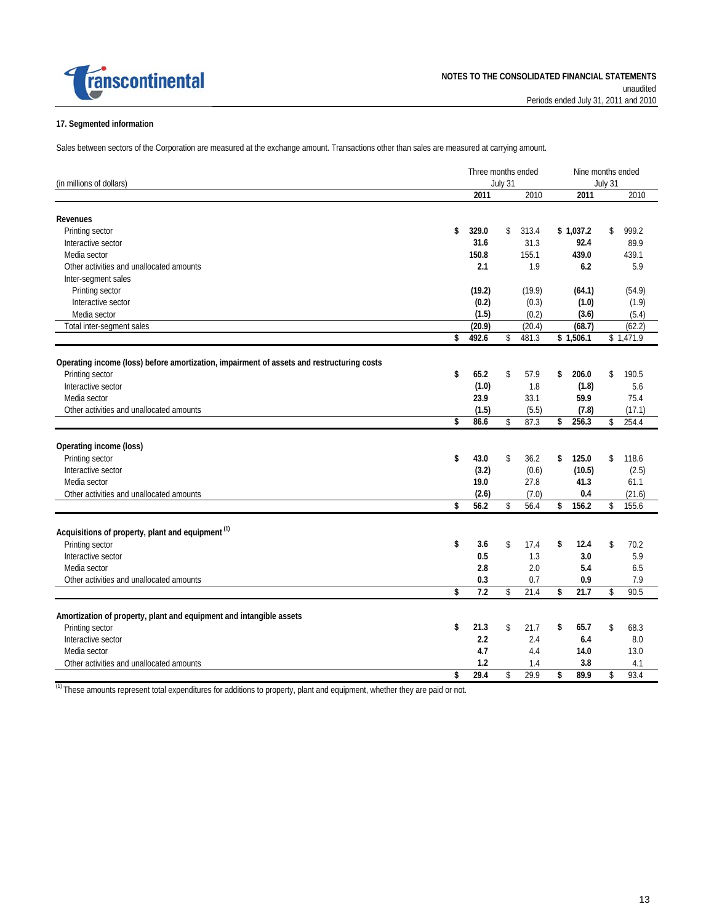

#### **17. Segmented information**

Sales between sectors of the Corporation are measured at the exchange amount. Transactions other than sales are measured at carrying amount.

|                                                                                           |    | Three months ended<br>July 31 |    |                 | Nine months ended  |                     |         |                     |  |
|-------------------------------------------------------------------------------------------|----|-------------------------------|----|-----------------|--------------------|---------------------|---------|---------------------|--|
| (in millions of dollars)                                                                  |    |                               |    |                 |                    |                     | July 31 |                     |  |
|                                                                                           |    | 2011                          |    | 2010            |                    | 2011                |         | 2010                |  |
| <b>Revenues</b>                                                                           |    |                               |    |                 |                    |                     |         |                     |  |
| Printing sector                                                                           | \$ | 329.0                         | \$ | 313.4           |                    | \$1.037.2           | \$      | 999.2               |  |
| Interactive sector                                                                        |    | 31.6                          |    | 31.3            |                    | 92.4                |         | 89.9                |  |
| Media sector                                                                              |    | 150.8                         |    | 155.1           |                    | 439.0               |         | 439.1               |  |
| Other activities and unallocated amounts                                                  |    | 2.1                           |    | 1.9             |                    | 6.2                 |         | 5.9                 |  |
| Inter-segment sales                                                                       |    |                               |    |                 |                    |                     |         |                     |  |
| Printing sector                                                                           |    | (19.2)                        |    | (19.9)          |                    | (64.1)              |         | (54.9)              |  |
| Interactive sector                                                                        |    | (0.2)                         |    |                 |                    | (1.0)               |         |                     |  |
|                                                                                           |    | (1.5)                         |    | (0.3)           |                    | (3.6)               |         | (1.9)               |  |
| Media sector                                                                              |    |                               |    | (0.2)           |                    |                     |         | (5.4)               |  |
| Total inter-segment sales                                                                 | \$ | (20.9)<br>492.6               | \$ | (20.4)<br>481.3 |                    | (68.7)<br>\$1,506.1 |         | (62.2)<br>\$1,471.9 |  |
|                                                                                           |    |                               |    |                 |                    |                     |         |                     |  |
| Operating income (loss) before amortization, impairment of assets and restructuring costs |    |                               |    |                 |                    |                     |         |                     |  |
| Printing sector                                                                           | \$ | 65.2                          | \$ | 57.9            | \$                 | 206.0               | \$      | 190.5               |  |
| Interactive sector                                                                        |    | (1.0)                         |    | 1.8             |                    | (1.8)               |         | 5.6                 |  |
| Media sector                                                                              |    | 23.9                          |    | 33.1            |                    | 59.9                |         | 75.4                |  |
| Other activities and unallocated amounts                                                  |    | (1.5)                         |    | (5.5)           |                    | (7.8)               |         | (17.1)              |  |
|                                                                                           | \$ | 86.6                          | \$ | 87.3            | \$                 | 256.3               | \$      | 254.4               |  |
|                                                                                           |    |                               |    |                 |                    |                     |         |                     |  |
| Operating income (loss)                                                                   |    |                               |    |                 |                    |                     |         |                     |  |
| Printing sector                                                                           | \$ | 43.0                          | \$ | 36.2            | \$                 | 125.0               | \$      | 118.6               |  |
| Interactive sector                                                                        |    | (3.2)                         |    | (0.6)           |                    | (10.5)              |         | (2.5)               |  |
| Media sector                                                                              |    | 19.0                          |    | 27.8            |                    | 41.3                |         | 61.1                |  |
| Other activities and unallocated amounts                                                  |    | (2.6)                         |    | (7.0)           |                    | 0.4                 |         | (21.6)              |  |
|                                                                                           | \$ | 56.2                          | \$ | 56.4            | \$                 | 156.2               | \$      | 155.6               |  |
| Acquisitions of property, plant and equipment <sup>(1)</sup>                              |    |                               |    |                 |                    |                     |         |                     |  |
| Printing sector                                                                           | \$ | 3.6                           | \$ | 17.4            | \$                 | 12.4                | \$      | 70.2                |  |
| Interactive sector                                                                        |    | 0.5                           |    | 1.3             |                    | 3.0                 |         | 5.9                 |  |
| Media sector                                                                              |    | 2.8                           |    | 2.0             |                    | 5.4                 |         | 6.5                 |  |
| Other activities and unallocated amounts                                                  |    | 0.3                           |    | 0.7             |                    | 0.9                 |         | 7.9                 |  |
|                                                                                           | \$ | 7.2                           | \$ | 21.4            | $\mathbf{\hat{S}}$ | 21.7                | \$      | 90.5                |  |
|                                                                                           |    |                               |    |                 |                    |                     |         |                     |  |
| Amortization of property, plant and equipment and intangible assets                       |    |                               |    |                 |                    |                     |         |                     |  |
| Printing sector                                                                           | \$ | 21.3                          | \$ | 21.7            | \$                 | 65.7                | \$      | 68.3                |  |
| Interactive sector                                                                        |    | 2.2                           |    | 2.4             |                    | 6.4                 |         | 8.0                 |  |
| Media sector                                                                              |    | 4.7                           |    | 4.4             |                    | 14.0                |         | 13.0                |  |
| Other activities and unallocated amounts                                                  |    | 1.2                           |    | 1.4             |                    | 3.8                 |         | 4.1                 |  |
|                                                                                           | \$ | 29.4                          | \$ | 29.9            | \$                 | 89.9                | \$      | 93.4                |  |

<sup>(1)</sup> These amounts represent total expenditures for additions to property, plant and equipment, whether they are paid or not.